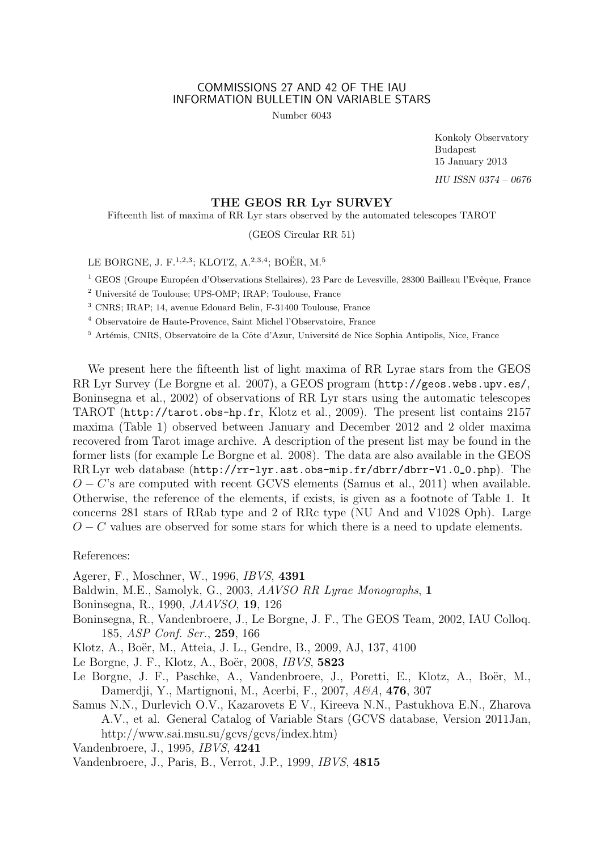## COMMISSIONS 27 AND 42 OF THE IAU INFORMATION BULLETIN ON VARIABLE STARS

Number 6043

Konkoly Observatory Budapest 15 January 2013 HU ISSN 0374 – 0676

## THE GEOS RR Lyr SURVEY

Fifteenth list of maxima of RR Lyr stars observed by the automated telescopes TAROT

(GEOS Circular RR 51)

LE BORGNE, J. F.<sup>1,2,3</sup>; KLOTZ, A.<sup>2,3,4</sup>; BOËR, M.<sup>5</sup>

<sup>1</sup> GEOS (Groupe Européen d'Observations Stellaires), 23 Parc de Levesville, 28300 Bailleau l'Evêque, France

<sup>2</sup> Université de Toulouse; UPS-OMP; IRAP; Toulouse, France

<sup>3</sup> CNRS; IRAP; 14, avenue Edouard Belin, F-31400 Toulouse, France

<sup>4</sup> Observatoire de Haute-Provence, Saint Michel l'Observatoire, France

<sup>5</sup> Artémis, CNRS, Observatoire de la Côte d'Azur, Université de Nice Sophia Antipolis, Nice, France

We present here the fifteenth list of light maxima of RR Lyrae stars from the GEOS RR Lyr Survey (Le Borgne et al. 2007), a GEOS program (http://geos.webs.upv.es/, Boninsegna et al., 2002) of observations of RR Lyr stars using the automatic telescopes TAROT (http://tarot.obs-hp.fr, Klotz et al., 2009). The present list contains 2157 maxima (Table 1) observed between January and December 2012 and 2 older maxima recovered from Tarot image archive. A description of the present list may be found in the former lists (for example Le Borgne et al. 2008). The data are also available in the GEOS RR Lyr web database (http://rr-lyr.ast.obs-mip.fr/dbrr/dbrr-V1.0 0.php). The  $O - C$ 's are computed with recent GCVS elements (Samus et al., 2011) when available. Otherwise, the reference of the elements, if exists, is given as a footnote of Table 1. It concerns 281 stars of RRab type and 2 of RRc type (NU And and V1028 Oph). Large  $O - C$  values are observed for some stars for which there is a need to update elements.

References:

Agerer, F., Moschner, W., 1996, IBVS, 4391

Baldwin, M.E., Samolyk, G., 2003, AAVSO RR Lyrae Monographs, 1

Boninsegna, R., 1990, JAAVSO, 19, 126

- Boninsegna, R., Vandenbroere, J., Le Borgne, J. F., The GEOS Team, 2002, IAU Colloq. 185, ASP Conf. Ser., 259, 166
- Klotz, A., Boër, M., Atteia, J. L., Gendre, B., 2009, AJ, 137, 4100

Le Borgne, J. F., Klotz, A., Boër, 2008, *IBVS*, 5823

Le Borgne, J. F., Paschke, A., Vandenbroere, J., Poretti, E., Klotz, A., Boër, M., Damerdji, Y., Martignoni, M., Acerbi, F., 2007, A&A, 4**76**, 307

Samus N.N., Durlevich O.V., Kazarovets E V., Kireeva N.N., Pastukhova E.N., Zharova A.V., et al. General Catalog of Variable Stars (GCVS database, Version 2011Jan, http://www.sai.msu.su/gcvs/gcvs/index.htm)

Vandenbroere, J., 1995, IBVS, 4241

Vandenbroere, J., Paris, B., Verrot, J.P., 1999, IBVS, 4815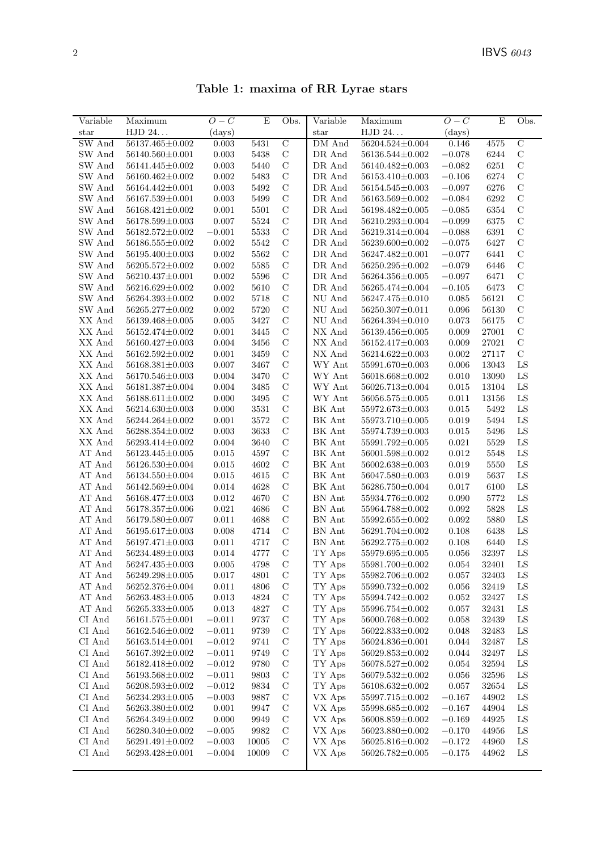| Table 1: maxima of RR Lyrae stars |  |  |  |  |  |
|-----------------------------------|--|--|--|--|--|
|-----------------------------------|--|--|--|--|--|

| Variable                       | Maximum               | $O-C$       | E     | Obs.           | Variable                              | Maximum               | $O-C$        | E              | Obs.           |
|--------------------------------|-----------------------|-------------|-------|----------------|---------------------------------------|-----------------------|--------------|----------------|----------------|
| $_{\rm star}$                  | HJD 24                | (days)      |       |                | $_{\rm star}$                         | HJD 24                | $\rm (days)$ |                |                |
| SW And                         | 56137.465±0.002       | 0.003       | 5431  | $\overline{C}$ | DM And                                | $56204.524 \pm 0.004$ | 0.146        | 4575           | $\overline{C}$ |
| SW And                         | 56140.560±0.001       | 0.003       | 5438  | $\mathbf C$    | DR And                                | 56136.544±0.002       | $-0.078$     | 6244           | $\mathbf C$    |
| SW And                         | 56141.445±0.002       | 0.003       | 5440  | $\mathcal{C}$  | DR And                                | 56140.482±0.003       | $-0.082$     | 6251           | $\mathbf C$    |
| SW And                         | 56160.462±0.002       | 0.002       | 5483  | $\mathcal C$   | DR And                                | 56153.410±0.003       | $-0.106$     | 6274           | $\mathbf C$    |
| SW And                         | 56164.442±0.001       | 0.003       | 5492  | $\mathcal{C}$  | DR And                                | 56154.545±0.003       | $-0.097$     | 6276           | $\mathbf C$    |
| SW And                         | 56167.539±0.001       | 0.003       | 5499  | $\mathcal{C}$  | DR And                                | 56163.569±0.002       | $-0.084$     | 6292           | $\mathcal{C}$  |
| SW And                         | 56168.421±0.002       | 0.001       | 5501  | $\mathbf C$    | DR And                                | 56198.482±0.005       | $-0.085$     | 6354           | $\mathbf C$    |
| SW And                         | 56178.599±0.003       | 0.007       | 5524  | $\mathcal{C}$  | DR And                                | 56210.293±0.004       | $-0.099$     | 6375           | $\mathbf C$    |
| SW And                         | 56182.572±0.002       | $-0.001$    | 5533  | $\mathcal{C}$  | DR And                                | 56219.314±0.004       | $-0.088$     | 6391           | $\mathbf C$    |
| SW And                         | 56186.555±0.002       | 0.002       | 5542  | $\mathbf C$    | DR And                                | 56239.600±0.002       | $-0.075$     | 6427           | $\mathbf C$    |
| SW And                         | 56195.400±0.003       | 0.002       | 5562  | $\mathcal{C}$  | DR And                                | 56247.482±0.001       | $-0.077$     | 6441           | $\mathcal{C}$  |
| SW And                         | 56205.572±0.002       | 0.002       | 5585  | $\mathcal{C}$  | DR And                                | 56250.295±0.002       | $-0.079$     | 6446           | $\mathcal{C}$  |
| SW And                         | 56210.437±0.001       | 0.002       | 5596  | $\mathcal{C}$  | DR And                                | 56264.356±0.005       | $-0.097$     | 6471           | $\mathbf C$    |
| SW And                         | 56216.629±0.002       | 0.002       | 5610  | $\mathcal{C}$  | $\ensuremath{\mathsf{DR}}\xspace$ And | 56265.474±0.004       | $-0.105$     | 6473           | $\mathbf C$    |
| SW And                         | 56264.393±0.002       | 0.002       | 5718  | $\mathcal{C}$  | $\rm{NU}$ And                         | 56247.475±0.010       | 0.085        | 56121          | $\mathcal{C}$  |
| SW And                         | 56265.277±0.002       | 0.002       | 5720  | $\mathcal{C}$  | $\rm{NU}$ And                         | $56250.307 \pm 0.011$ | 0.096        | 56130          | $\mathbf C$    |
| XX And                         | 56139.468±0.005       | 0.005       | 3427  | $\mathcal{C}$  | NU And                                | 56264.394±0.010       | 0.073        | 56175          | $\mathcal{C}$  |
| XX And                         | 56152.474±0.002       | 0.001       | 3445  | $\mathcal{C}$  | NX And                                | 56139.456±0.005       | 0.009        | 27001          | $\mathbf C$    |
| XX And                         | 56160.427±0.003       | 0.004       | 3456  | $\mathcal{C}$  | NX And                                | 56152.417±0.003       | 0.009        | 27021          | $\mathbf C$    |
| XX And                         | 56162.592±0.002       | 0.001       | 3459  | $\mathcal{C}$  | NX And                                | 56214.622±0.003       | 0.002        | 27117          | $\mathbf C$    |
| XX And                         | $56168.381 \pm 0.003$ | 0.007       | 3467  | $\mathcal C$   | WY Ant                                | 55991.670±0.003       | 0.006        | 13043          | ${\rm LS}$     |
| XX And                         | 56170.546±0.003       | 0.004       | 3470  | $\mathcal{C}$  | WY Ant                                | 56018.668±0.002       | 0.010        | 13090          | LS             |
| XX And                         | 56181.387±0.004       | 0.004       | 3485  | $\mathcal{C}$  | WY Ant                                | 56026.713±0.004       | 0.015        | 13104          | LS             |
| XX And                         | 56188.611±0.002       | 0.000       | 3495  | $\mathcal{C}$  | WY Ant                                | 56056.575±0.005       | 0.011        | 13156          | LS             |
| XX And                         | 56214.630±0.003       | 0.000       | 3531  | $\mathcal{C}$  | BK Ant                                | 55972.673±0.003       | 0.015        | 5492           | ${\rm LS}$     |
| XX And                         | 56244.264±0.002       | 0.001       | 3572  | $\mathcal C$   | BK Ant                                | 55973.710±0.005       | 0.019        | 5494           | LS             |
| XX And                         | 56288.354±0.002       | 0.003       | 3633  | $\mathcal C$   | BK Ant                                | 55974.739±0.003       | 0.015        | 5496           | ${\rm LS}$     |
| XX And                         | 56293.414±0.002       | 0.004       | 3640  | $\mathcal{C}$  | BK Ant                                | 55991.792±0.005       | 0.021        | 5529           | LS             |
| AT And                         | 56123.445±0.005       | 0.015       | 4597  | $\mathcal{C}$  | BK Ant                                | 56001.598±0.002       | 0.012        | 5548           | LS             |
| AT And                         | $56126.530 \pm 0.004$ | 0.015       | 4602  | $\mathcal{C}$  | BK Ant                                | 56002.638±0.003       | 0.019        | 5550           | LS             |
| AT And                         | 56134.550±0.004       | 0.015       | 4615  | $\mathcal{C}$  | BK Ant                                | 56047.580±0.003       | 0.019        | 5637           | ${\rm LS}$     |
| AT And                         | 56142.569±0.004       | 0.014       | 4628  | $\mathcal{C}$  | BK Ant                                | 56286.750±0.004       | 0.017        | 6100           | ${\rm LS}$     |
| AT And                         | 56168.477±0.003       | 0.012       | 4670  | $\mathbf C$    | BN Ant                                | 55934.776±0.002       | 0.090        | 5772           | LS             |
| AT And                         | $56178.357 \pm 0.006$ | 0.021       | 4686  | $\mathcal{C}$  | BN Ant                                | 55964.788±0.002       | 0.092        | 5828           | LS             |
| AT And                         | 56179.580±0.007       | 0.011       | 4688  | $\mathcal{C}$  | BN Ant                                | $55992.655 \pm 0.002$ | 0.092        | 5880           | LS             |
| AT And                         | 56195.617±0.003       | 0.008       | 4714  | $\mathcal{C}$  | BN Ant                                | 56291.704±0.002       | 0.108        | 6438           | LS             |
| AT And                         | 56197.471±0.003       | 0.011       | 4717  | $\mathbf C$    | ${\rm BN}$ Ant                        | 56292.775±0.002       | 0.108        | 6440           | LS             |
| AT And                         | 56234.489±0.003       | 0.014       | 4777  | $\mathcal{C}$  | TY Aps                                | $55979.695 \pm 0.005$ | 0.056        | 32397          | LS             |
| $\mathop{\rm AT}\nolimits$ And | $56247.435{\pm}0.003$ | $0.005\,$   | 4798  | $\mathcal C$   | TY Aps                                | $55981.700{\pm}0.002$ | $\,0.054\,$  | 32401          | LS             |
| AT And                         | 56249.298±0.005       | 0.017       | 4801  | $\mathcal{C}$  | TY Aps                                | 55982.706±0.002       | 0.057        | 32403          | LS             |
| AT And                         | 56252.376±0.004       | 0.011       | 4806  | $\mathcal{C}$  | TY Aps                                | 55990.732±0.002       | 0.056        | 32419          | LS             |
| AT And                         | 56263.483±0.005       | 0.013       | 4824  | $\mathcal{C}$  | TY Aps                                | 55994.742±0.002       | 0.052        | 32427          | LS             |
| AT And                         | $56265.333\pm0.005$   | $\,0.013\,$ | 4827  | $\mathcal C$   | TY Aps                                | 55996.754±0.002       | 0.057        | 32431          | LS             |
| CI And                         | $56161.575{\pm}0.001$ | $-0.011$    | 9737  | $\mathcal C$   | TY Aps                                | 56000.768±0.002       | 0.058        | 32439          | LS             |
| $\rm CI~\rm And$               | 56162.546±0.002       | $-0.011$    | 9739  | $\mathcal{C}$  | TY Aps                                | 56022.833±0.002       | 0.048        | 32483          | LS             |
| CI And                         | $56163.514 \pm 0.001$ | $-0.012$    | 9741  | $\mathcal C$   | TY Aps                                | 56024.836±0.001       | 0.044        | 32487          | LS             |
|                                | 56167.392±0.002       |             | 9749  | $\mathcal{C}$  |                                       |                       |              |                |                |
| CI And                         |                       | $-0.011$    |       |                | TY Aps                                | 56029.853±0.002       | 0.044        | 32497          | LS             |
| CI And                         | 56182.418±0.002       | $-0.012$    | 9780  | $\mathcal C$   | TY Aps                                | 56078.527±0.002       | 0.054        | 32594<br>32596 | LS             |
| CI And                         | 56193.568±0.002       | $-0.011$    | 9803  | $\mathcal C$   | TY Aps                                | 56079.532±0.002       | 0.056        |                | LS             |
| CI And                         | 56208.593±0.002       | $-0.012$    | 9834  | $\mathcal C$   | TY Aps                                | 56108.632±0.002       | 0.057        | 32654          | LS             |
| CI And                         | 56234.293±0.005       | $-0.003$    | 9887  | $\mathcal C$   | VX Aps                                | 55997.715±0.002       | $-0.167$     | 44902          | LS             |
| CI And                         | 56263.380±0.002       | 0.001       | 9947  | $\mathcal{C}$  | VX Aps                                | 55998.685±0.002       | $-0.167$     | 44904          | LS             |
| CI And                         | 56264.349±0.002       | 0.000       | 9949  | $\mathcal{C}$  | VX Aps                                | 56008.859±0.002       | $-0.169$     | 44925          | LS             |
| CI And                         | 56280.340±0.002       | $-0.005\,$  | 9982  | $\mathcal C$   | VX Aps                                | 56023.880±0.002       | $-0.170$     | 44956          | ${\rm LS}$     |
| CI And                         | 56291.491±0.002       | $-0.003$    | 10005 | $\mathcal C$   | VX Aps                                | 56025.816±0.002       | $-0.172$     | 44960          | LS             |
| $\rm CI~\rm And$               | 56293.428±0.001       | $-0.004$    | 10009 | $\mathcal{C}$  | ${\rm VX}$ Aps                        | 56026.782±0.005       | $-0.175$     | 44962          | LS             |
|                                |                       |             |       |                |                                       |                       |              |                |                |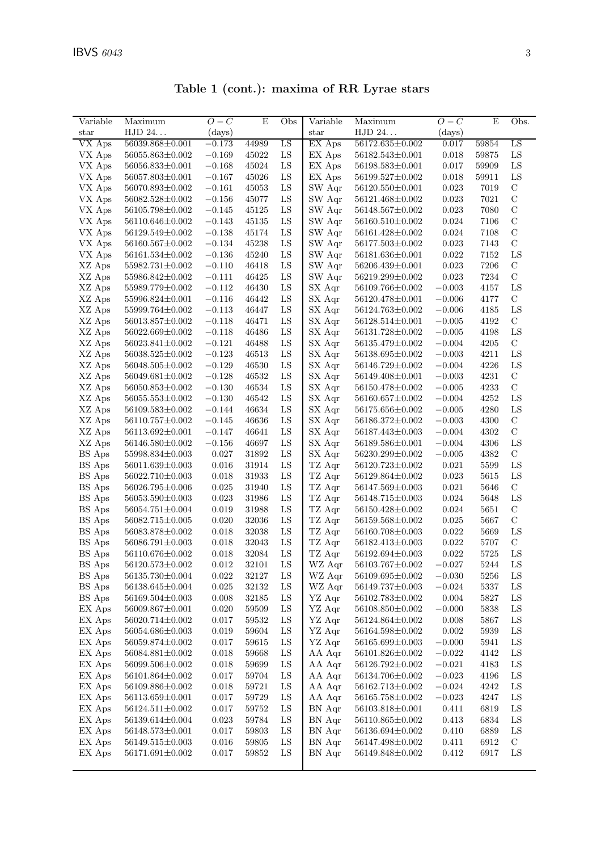| Table 1 (cont.): maxima of RR Lyrae stars |                       |              |       |               |                            |                       |              |       |               |  |  |  |
|-------------------------------------------|-----------------------|--------------|-------|---------------|----------------------------|-----------------------|--------------|-------|---------------|--|--|--|
| Variable                                  | Maximum               | $O - C$      | E     | Obs           | Variable                   | Maximum               | $O-C$        | E     | Obs.          |  |  |  |
| $_{\rm star}$                             | HJD 24                | $\rm (days)$ |       |               | $_{\rm star}$              | HJD 24                | $\rm (days)$ |       |               |  |  |  |
| $\overline{\text{VX} \text{ A}}$ ps       | 56039.868±0.001       | $-0.173$     | 44989 | LS            | EX Aps                     | 56172.635±0.002       | 0.017        | 59854 | LS            |  |  |  |
| VX Aps                                    | 56055.863±0.002       | $-0.169$     | 45022 | LS            | EX Aps                     | 56182.543±0.001       | 0.018        | 59875 | LS            |  |  |  |
| VX Aps                                    | $56056.833 \pm 0.001$ | $-0.168$     | 45024 | LS            | EX Aps                     | 56198.583±0.001       | 0.017        | 59909 | LS            |  |  |  |
| VX Aps                                    | 56057.803±0.001       | $-0.167$     | 45026 | LS            | EX Aps                     | 56199.527±0.002       | 0.018        | 59911 | LS            |  |  |  |
| VX Aps                                    | 56070.893±0.002       | $-0.161$     | 45053 | LS            | SW Aqr                     | $56120.550 \pm 0.001$ | 0.023        | 7019  | $\mathcal{C}$ |  |  |  |
| VX Aps                                    | 56082.528±0.002       | $-0.156$     | 45077 | LS            | SW Agr                     | 56121.468±0.002       | 0.023        | 7021  | C             |  |  |  |
| VX Aps                                    | 56105.798±0.002       | $-0.145$     | 45125 | LS            | SW Agr                     | 56148.567±0.002       | 0.023        | 7080  | C             |  |  |  |
| VX Aps                                    | 56110.646±0.002       | $-0.143$     | 45135 | LS            | SW Aqr                     | 56160.510±0.002       | 0.024        | 7106  | $\mathcal{C}$ |  |  |  |
| VX Aps                                    | $56129.549 \pm 0.002$ | $-0.138$     | 45174 | LS            | SW Agr                     | $56161.428 \pm 0.002$ | 0.024        | 7108  | C             |  |  |  |
| VX Aps                                    | $56160.567 \pm 0.002$ | $-0.134$     | 45238 | LS            | SW Agr                     | $56177.503 \pm 0.002$ | 0.023        | 7143  | $\mathcal{C}$ |  |  |  |
| VX Aps                                    | 56161.534±0.002       | $-0.136$     | 45240 | LS            | SW Aqr                     | 56181.636±0.001       | 0.022        | 7152  | LS            |  |  |  |
| XZ Aps                                    | 55982.731±0.002       | $-0.110$     | 46418 | LS            | SW Agr                     | $56206.439{\pm}0.001$ | 0.023        | 7206  | C             |  |  |  |
| XZ Aps                                    | 55986.842±0.002       | $-0.111$     | 46425 | LS            | SW Aqr                     | $56219.299 \pm 0.002$ | 0.023        | 7234  | $\mathcal{C}$ |  |  |  |
| XZ Aps                                    | 55989.779±0.002       | $-0.112$     | 46430 | LS            | SX Aqr                     | 56109.766±0.002       | $-0.003$     | 4157  | LS            |  |  |  |
| XZ Aps                                    | 55996.824±0.001       | $-0.116$     | 46442 | LS            | SX Aqr                     | 56120.478±0.001       | $-0.006$     | 4177  | $\mathcal{C}$ |  |  |  |
| XZ Aps                                    | 55999.764±0.002       | $-0.113$     | 46447 | LS            | SX Aqr                     | $56124.763 \pm 0.002$ | $-0.006$     | 4185  | LS            |  |  |  |
| XZ Aps                                    | 56013.857±0.002       | $-0.118$     | 46471 | LS            | SX Aqr                     | 56128.514±0.001       | $-0.005$     | 4192  | C             |  |  |  |
| XZ Aps                                    | 56022.669±0.002       | $-0.118$     | 46486 | LS            | SX Aqr                     | 56131.728±0.002       | $-0.005$     | 4198  | LS            |  |  |  |
| XZ Aps                                    | 56023.841±0.002       | $-0.121$     | 46488 | LS            | SX Aqr                     | 56135.479±0.002       | $-0.004$     | 4205  | $\mathcal{C}$ |  |  |  |
| XZ Aps                                    | 56038.525±0.002       | $-0.123$     | 46513 | LS            | $SX$ $Aqr$                 | 56138.695±0.002       | $-0.003$     | 4211  | LS            |  |  |  |
| XZ Aps                                    | 56048.505±0.002       | $-0.129$     | 46530 | LS            | SX Aqr                     | 56146.729±0.002       | $-0.004$     | 4226  | LS            |  |  |  |
| T/T                                       |                       |              |       | $\tau$ $\sim$ | $\alpha \times r$ $\cdots$ |                       |              |       |               |  |  |  |

| VX Aps   | $56160.567 \pm 0.002$ | $-0.134$    | 45238     | LS | SW Aqr | $56177.503 \pm 0.002$ | 0.023     | 7143 | $\mathcal{C}$ |
|----------|-----------------------|-------------|-----------|----|--------|-----------------------|-----------|------|---------------|
| VX Aps   | $56161.534\pm0.002$   | $-0.136$    | 45240     | LS | SW Aqr | $56181.636 \pm 0.001$ | 0.022     | 7152 | LS            |
| XZ Aps   | 55982.731±0.002       | $-0.110$    | 46418     | LS | SW Aqr | 56206.439±0.001       | 0.023     | 7206 | С             |
| XZ Aps   | 55986.842±0.002       | $-0.111$    | 46425     | LS | SW Aqr | 56219.299±0.002       | 0.023     | 7234 | $\mathcal{C}$ |
| XZ Aps   | 55989.779±0.002       | $-0.112$    | 46430     | LS | SX Aqr | $56109.766 \pm 0.002$ | $-0.003$  | 4157 | LS            |
| XZ Aps   | $55996.824 \pm 0.001$ | $-0.116$    | 46442     | LS | SX Aqr | $56120.478 \pm 0.001$ | $-0.006$  | 4177 | C             |
| XZ Aps   | $55999.764 \pm 0.002$ | $-0.113$    | 46447     | LS | SX Aqr | 56124.763±0.002       | $-0.006$  | 4185 | LS            |
| XZ Aps   | 56013.857±0.002       | $-0.118$    | 46471     | LS | SX Aqr | $56128.514\pm0.001$   | $-0.005$  | 4192 | C             |
| XZ Aps   | 56022.669±0.002       | $-0.118$    | 46486     | LS | SX Aqr | 56131.728±0.002       | $-0.005$  | 4198 | LS            |
| XZ Aps   | $56023.841 \pm 0.002$ | $-0.121$    | 46488     | LS | SX Aqr | $56135.479 \pm 0.002$ | $-0.004$  | 4205 | $\mathcal{C}$ |
| XZ Aps   | $56038.525 \pm 0.002$ | $-0.123$    | 46513     | LS | SX Aqr | $56138.695 \pm 0.002$ | $-0.003$  | 4211 | LS            |
| XZ Aps   | $56048.505 \pm 0.002$ | $-0.129$    | 46530     | LS | SX Aqr | $56146.729 \pm 0.002$ | $-0.004$  | 4226 | LS            |
| XZ Aps   | $56049.681 \pm 0.002$ | $-0.128$    | 46532     | LS | SX Aqr | $56149.408 \pm 0.001$ | $-0.003$  | 4231 | C             |
| XZ Aps   | 56050.853±0.002       | $-0.130$    | 46534     | LS | SX Aqr | 56150.478±0.002       | $-0.005$  | 4233 | $\mathcal{C}$ |
| XZ Aps   | 56055.553±0.002       | $-0.130$    | 46542     | LS | SX Aqr | $56160.657 \pm 0.002$ | $-0.004$  | 4252 | LS            |
| XZ Aps   | 56109.583±0.002       | $-0.144$    | 46634     | LS | SX Aqr | $56175.656 \pm 0.002$ | $-0.005$  | 4280 | LS            |
| XZ Aps   | $56110.757 \pm 0.002$ | $-0.145$    | 46636     | LS | SX Aqr | 56186.372±0.002       | $-0.003$  | 4300 | $\mathcal{C}$ |
| XZ Aps   | $56113.692 \pm 0.001$ | $-0.147$    | 46641     | LS | SX Aqr | $56187.443 \pm 0.003$ | $-0.004$  | 4302 | С             |
| XZ Aps   | $56146.580 \pm 0.002$ | $-0.156$    | 46697     | LS | SX Aqr | 56189.586±0.001       | $-0.004$  | 4306 | LS            |
| BS Aps   | 55998.834±0.003       | 0.027       | 31892     | LS | SX Aqr | 56230.299±0.002       | $-0.005$  | 4382 | C             |
| BS Aps   | 56011.639±0.003       | 0.016       | 31914     | LS | TZ Aqr | 56120.723±0.002       | 0.021     | 5599 | LS            |
| BS Aps   | 56022.710±0.003       | 0.018       | 31933     | LS | TZ Aqr | $56129.864 \pm 0.002$ | 0.023     | 5615 | LS            |
| $BS$ Aps | $56026.795 \pm 0.006$ | 0.025       | 31940     | LS | TZ Aqr | $56147.569 \pm 0.003$ | 0.021     | 5646 | $\mathbf C$   |
| BS Aps   | 56053.590±0.003       | 0.023       | 31986     | LS | TZ Aqr | $56148.715 \pm 0.003$ | 0.024     | 5648 | LS            |
| BS Aps   | $56054.751 \pm 0.004$ | 0.019       | 31988     | LS | TZ Aqr | $56150.428 \pm 0.002$ | 0.024     | 5651 | C             |
| BS Aps   | 56082.715±0.005       | 0.020       | 32036     | LS | TZ Aqr | 56159.568±0.002       | 0.025     | 5667 | $\mathcal{C}$ |
| $BS$ Aps | 56083.878±0.002       | 0.018       | 32038     | LS | TZ Aqr | 56160.708±0.003       | 0.022     | 5669 | LS            |
| $BS$ Aps | $56086.791 \pm 0.003$ | 0.018       | 32043     | LS | TZ Aqr | $56182.413 \pm 0.003$ | 0.022     | 5707 | C             |
| $BS$ Aps | $56110.676 \pm 0.002$ | 0.018       | 32084     | LS | TZ Aqr | $56192.694 \pm 0.003$ | 0.022     | 5725 | LS            |
| BS Aps   | $56120.573 \pm 0.002$ | 0.012       | 32101     | LS | WZ Aqr | $56103.767 \pm 0.002$ | $-0.027$  | 5244 | LS            |
| BS Aps   | 56135.730 $\pm$ 0.004 | 0.022       | 32127     | LS | WZ Aqr | 56109.695±0.002       | $-0.030$  | 5256 | LS            |
| BS Aps   | 56138.645±0.004       | 0.025       | 32132     | LS | WZ Aqr | 56149.737±0.003       | $-0.024$  | 5337 | LS            |
| $BS$ Aps | $56169.504 \pm 0.003$ | 0.008       | 32185     | LS | YZ Aqr | $56102.783 \pm 0.002$ | 0.004     | 5827 | LS            |
| EX Aps   | $56009.867 \pm 0.001$ | 0.020       | 59509     | LS | YZ Aqr | $56108.850 \pm 0.002$ | $-0.000$  | 5838 | LS            |
| EX Aps   | $56020.714 \pm 0.002$ | 0.017       | 59532     | LS | YZ Aqr | $56124.864 \pm 0.002$ | 0.008     | 5867 | LS            |
| EX Aps   | 56054.686±0.003       | 0.019       | 59604     | LS | YZ Aqr | $56164.598 \pm 0.002$ | 0.002     | 5939 | LS            |
| EX Aps   | $56059.874 \pm 0.002$ | 0.017       | 59615     | LS | YZ Aqr | $56165.699 \pm 0.003$ | $-0.000$  | 5941 | LS            |
| EX Aps   | 56084.881±0.002       | 0.018       | 59668     | LS | AA Aqr | $56101.826 \pm 0.002$ | $-0.022$  | 4142 | LS            |
| EX Aps   | 56099.506±0.002       | 0.018       | 59699     | LS | AA Aqr | $56126.792 \pm 0.002$ | $-0.021$  | 4183 | LS            |
| EX Aps   | 56101.864±0.002       | 0.017       | 59704     | LS | AA Aqr | 56134.706±0.002       | $-0.023$  | 4196 | LS            |
| EX Aps   | $56109.886 \pm 0.002$ | 0.018       | 59721     | LS | AA Aqr | $56162.713 \pm 0.002$ | $-0.024$  | 4242 | LS            |
| EX Aps   | 56113.659±0.001       | 0.017       | $59729\,$ | LS | AA Aqr | 56165.758±0.002       | $-0.023$  | 4247 | $_{\rm LS}$   |
| EX Aps   | $56124.511{\pm}0.002$ | $0.017\,$   | 59752     | LS | BN Aqr | 56103.818±0.001       | $0.411\,$ | 6819 | ${\rm LS}$    |
| EX Aps   | $56139.614\pm0.004$   | $\,0.023\,$ | 59784     | LS | BN Aqr | 56110.865±0.002       | 0.413     | 6834 | ${\rm LS}$    |
| EX Aps   | 56148.573±0.001       | 0.017       | 59803     | LS | BN Aqr | 56136.694±0.002       | 0.410     | 6889 | ${\rm LS}$    |
| EX Aps   | 56149.515±0.003       | $\,0.016\,$ | 59805     | LS | BN Aqr | 56147.498±0.002       | 0.411     | 6912 | $\mathcal{C}$ |
| EX Aps   | $56171.691 \pm 0.002$ | 0.017       | 59852     | LS | BN Aqr | 56149.848±0.002       | 0.412     | 6917 | ${\rm LS}$    |
|          |                       |             |           |    |        |                       |           |      |               |
|          |                       |             |           |    |        |                       |           |      |               |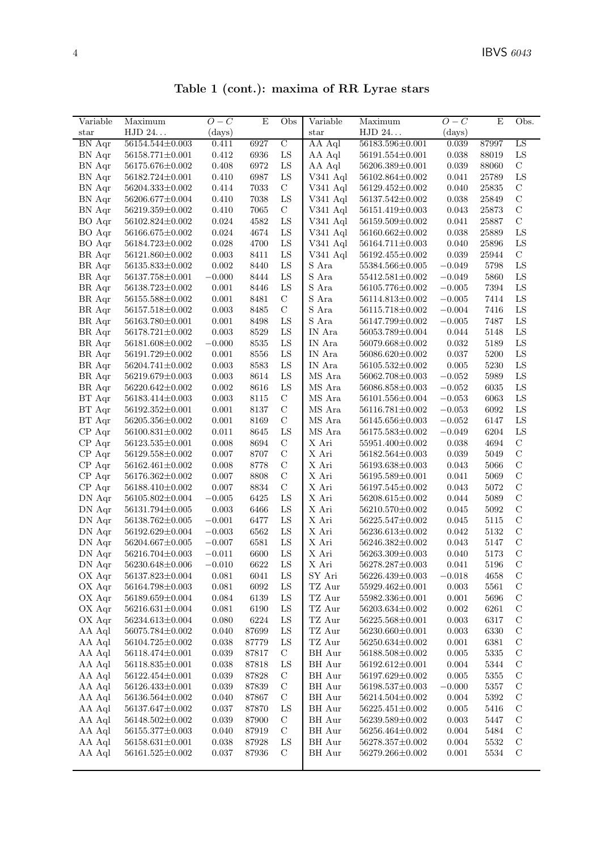| Table 1 (cont.): maxima of RR Lyrae stars |  |  |  |  |  |
|-------------------------------------------|--|--|--|--|--|
|-------------------------------------------|--|--|--|--|--|

| Variable        | Maximum               | $O-C$        | E     | Obs                        | Variable                | Maximum               | $O-C$       | E        | Obs.          |
|-----------------|-----------------------|--------------|-------|----------------------------|-------------------------|-----------------------|-------------|----------|---------------|
| $_{\rm star}$   | HJD 24                | $\rm (days)$ |       |                            | star                    | HJD 24                | (days)      |          |               |
| <b>BN</b> Aqr   | 56154.544±0.003       | 0.411        | 6927  | $\overline{C}$             | AA Aql                  | 56183.596±0.001       | 0.039       | 87997    | LS            |
| BN Aqr          | $56158.771 \pm 0.001$ | 0.412        | 6936  | LS                         | AA Aql                  | $56191.554 \pm 0.001$ | 0.038       | 88019    | ${\rm LS}$    |
| BN Aqr          | 56175.676±0.002       | 0.408        | 6972  | ${\rm LS}$                 | AA Aql                  | 56206.389±0.001       | 0.039       | 88060    | $\mathbf C$   |
| BN Aqr          | 56182.724±0.001       | 0.410        | 6987  | LS                         | $V341$ Aql $\,$         | 56102.864±0.002       | 0.041       | 25789    | LS            |
| BN Aqr          | 56204.333±0.002       | 0.414        | 7033  | $\mathbf C$                | V341 Aql                | 56129.452±0.002       | 0.040       | 25835    | $\mathbf C$   |
| BN Aqr          | 56206.677±0.004       | 0.410        | 7038  | ${\rm LS}$                 | $V341$ Aql              | 56137.542±0.002       | 0.038       | 25849    | $\mathcal{C}$ |
| BN Aqr          | 56219.359±0.002       | 0.410        | 7065  | $\mathcal{C}$              | V341 Aql                | 56151.419±0.003       | 0.043       | 25873    | $\mathbf C$   |
| BO Aqr          | 56102.824±0.002       | 0.024        | 4582  | LS                         | V341 Aql                | 56159.509±0.002       | 0.041       | 25887    | $\mathcal{C}$ |
| BO Aqr          | 56166.675±0.002       | 0.024        | 4674  | LS                         | V341 Aql                | 56160.662±0.002       | 0.038       | 25889    | LS            |
| BO Aqr          | 56184.723±0.002       | 0.028        | 4700  | LS                         | $V341$ Aql              | $56164.711 \pm 0.003$ | 0.040       | 25896    | LS            |
| BR Aqr          | 56121.860±0.002       | 0.003        | 8411  | LS                         | V341 Aql                | 56192.455±0.002       | 0.039       | 25944    | $\mathbf C$   |
| BR Aqr          | 56135.833±0.002       | 0.002        | 8440  | LS                         | S Ara                   | 55384.566±0.005       | $-0.049$    | 5798     | LS            |
| BR Aqr          | 56137.758±0.001       | $-0.000$     | 8444  | LS                         | $\mathbf S$ Ara         | $55412.581 \pm 0.002$ | $-0.049$    | 5860     | ${\rm LS}$    |
| BR Aqr          | $56138.723{\pm}0.002$ | 0.001        | 8446  | LS                         | $\mathbf S$ Ara         | 56105.776±0.002       | $-0.005$    | 7394     | LS            |
| BR Aqr          | 56155.588±0.002       | 0.001        | 8481  | $\mathcal{C}$              | S Ara                   | 56114.813±0.002       | $-0.005$    | 7414     | ${\rm LS}$    |
| BR Aqr          | 56157.518±0.002       | 0.003        | 8485  | $\mathbf C$                | $\mathbf S$ Ara         | 56115.718±0.002       | $-0.004$    | 7416     | ${\rm LS}$    |
| BR Aqr          | 56163.780 $\pm$ 0.001 | 0.001        | 8498  | LS                         | S Ara                   | 56147.799±0.002       | $-0.005$    | 7487     | LS            |
| BR Aqr          | $56178.721 \pm 0.002$ | 0.003        | 8529  | LS                         | IN Ara                  | 56053.789±0.004       | 0.044       | 5148     | LS            |
| BR Aqr          | 56181.608±0.002       | $-0.000$     | 8535  | LS                         | IN Ara                  | 56079.668±0.002       | 0.032       | 5189     | ${\rm LS}$    |
| BR Aqr          | 56191.729±0.002       | 0.001        | 8556  | LS                         | IN Ara                  | 56086.620±0.002       | 0.037       | 5200     | LS            |
| BR Aqr          | 56204.741±0.002       | 0.003        | 8583  | LS                         | IN Ara                  | $56105.532 \pm 0.002$ | 0.005       | 5230     | ${\rm LS}$    |
| BR Aqr          | 56219.679±0.003       | 0.003        | 8614  | LS                         | $\rm MS$ Ara            | 56062.708±0.003       | $-0.052$    | 5989     | ${\rm LS}$    |
| BR Aqr          | 56220.642±0.002       | 0.002        | 8616  | LS                         | MS Ara                  | 56086.858±0.003       | $-0.052$    | 6035     | LS            |
| BT Aqr          | 56183.414±0.003       | 0.003        | 8115  | $\mathbf C$                | MS Ara                  | 56101.556±0.004       | $-0.053$    | 6063     | LS            |
| BT Aqr          | $56192.352 \pm 0.001$ | 0.001        | 8137  | $\mathbf C$                | MS Ara                  | $56116.781 \pm 0.002$ | $-0.053$    | 6092     | ${\rm LS}$    |
| BT Aqr          | 56205.356±0.002       | 0.001        | 8169  | $\mathbf C$                | MS Ara                  | $56145.656 \pm 0.003$ | $-0.052$    | 6147     | LS            |
| CP Aqr          | $56100.831 \pm 0.002$ | 0.011        | 8645  | LS                         | $\rm MS$ Ara            | $56175.583 \pm 0.002$ | $-0.049$    | 6204     | LS            |
| CP Aqr          | $56123.535 \pm 0.001$ | 0.008        | 8694  | $\mathcal{C}$              | X Ari                   | 55951.400±0.002       | 0.038       | 4694     | $\mathbf C$   |
| $CP$ Aqr        | 56129.558±0.002       | 0.007        | 8707  | $\mathcal{C}$              | X Ari                   | $56182.564{\pm}0.003$ | 0.039       | 5049     | $\mathcal{C}$ |
| $CP$ Aqr        | 56162.461±0.002       | 0.008        | 8778  | $\mathcal{C}$              | X Ari                   | 56193.638±0.003       | 0.043       | 5066     | $\mathbf C$   |
| $CP$ Aqr        | 56176.362±0.002       | 0.007        | 8808  | $\mathbf C$                | X Ari                   | 56195.589±0.001       | 0.041       | 5069     | $\mathbf C$   |
| $CP$ Aqr        | 56188.410±0.002       | 0.007        | 8834  | $\mathbf C$                | X Ari                   | 56197.545±0.002       | 0.043       | 5072     | $\mathbf C$   |
| DN Aqr          | 56105.802±0.004       | $-0.005$     | 6425  | LS                         | X Ari                   | 56208.615±0.002       | 0.044       | 5089     | $\mathbf C$   |
| DN Aqr          | 56131.794±0.005       | 0.003        | 6466  | LS                         | X Ari                   | 56210.570±0.002       | 0.045       | 5092     | $\mathbf C$   |
| DN Aqr          | 56138.762±0.005       | $-0.001$     | 6477  | LS                         | $\mathbf X$ Ari         | 56225.547±0.002       | 0.045       | 5115     | $\mathbf C$   |
| DN Aqr          | 56192.629±0.004       | $-0.003$     | 6562  | LS                         | X Ari                   | 56236.613±0.002       | 0.042       | 5132     | $\mathbf C$   |
| DN Aqr          | 56204.667±0.005       | $-0.007$     | 6581  | LS                         | X Ari                   | 56246.382±0.002       | 0.043       | 5147     | $\mathbf C$   |
| DN Aqr          | 56216.704±0.003       | $-0.011$     | 6600  | ${\rm LS}$                 | X Ari                   | 56263.309±0.003       | 0.040       | 5173     | $\mathcal{C}$ |
| ${\rm DN\;Aqr}$ | 56230.648±0.006       | $-0.010$     | 6622  | LS                         | X Ari                   | $56278.287 \pm 0.003$ | 0.041       | 5196     | $\mathcal{C}$ |
| OX Aqr          | $56137.823 \pm 0.004$ | 0.081        | 6041  | ${\rm LS}$                 | SY Ari                  | 56226.439±0.003       | $-0.018$    | 4658     | $\mathcal{C}$ |
| OX Aqr          | $56164.798{\pm}0.003$ | $\,0.081\,$  | 6092  | LS                         | TZ Aur                  | $55929.462{\pm}0.001$ | $\,0.003\,$ | $5561\,$ | $\mathcal{C}$ |
| OX Aqr          | 56189.659±0.004       | $\,0.084\,$  | 6139  | ${\rm LS}$                 | TZ Aur                  | 55982.336±0.001       | 0.001       | 5696     | $\mathbf C$   |
| OX Aqr          | $56216.631 \pm 0.004$ | $\,0.081\,$  | 6190  | LS                         | $\operatorname{TZ}$ Aur | $56203.634 \pm 0.002$ | 0.002       | 6261     | $\mathbf C$   |
| OX Aqr          | 56234.613±0.004       | $0.080\,$    | 6224  | LS                         | TZ Aur                  | 56225.568±0.001       | $\,0.003\,$ | 6317     | $\mathbf C$   |
| AA Aql          | 56075.784±0.002       | 0.040        | 87699 | LS                         | TZ Aur                  | 56230.660±0.001       | 0.003       | 6330     | $\mathbf C$   |
| AA Aql          | 56104.725±0.002       | 0.038        | 87779 | LS                         | TZ Aur                  | 56250.634±0.002       | 0.001       | 6381     | $\mathbf C$   |
| AA Aql          | 56118.474±0.001       | 0.039        | 87817 | $\mathcal{C}$              | BH Aur                  | 56188.508±0.002       | 0.005       | $5335\,$ | $\mathcal{C}$ |
| AA Aql          | 56118.835±0.001       | 0.038        | 87818 | LS                         | BH Aur                  | $56192.612 \pm 0.001$ | 0.004       | 5344     | $\mathcal{C}$ |
| AA Aql          | 56122.454±0.001       | 0.039        | 87828 | $\mathbf C$                | <b>BH</b> Aur           | 56197.629±0.002       | 0.005       | 5355     | $\mathbf C$   |
| AA Aql          | 56126.433±0.001       | 0.039        | 87839 | $\mathbf C$                | BH Aur                  | 56198.537±0.003       | $-0.000$    | 5357     | $\mathcal{C}$ |
| AA Aql          | 56136.564±0.002       | 0.040        | 87867 | $\mathbf C$                | BH Aur                  | $56214.504 \pm 0.002$ | 0.004       | 5392     | $\mathbf C$   |
| AA Aql          | 56137.647±0.002       | 0.037        | 87870 | LS                         | BH Aur                  | $56225.451 \pm 0.002$ | 0.005       | 5416     | $\mathbf C$   |
| AA Aql          | 56148.502±0.002       | 0.039        | 87900 | $\mathbf C$<br>$\mathbf C$ | BH Aur                  | 56239.589±0.002       | 0.003       | 5447     | $\mathbf C$   |
| AA Aql          | $56155.377{\pm}0.003$ | 0.040        | 87919 |                            | BH Aur                  | 56256.464±0.002       | 0.004       | 5484     | $\mathbf C$   |
| AA Aql          | $56158.631\pm0.001$   | 0.038        | 87928 | LS                         | BH Aur                  | 56278.357±0.002       | 0.004       | 5532     | $\mathbf C$   |
| AA Aql          | $56161.525 \pm 0.002$ | $0.037\,$    | 87936 | $\mathcal{C}$              | BH Aur                  | 56279.266±0.002       | 0.001       | $5534\,$ | $\mathbf C$   |
|                 |                       |              |       |                            |                         |                       |             |          |               |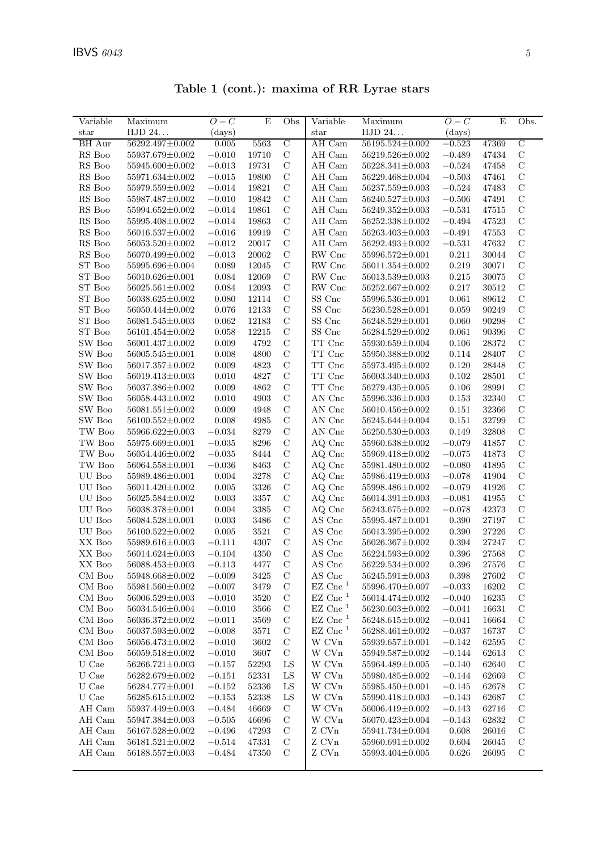| Variable              | Maximum                            | $O-C$        | E              | Obs            | Variable                           | Maximum                            | $O-C$       | E              | Obs.             |
|-----------------------|------------------------------------|--------------|----------------|----------------|------------------------------------|------------------------------------|-------------|----------------|------------------|
| $_{\rm star}$         | HJD 24                             | $\rm (days)$ |                |                | star                               | HJD 24                             | (days)      |                |                  |
| BH Aur                | 56292.497±0.002                    | 0.005        | 5563           | $\overline{C}$ | AH Cam                             | 56195.524±0.002                    | $-0.523$    | 47369          | $\mathcal{C}$    |
| RS Boo                | 55937.679±0.002                    | $-0.010$     | 19710          | $\mathbf C$    | AH Cam                             | 56219.526±0.002                    | $-0.489$    | 47434          | $\mathcal{C}$    |
| RS Boo                | 55945.600±0.002                    | $-0.013$     | 19731          | $\mathcal{C}$  | AH Cam                             | 56228.341±0.003                    | $-0.524$    | 47458          | $\mathcal{C}$    |
| RS Boo                | 55971.634±0.002                    | $-0.015$     | 19800          | $\mathbf C$    | AH Cam                             | 56229.468±0.004                    | $-0.503$    | 47461          | $\mathbf C$      |
| RS Boo                | 55979.559±0.002                    | $-0.014$     | 19821          | $\mathbf C$    | AH Cam                             | 56237.559±0.003                    | $-0.524$    | 47483          | $\mathbf C$      |
| RS Boo                | 55987.487±0.002                    | $-0.010$     | 19842          | $\mathcal{C}$  | AH Cam                             | 56240.527±0.003                    | $-0.506$    | 47491          | $\mathcal{C}$    |
| RS Boo                | 55994.652±0.002                    | $-0.014$     | 19861          | $\mathcal{C}$  | AH Cam                             | 56249.352±0.003                    | $-0.531$    | 47515          | $\mathcal{C}$    |
| RS Boo                | 55995.408±0.002                    | $-0.014$     | 19863          | $\mathcal{C}$  | AH Cam                             | 56252.338±0.002                    | $-0.494$    | 47523          | $\mathcal{C}$    |
| $\mathop{\rm RS}$ Boo | 56016.537±0.002                    | $-0.016$     | 19919          | $\mathcal{C}$  | AH Cam                             | 56263.403±0.003                    | $-0.491$    | 47553          | $\mathcal{C}$    |
| RS Boo                | 56053.520±0.002                    | $-0.012$     | 20017          | $\mathbf C$    | AH Cam                             | 56292.493±0.002                    | $-0.531$    | 47632          | $\mathbf C$      |
| RS Boo                | 56070.499±0.002                    | $-0.013$     | 20062          | $\mathbf C$    | RW Cnc                             | 55996.572±0.001                    | 0.211       | 30044          | $\mathcal{C}$    |
| ST Boo                | 55995.696±0.004                    | 0.089        | 12045          | $\mathbf C$    | RW Cnc                             | 56011.354±0.002                    | 0.219       | 30071          | $\mathcal{C}$    |
| ST Boo                | 56010.626±0.001                    | 0.084        | 12069          | $\mathcal{C}$  | RW Cnc                             | 56013.539±0.003                    | 0.215       | 30075          | С                |
| ST Boo                | $56025.561 \pm 0.002$              | 0.084        | 12093          | $\mathcal{C}$  | RW Cnc                             | 56252.667±0.002                    | 0.217       | $30512\,$      | $\mathcal{C}$    |
| ST Boo                | 56038.625±0.002                    | 0.080        | 12114          | $\mathbf C$    | ${\rm SS}$ Cnc                     | 55996.536±0.001                    | 0.061       | 89612          | $\mathbf C$      |
| ST Boo                | 56050.444±0.002                    | 0.076        | 12133          | $\mathbf C$    | SS Cnc                             | 56230.528±0.001                    | 0.059       | 90249          | $\mathbf C$      |
| ST Boo                | 56081.545±0.003                    | 0.062        | 12183          | $\mathcal{C}$  | SS Cnc                             | 56248.529±0.001                    | 0.060       | 90298          | $\mathcal{C}$    |
| ST Boo                | $56101.454\!\pm\!0.002$            | 0.058        | 12215          | $\mathcal{C}$  | $SS$ $\rm Cnc$                     | 56284.529±0.002                    | 0.061       | 90396          | $\mathcal{C}$    |
| SW Boo                | 56001.437±0.002                    | 0.009        | 4792           | $\mathbf C$    | TT Cnc                             | 55930.659±0.004                    | 0.106       | 28372          | $\mathcal{C}$    |
| SW Boo                | $56005.545 \pm 0.001$              | 0.008        | 4800           | $\mathcal{C}$  | TT Cnc                             | 55950.388±0.002                    | 0.114       | 28407          | $\mathcal{C}$    |
| SW Boo                | 56017.357±0.002                    | 0.009        | 4823           | $\mathcal{C}$  | TT Cnc                             | 55973.495±0.002                    | 0.120       | 28448          | $\mathcal{C}$    |
| SW Boo                | 56019.413±0.003                    | 0.010        | 4827           | $\mathbf C$    | $\operatorname{TT}$ Cnc            | 56003.340±0.003                    | 0.102       | 28501          | $\mathcal{C}$    |
| SW Boo                | 56037.386±0.002                    | 0.009        | 4862           | $\mathcal{C}$  | TT Cnc                             | 56279.435±0.005                    | 0.106       | 28991          | $\mathcal{C}$    |
| SW Boo                | 56058.443±0.002                    | 0.010        | 4903           | $\mathcal{C}$  | AN Cnc                             | 55996.336±0.003                    | 0.153       | 32340          | $\mathcal{C}$    |
| SW Boo                | $56081.551 \pm 0.002$              | 0.009        | 4948           | $\mathbf C$    | AN Cnc                             | 56010.456±0.002                    | 0.151       | 32366          | $\mathbf C$      |
| SW Boo                | $56100.552 \pm 0.002$              | 0.008        | 4985           | $\mathcal{C}$  | AN Cnc                             | 56245.644±0.004                    | 0.151       | 32799          | $\mathcal{C}$    |
| TW Boo                | 55966.622±0.003                    | $-0.034$     | 8279           | $\mathcal{C}$  | ${\rm AN}$ Cnc                     | $56250.530 \pm 0.003$              | 0.149       | 32808          | $\mathcal{C}$    |
| TW Boo                | 55975.669±0.001                    | $-0.035$     | 8296           | $\mathcal{C}$  | AQ Cnc                             | 55960.638±0.002                    | $-0.079$    | 41857          | $\mathcal{C}$    |
| TW Boo                | 56054.446±0.002                    | $-0.035$     | 8444           | $\mathcal{C}$  | AQ Cnc                             | 55969.418±0.002                    | $-0.075$    | 41873          | С                |
| TW Boo                | 56064.558±0.001                    | $-0.036$     | 8463           | $\mathcal{C}$  | AQ Cnc                             | 55981.480±0.002                    | $-0.080$    | 41895          | $\mathcal{C}$    |
| UU Boo                | 55989.486±0.001                    | 0.004        | 3278           | $\mathbf C$    | AQ Cnc                             | 55986.419±0.003                    | $-0.078$    | 41904          | $\mathbf C$      |
| UU Boo                | 56011.420±0.002                    | 0.005        | 3326           | $\mathcal{C}$  | AQ Cnc                             | 55998.486±0.002                    | $-0.079$    | 41926          | $\mathcal{C}$    |
| UU Boo                | 56025.584±0.002                    | 0.003        | 3357           | $\mathbf C$    | AQ Cnc                             | 56014.391±0.003                    | $-0.081$    | 41955          | $\mathbf C$      |
| UU Boo                | 56038.378±0.001                    | 0.004        | 3385           | $\mathcal{C}$  | AQ Cnc                             | 56243.675±0.002                    | $-0.078$    | 42373          | $\mathcal{C}$    |
| UU Boo                | 56084.528±0.001                    | 0.003        | 3486           | $\mathcal{C}$  | AS Cnc                             | 55995.487±0.001                    | 0.390       | 27197          | $\mathcal{C}$    |
| UU Boo                | 56100.522±0.002                    | 0.005        | 3521           | $\mathcal{C}$  | AS Cnc                             | 56013.395±0.002                    | 0.390       | 27226          | $\mathcal{C}$    |
| $\mathbf{XX}$ Boo     | 55989.616±0.003                    | $-0.111$     | 4307           | $\mathcal{C}$  | $\mathbf{A}\mathbf{S}$ Cnc         | 56026.367±0.002                    | 0.394       | 27247          | $\mathcal{C}$    |
| XX Boo                | 56014.624±0.003                    | $-0.104$     | 4350           | $\mathcal{C}$  | $\mathop{\rm AS}\nolimits$ Cnc     | 56224.593±0.002                    | 0.396       | 27568          | $\mathcal{C}$    |
| XX Boo                | $56088.453{\pm}0.003$              | $-0.113$     | 4477           | $\mathbf C$    | $\operatorname{AS}$ Cnc            | $56229.534{\pm}0.002$              | $\,0.396\,$ | $27576\,$      | $\mathbf C$      |
| CM Boo                | $55948.668{\pm}0.002$              | $-0.009$     | 3425           | $\mathcal{C}$  | AS Cnc                             | $56245.591 \pm 0.003$              | 0.398       | 27602          | $\mathbf C$      |
| CM Boo                | 55981.560±0.002                    | $-0.007$     | 3479           | $\mathcal{C}$  | $EZ$ Cnc <sup>1</sup>              | 55996.470±0.007                    | $-0.033$    | 16202          | $\mathcal{C}$    |
| CM Boo                | 56006.529±0.003                    | $-0.010$     | 3520           | $\mathcal{C}$  | $EZ$ Cnc <sup><math>1</math></sup> | 56014.474±0.002                    | $-0.040$    | 16235          | $\mathbf C$      |
| CM Boo                | 56034.546±0.004                    | $-0.010$     | 3566           | $\mathcal{C}$  | $EZ$ Cnc <sup>1</sup>              | 56230.603±0.002                    | $-0.041$    | 16631          | $\mathcal{C}$    |
| CM Boo                | 56036.372±0.002                    | $-0.011$     | 3569           | $\mathbf C$    | $EZ$ Cnc <sup>1</sup>              | 56248.615±0.002                    | $-0.041$    | 16664          | $\mathbf C$      |
| CM Boo                | 56037.593±0.002                    | $-0.008$     | 3571           | $\mathbf C$    | $EZ$ Cnc <sup>1</sup>              | 56288.461±0.002                    | $-0.037$    | 16737          | $\mathbf C$      |
| CM Boo                | 56056.473±0.002                    | $-0.010$     | 3602           | $\mathbf C$    | W CVn                              | 55939.657±0.001                    | $-0.142$    | 62595          | $\mathcal C$     |
| CM Boo                |                                    | $-0.010$     | 3607           | $\mathbf C$    | W CVn                              | 55949.587±0.002                    |             | 62613          | $\mathbf C$      |
|                       | 56059.518±0.002                    |              |                |                |                                    |                                    | $-0.144$    |                |                  |
| U Cae                 | 56266.721±0.003<br>56282.679±0.002 | $-0.157$     | 52293<br>52331 | LS             | $\rm W~CVn$<br>W CVn               | 55964.489±0.005<br>55980.485±0.002 | $-0.140$    | 62640<br>62669 | $\mathbf C$<br>С |
| U Cae                 |                                    | $-0.151$     |                | LS             |                                    |                                    | $-0.144$    |                |                  |
| U Cae                 | 56284.777±0.001                    | $-0.152$     | 52336          | LS             | W CVn<br>$\rm W~CVn$               | 55985.450±0.001                    | $-0.145$    | 62678          | $\mathcal{C}$    |
| U Cae                 | 56285.615±0.002                    | $-0.153$     | 52338          | LS             |                                    | 55990.418±0.003                    | $-0.143$    | 62687          | C                |
| AH Cam                | 55937.449±0.003                    | $-0.484$     | 46669          | $\mathcal{C}$  | W CVn                              | 56006.419±0.002                    | $-0.143$    | 62716          | $\mathcal C$     |
| AH Cam                | 55947.384±0.003                    | $-0.505$     | 46696          | $\mathbf C$    | W CVn                              | 56070.423±0.004                    | $-0.143$    | 62832          | $\mathcal C$     |
| AH Cam                | 56167.528±0.002                    | $-0.496$     | 47293          | $\mathcal{C}$  | Z CVn                              | 55941.734±0.004                    | 0.608       | 26016          | $\mathcal C$     |
| AH Cam                | 56181.521±0.002                    | $-0.514$     | 47331          | $\mathbf C$    | Z CVn                              | 55960.691±0.002                    | 0.604       | 26045          | $\mathcal{C}$    |
| AH Cam                | $56188.557 \pm 0.003$              | $-0.484$     | 47350          | $\mathcal{C}$  | Z CVn                              | 55993.404±0.005                    | 0.626       | 26095          | $\mathcal{C}$    |

Table 1 (cont.): maxima of RR Lyrae stars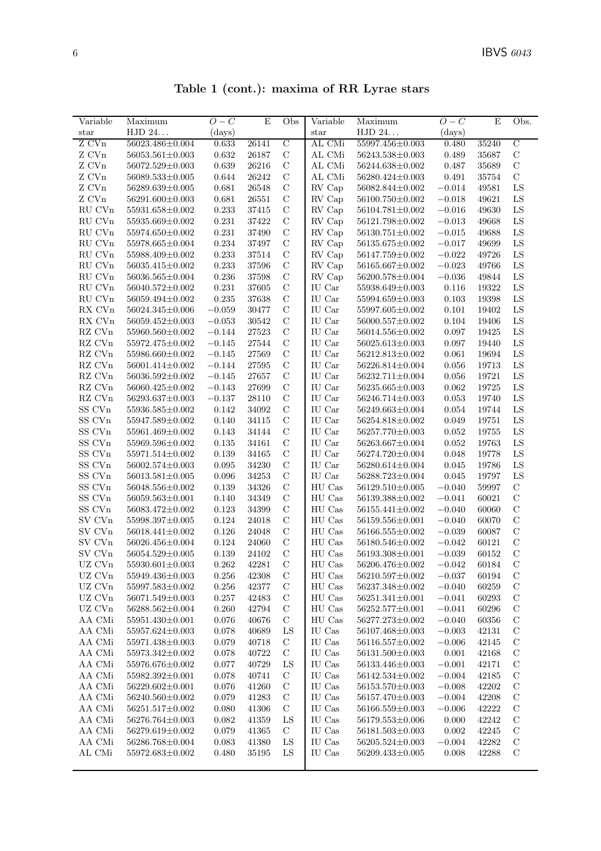| Table 1 (cont.): maxima of RR Lyrae stars |  |  |  |  |  |
|-------------------------------------------|--|--|--|--|--|
|-------------------------------------------|--|--|--|--|--|

| Variable               | Maximum               | $O-C$        | E     | Obs            | $\overline{\text{Variable}}$ | Maximum               | $O-C$    | E         | Obs.           |
|------------------------|-----------------------|--------------|-------|----------------|------------------------------|-----------------------|----------|-----------|----------------|
| $_{\rm star}$          | HJD 24                | $\rm (days)$ |       |                | star                         | HJD 24                | (days)   |           |                |
| Z CVn                  | 56023.486±0.004       | 0.633        | 26141 | $\overline{C}$ | AL CMi                       | 55997.456±0.003       | 0.480    | 35240     | $\overline{C}$ |
| ${\rm Z}$ CVn          | $56053.561 \pm 0.003$ | 0.632        | 26187 | $\mathbf C$    | AL CMi                       | $56243.538 \pm 0.003$ | 0.489    | 35687     | $\mathbf C$    |
| Z CVn                  | 56072.529±0.003       | 0.639        | 26216 | $\mathbf C$    | $\mathrm{AL}$ CMi            | 56244.638±0.002       | 0.487    | 35689     | $\mathbf C$    |
| Z CVn                  | $56089.533 \pm 0.005$ | 0.644        | 26242 | $\mathcal{C}$  | AL CMi                       | 56280.424±0.003       | 0.491    | 35754     | $\mathcal{C}$  |
| Z CVn                  | 56289.639±0.005       | 0.681        | 26548 | $\mathcal{C}$  | RV Cap                       | 56082.844±0.002       | $-0.014$ | 49581     | LS             |
| Z CVn                  | 56291.600±0.003       | 0.681        | 26551 | $\mathcal{C}$  | RV Cap                       | 56100.750±0.002       | $-0.018$ | 49621     | LS             |
| RU CVn                 | 55931.658±0.002       | 0.233        | 37415 | $\mathcal{C}$  | RV Cap                       | $56104.781 \pm 0.002$ | $-0.016$ | 49630     | $_{\rm LS}$    |
| RU CVn                 | 55935.669±0.002       | 0.231        | 37422 | $\mathbf C$    | RV Cap                       | 56121.798±0.002       | $-0.013$ | 49668     | ${\rm LS}$     |
| RU CVn                 | 55974.650±0.002       | 0.231        | 37490 | $\mathbf C$    | RV Cap                       | $56130.751 \pm 0.002$ | $-0.015$ | 49688     | LS             |
| RU CVn                 | 55978.665±0.004       | 0.234        | 37497 | $\mathcal{C}$  | RV Cap                       | $56135.675 \pm 0.002$ | $-0.017$ | 49699     | ${\rm LS}$     |
| RU CVn                 | 55988.409±0.002       | 0.233        | 37514 | $\mathcal{C}$  | RV Cap                       | 56147.759±0.002       | $-0.022$ | 49726     | LS             |
| RU CVn                 | 56035.415±0.002       | 0.233        | 37596 | $\mathbf C$    | RV Cap                       | 56165.667±0.002       | $-0.023$ | 49766     | $_{\rm LS}$    |
| RU CVn                 | 56036.565±0.004       | 0.236        | 37598 | $\mathbf C$    | RV Cap                       | 56200.578±0.004       | $-0.036$ | 49844     | ${\rm LS}$     |
| ${\rm RU}$ CVn         | 56040.572±0.002       | $0.231\,$    | 37605 | $\mathbf C$    | IU Car                       | 55938.649±0.003       | 0.116    | 19322     | LS             |
| ${\rm RU}$ CVn         | 56059.494±0.002       | 0.235        | 37638 | $\mathbf C$    | IU Car                       | 55994.659±0.003       | 0.103    | 19398     | LS             |
| RX CVn                 | 56024.345±0.006       | $-0.059$     | 30477 | $\mathcal{C}$  | IU Car                       | 55997.605±0.002       | 0.101    | 19402     | $_{\rm LS}$    |
| RX CVn                 | 56059.452±0.003       | $-0.053$     | 30542 | $\mathcal{C}$  | IU Car                       | 56000.557±0.002       | 0.104    | 19406     | LS             |
| RZ CVn                 | 55960.560±0.002       | $-0.144$     | 27523 | $\mathbf C$    | IU Car                       | 56014.556±0.002       | 0.097    | 19425     | $_{\rm LS}$    |
| RZ CVn                 | 55972.475±0.002       | $-0.145$     | 27544 | $\mathbf C$    | IU Car                       | 56025.613±0.003       | 0.097    | 19440     | LS             |
| RZ CVn                 | 55986.660±0.002       | $-0.145$     | 27569 | $\mathbf C$    | IU Car                       | 56212.813±0.002       | 0.061    | 19694     | LS             |
| RZ CVn                 | 56001.414±0.002       | $-0.144$     | 27595 | $\mathcal{C}$  | IU Car                       | 56226.814±0.004       | 0.056    | 19713     | ${\rm LS}$     |
| RZ CVn                 | 56036.592±0.002       | $-0.145$     | 27657 | $\mathcal{C}$  | IU Car                       | 56232.711±0.004       | 0.056    | 19721     | LS             |
| RZ CVn                 | 56060.425±0.002       | $-0.143$     | 27699 | $\mathbf C$    | IU Car                       | 56235.665±0.003       | 0.062    | 19725     | LS             |
| RZ CVn                 | 56293.637±0.003       | $-0.137$     | 28110 | $\mathcal{C}$  | IU Car                       | 56246.714±0.003       | 0.053    | 19740     | ${\rm LS}$     |
| $SS$ $\rm CVn$         | 55936.585±0.002       | 0.142        | 34092 | $\mathbf C$    | IU Car                       | 56249.663±0.004       | 0.054    | 19744     | LS             |
| $SS$ $\rm CVn$         | 55947.589±0.002       | 0.140        | 34115 | $\mathcal{C}$  | IU Car                       | 56254.818±0.002       | 0.049    | 19751     | ${\rm LS}$     |
| $SS$ $\rm CVn$         | 55961.469±0.002       | 0.143        | 34144 | $\mathcal{C}$  | IU Car                       | 56257.770±0.003       | 0.052    | 19755     | ${\rm LS}$     |
| SS CVn                 | 55969.596±0.002       | 0.135        | 34161 | $\mathcal{C}$  | IU Car                       | 56263.667±0.004       | 0.052    | 19763     | LS             |
| SS CVn                 | 55971.514±0.002       | 0.139        | 34165 | $\mathbf C$    | IU Car                       | 56274.720±0.004       | 0.048    | 19778     | LS             |
| SS CVn                 | 56002.574±0.003       | 0.095        | 34230 | $\mathbf C$    | IU Car                       | 56280.614±0.004       | 0.045    | 19786     | ${\rm LS}$     |
| $SS$ $\rm CVn$         | $56013.581 \pm 0.005$ | 0.096        | 34253 | $\mathbf C$    | IU Car                       | 56288.723±0.004       | 0.045    | 19797     | LS             |
| $SS$ $\rm CVn$         | 56048.556±0.002       | 0.139        | 34326 | $\mathbf C$    | HU Cas                       | $56129.510 \pm 0.005$ | $-0.040$ | 59997     | $\mathbf C$    |
| SS CVn                 | 56059.563±0.001       | 0.140        | 34349 | $\mathcal{C}$  | HU Cas                       | 56139.388±0.002       | $-0.041$ | 60021     | $\mathcal{C}$  |
| SS CVn                 | 56083.472±0.002       | 0.123        | 34399 | $\mathbf C$    | HU Cas                       | 56155.441±0.002       | $-0.040$ | 60060     | $\mathcal{C}$  |
| SV CVn                 | 55998.397±0.005       | 0.124        | 24018 | $\mathbf C$    | HU Cas                       | 56159.556±0.001       | $-0.040$ | 60070     | $\mathbf C$    |
| SV CVn                 | 56018.441±0.002       | 0.126        | 24048 | $\mathcal{C}$  | HU Cas                       | $56166.555 \pm 0.002$ | $-0.039$ | 60087     | $\mathbf C$    |
| ${\rm SV}$ ${\rm CVn}$ | $56026.456 \pm 0.004$ | 0.124        | 24060 | $\mathbf C$    | HU Cas                       | 56180.546±0.002       | $-0.042$ | 60121     | $\mathbf C$    |
| ${\rm SV}$ ${\rm CVn}$ | $56054.529 \pm 0.005$ | 0.139        | 24102 | $\mathbf C$    | HU Cas                       | 56193.308±0.001       | $-0.039$ | 60152     | $\mathbf C$    |
| UZ CVn                 | $55930.601 \pm 0.003$ | 0.262        | 42281 | С              | HU Cas                       | 56206.476±0.002       | $-0.042$ | $60184\,$ | C              |
| UZ CVn                 | 55949.436±0.003       | 0.256        | 42308 | $\mathcal{C}$  | HU Cas                       | $56210.597 \pm 0.002$ | $-0.037$ | 60194     | $\mathcal{C}$  |
| UZ CVn                 | 55997.583±0.002       | 0.256        | 42377 | $\mathcal{C}$  | HU Cas                       | 56237.348±0.002       | $-0.040$ | 60259     | $\mathcal{C}$  |
| UZ CVn                 | 56071.549±0.003       | 0.257        | 42483 | C              | HU Cas                       | $56251.341 \pm 0.001$ | $-0.041$ | 60293     | $\mathcal{C}$  |
| UZ CVn                 | 56288.562±0.004       | 0.260        | 42794 | $\mathcal{C}$  | HU Cas                       | $56252.577{\pm}0.001$ | $-0.041$ | 60296     | $\mathcal{C}$  |
| AA CMi                 | 55951.430±0.001       | 0.076        | 40676 | $\mathcal{C}$  | HU Cas                       | $56277.273 \pm 0.002$ | $-0.040$ | 60356     | $\mathbf C$    |
| AA CMi                 | 55957.624±0.003       | 0.078        | 40689 | LS             | IU Cas                       | 56107.468±0.003       | $-0.003$ | 42131     | $\mathcal{C}$  |
| AA CMi                 | 55971.438±0.003       | 0.079        | 40718 | $\mathcal{C}$  | IU Cas                       | 56116.557±0.002       | $-0.006$ | 42145     | $\mathcal{C}$  |
| AA CMi                 | 55973.342±0.002       | 0.078        | 40722 | $\mathcal{C}$  | IU Cas                       | $56131.500 \pm 0.003$ | 0.001    | 42168     | $\mathcal{C}$  |
| AA CMi                 | 55976.676±0.002       | 0.077        | 40729 | LS             | IU Cas                       | 56133.446±0.003       | $-0.001$ | 42171     | $\mathcal{C}$  |
| AA CMi                 | 55982.392±0.001       | 0.078        | 40741 | $\mathcal{C}$  | IU Cas                       | $56142.534\pm0.002$   | $-0.004$ | 42185     | $\mathcal{C}$  |
| AA CMi                 | $56229.602 \pm 0.001$ | 0.076        | 41260 | $\mathcal{C}$  | IU Cas                       | 56153.570±0.003       | $-0.008$ | 42202     | $\mathcal{C}$  |
| AA CMi                 | 56240.560±0.002       | 0.079        | 41283 | C              | IU Cas                       | 56157.470±0.003       | $-0.004$ | 42208     | $\mathcal{C}$  |
| AA CMi                 | 56251.517±0.002       | 0.080        | 41306 | $\mathcal{C}$  | IU Cas                       | $56166.559 \pm 0.003$ | $-0.006$ | 42222     | $\mathcal{C}$  |
| AA CMi                 | 56276.764±0.003       | 0.082        | 41359 | LS             | IU Cas                       | $56179.553 \pm 0.006$ | 0.000    | 42242     | $\mathcal{C}$  |
| AA CMi                 | 56279.619±0.002       | 0.079        | 41365 | $\mathcal{C}$  | IU Cas                       | $56181.503 \pm 0.003$ | 0.002    | 42245     | $\mathcal{C}$  |
| AA CMi                 | 56286.768±0.004       | 0.083        | 41380 | LS             | IU Cas                       | $56205.524 \pm 0.003$ | $-0.004$ | 42282     | $\mathcal{C}$  |
| AL CMi                 | 55972.683±0.002       | 0.480        | 35195 | LS             | IU Cas                       | 56209.433±0.005       | 0.008    | 42288     | C              |
|                        |                       |              |       |                |                              |                       |          |           |                |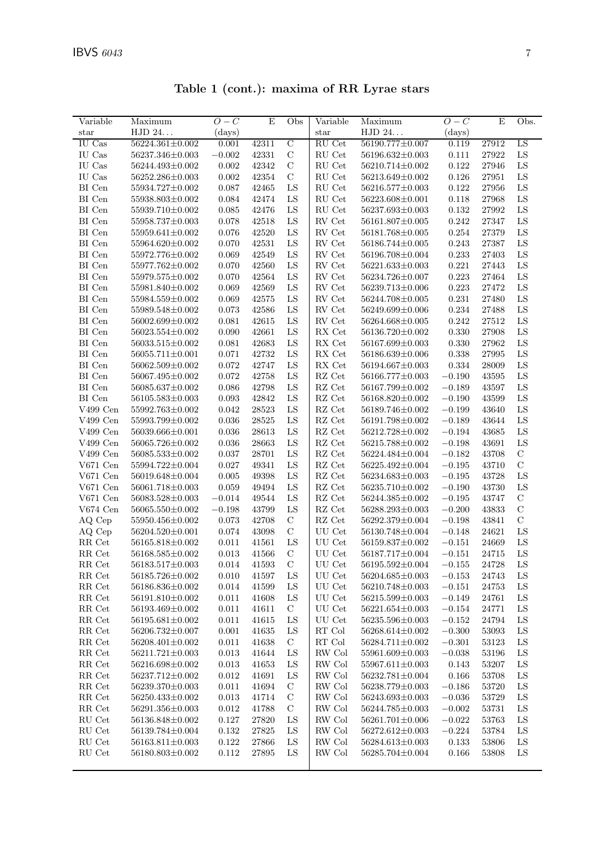| Variable                              | Maximum                 | $O-C$       | E         | Obs            | Variable                            | Maximum                 | $O-C$       | E     | Obs.          |
|---------------------------------------|-------------------------|-------------|-----------|----------------|-------------------------------------|-------------------------|-------------|-------|---------------|
| star                                  | HJD 24                  | (days)      |           |                | $_{\rm star}$                       | HJD 24                  | (days)      |       |               |
| <b>IU</b> Cas                         | 56224.361±0.002         | 0.001       | 42311     | $\overline{C}$ | RU Cet                              | 56190.777±0.007         | 0.119       | 27912 | LS            |
| IU Cas                                | 56237.346±0.003         | $-0.002$    | 42331     | $\mathbf C$    | RU Cet                              | 56196.632±0.003         | 0.111       | 27922 | ${\rm LS}$    |
| IU Cas                                | 56244.493±0.002         | 0.002       | 42342     | $\mathcal{C}$  | RU Cet                              | 56210.714±0.002         | 0.122       | 27946 | ${\rm LS}$    |
| IU Cas                                | 56252.286±0.003         | 0.002       | 42354     | $\mathbf C$    | RU Cet                              | 56213.649±0.002         | 0.126       | 27951 | ${\rm LS}$    |
| $\rm BI$ Cen                          | 55934.727±0.002         | 0.087       | 42465     | ${\rm LS}$     | RU Cet                              | 56216.577±0.003         | 0.122       | 27956 | ${\rm LS}$    |
| BI Cen                                | 55938.803±0.002         | 0.084       | 42474     | LS             | $\mathop{\mathrm{RU}}\nolimits$ Cet | 56223.608±0.001         | 0.118       | 27968 | ${\rm LS}$    |
| BI Cen                                | 55939.710±0.002         | 0.085       | 42476     | ${\rm LS}$     | RU Cet                              | 56237.693±0.003         | 0.132       | 27992 | ${\rm LS}$    |
| $\rm BI$ Cen                          | 55958.737±0.003         | 0.078       | 42518     | LS             | ${\rm RV}$ Cet                      | 56161.807±0.005         | $\,0.242\,$ | 27347 | ${\rm LS}$    |
| BI Cen                                | 55959.641±0.002         | 0.076       | 42520     | ${\rm LS}$     | RV Cet                              | 56181.768±0.005         | $0.254\,$   | 27379 | ${\rm LS}$    |
| BI Cen                                | 55964.620±0.002         | 0.070       | 42531     | ${\rm LS}$     | $\mathop{\rm RV}$ Cet               | 56186.744±0.005         | $\,0.243\,$ | 27387 | ${\rm LS}$    |
| $\rm BI$ Cen                          | 55972.776±0.002         | 0.069       | 42549     | ${\rm LS}$     | RV Cet                              | 56196.708±0.004         | 0.233       | 27403 | ${\rm LS}$    |
| BI Cen                                | 55977.762±0.002         | 0.070       | 42560     | LS             | RV Cet                              | 56221.633±0.003         | 0.221       | 27443 | ${\rm LS}$    |
| $\rm BI$ Cen                          | 55979.575±0.002         | 0.070       | 42564     | ${\rm LS}$     | RV Cet                              | 56234.726±0.007         | 0.223       | 27464 | ${\rm LS}$    |
| $\rm BI$ Cen                          | 55981.840±0.002         | 0.069       | 42569     | ${\rm LS}$     | RV Cet                              | 56239.713±0.006         | 0.223       | 27472 | ${\rm LS}$    |
| BI Cen                                | 55984.559±0.002         | 0.069       | 42575     | ${\rm LS}$     | RV Cet                              | 56244.708±0.005         | 0.231       | 27480 | ${\rm LS}$    |
| $\rm BI$ Cen                          | 55989.548±0.002         | 0.073       | 42586     | ${\rm LS}$     | RV Cet                              | 56249.699±0.006         | 0.234       | 27488 | ${\rm LS}$    |
| $\rm BI$ Cen                          | 56002.699±0.002         | 0.081       | 42615     | ${\rm LS}$     | ${\rm RV}$ Cet                      | 56264.668±0.005         | 0.242       | 27512 | ${\rm LS}$    |
| BI Cen                                | $56023.554 \pm 0.002$   | 0.090       | 42661     | ${\rm LS}$     | $RX$ Cet                            | 56136.720±0.002         | 0.330       | 27908 | ${\rm LS}$    |
| BI Cen                                | 56033.515±0.002         | 0.081       | 42683     | ${\rm LS}$     | ${\rm RX}$ Cet                      | 56167.699±0.003         | 0.330       | 27962 | ${\rm LS}$    |
| $\rm BI$ Cen                          | 56055.711±0.001         | 0.071       | 42732     | LS             | ${\rm RX}$ Cet                      | 56186.639±0.006         | $0.338\,$   | 27995 | LS            |
| $\rm BI$ Cen                          | 56062.509±0.002         | 0.072       | 42747     | ${\rm LS}$     | ${\sf RX}$ Cet                      | 56194.667±0.003         | $0.334\,$   | 28009 | ${\rm LS}$    |
| $\rm BI$ Cen                          | 56067.495±0.002         | $\,0.072\,$ | 42758     | ${\rm LS}$     | $\mathbf{R}\mathbf{Z}$ Cet          | 56166.777±0.003         | $-0.190$    | 43595 | ${\rm LS}$    |
| $\rm BI$ Cen                          | 56085.637±0.002         | 0.086       | 42798     | ${\rm LS}$     | $\mathbf{R}\mathbf{Z}$ Cet          | 56167.799±0.002         | $-0.189$    | 43597 | ${\rm LS}$    |
| BI Cen                                | $56105.583\pm0.003$     | $\,0.093\,$ | 42842     | ${\rm LS}$     | $\mathbf{R}\mathbf{Z}$ Cet          | 56168.820±0.002         | $-0.190$    | 43599 | ${\rm LS}$    |
| $V499$ Cen                            | 55992.763±0.002         | 0.042       | 28523     | ${\rm LS}$     | $\mathbf{R}\mathbf{Z}$ Cet          | 56189.746±0.002         | $-0.199$    | 43640 | ${\rm LS}$    |
| $V499$ Cen                            | 55993.799±0.002         | 0.036       | 28525     | LS             | RZ Cet                              | 56191.798±0.002         | $-0.189$    | 43644 | ${\rm LS}$    |
| V499 Cen                              | 56039.666±0.001         | 0.036       | 28613     | ${\rm LS}$     | $\mathbf{R}\mathbf{Z}$ Cet          | 56212.728±0.002         | $-0.194$    | 43685 | LS            |
| V499 Cen                              | 56065.726±0.002         | 0.036       | 28663     | ${\rm LS}$     | $\mathbf{R}\mathbf{Z}$ Cet          | 56215.788±0.002         | $-0.198$    | 43691 | LS            |
| V499 Cen                              | $56085.533{\pm}0.002$   | 0.037       | $28701\,$ | LS             | $\mathbf{R}\mathbf{Z}$ Cet          | 56224.484±0.004         | $-0.182$    | 43708 | $\mathbf C$   |
| $V671$ Cen                            | 55994.722±0.004         | $0.027\,$   | 49341     | ${\rm LS}$     | RZ Cet                              | 56225.492±0.004         | $-0.195$    | 43710 | $\mathbf C$   |
| $\rm V671$ Cen                        | 56019.648±0.004         | 0.005       | 49398     | ${\rm LS}$     | RZ Cet                              | 56234.683±0.003         | $-0.195$    | 43728 | ${\rm LS}$    |
| $V671$ Cen                            | 56061.718±0.003         | 0.059       | 49494     | ${\rm LS}$     | $\mathbf{R}\mathbf{Z}$ Cet          | 56235.710±0.002         | $-0.190$    | 43730 | ${\rm LS}$    |
| $\rm V671$ Cen                        | 56083.528±0.003         | $-0.014$    | 49544     | ${\rm LS}$     | $\mathbf{R}\mathbf{Z}$ Cet          | 56244.385±0.002         | $-0.195$    | 43747 | $\mathcal{C}$ |
| V674 Cen                              | $56065.550 \pm 0.002$   | $-0.198$    | 43799     | ${\rm LS}$     | $\mathbf{R}\mathbf{Z}$ Cet          | 56288.293±0.003         | $-0.200$    | 43833 | $\mathcal{C}$ |
| AQ Cep                                | 55950.456±0.002         | 0.073       | 42708     | $\mathbf C$    | $\mathbf{R}\mathbf{Z}$ Cet          | 56292.379±0.004         | $-0.198$    | 43841 | $\mathbf C$   |
| AQ Cep                                | 56204.520±0.001         | 0.074       | 43098     | $\mathcal{C}$  | UU Cet                              | 56130.748±0.004         | $-0.148$    | 24621 | ${\rm LS}$    |
| $\ensuremath{\mathsf{RR}}\xspace$ Cet | 56165.818±0.002         | 0.011       | 41561     | LS             | UU Cet                              | 56159.837±0.002         | $-0.151$    | 24669 | ${\rm LS}$    |
| ${\rm RR}$ Cet                        | 56168.585±0.002         | 0.013       | 41566     | $\mathbf C$    | UU Cet                              | 56187.717±0.004         | $-0.151$    | 24715 | LS            |
| RR Cet                                | $56183.517 \pm 0.003$   | 0.014       | 41593     | $\overline{C}$ | UU Cet                              | 56195.592±0.004         | $-0.155$    | 24728 | LS            |
| RR Cet                                | $56185.726{\pm}0.002$   | 0.010       | 41597     | LS             | $\rm UU$ Cet                        | $56204.685 \pm 0.003$   | $-0.153$    | 24743 | LS            |
| $\ensuremath{\mathsf{RR}}\xspace$ Cet | 56186.836±0.002         | 0.014       | 41599     | LS             | UU Cet                              | 56210.748±0.003         | $-0.151$    | 24753 | LS            |
| RR Cet                                | 56191.810±0.002         | $0.011\,$   | 41608     | LS             | UU Cet                              | 56215.599±0.003         | $-0.149$    | 24761 | $_{\rm LS}$   |
| $\ensuremath{\mathsf{RR}}\xspace$ Cet | 56193.469±0.002         | 0.011       | 41611     | $\mathcal{C}$  | UU Cet                              | $56221.654 \pm 0.003$   | $-0.154$    | 24771 | LS            |
| RR Cet                                | 56195.681±0.002         | 0.011       | 41615     | LS             | UU Cet                              | 56235.596±0.003         | $-0.152$    | 24794 | LS            |
| RR Cet                                | 56206.732±0.007         | $0.001\,$   | 41635     | LS             | RT Col                              | 56268.614±0.002         | $-0.300$    | 53093 | $_{\rm LS}$   |
| RR Cet                                | 56208.401±0.002         | 0.011       | 41638     | $\mathbf C$    | $\mathop{\rm RT}$ Col               | $56284.711{\pm}0.002$   | $-0.301$    | 53123 | LS            |
| RR Cet                                | $56211.721\!\pm\!0.003$ | $\,0.013\,$ | 41644     | LS             | RW Col                              | 55961.609±0.003         | $-0.038$    | 53196 | $_{\rm LS}$   |
| RR Cet                                | 56216.698±0.002         | 0.013       | 41653     | LS             | RW Col                              | 55967.611±0.003         | 0.143       | 53207 | $_{\rm LS}$   |
| RR Cet                                | 56237.712±0.002         | 0.012       | 41691     | LS             | RW Col                              | $56232.781 \pm 0.004$   | 0.166       | 53708 | $_{\rm LS}$   |
| ${\rm RR}$ Cet                        | $56239.370{\pm}0.003$   | $0.011\,$   | 41694     | $\mathcal{C}$  | $\ensuremath{\text{RW}}\xspace$ Col | 56238.779±0.003         | $-0.186$    | 53720 | $_{\rm LS}$   |
| $\ensuremath{\mathsf{RR}}\xspace$ Cet | 56250.433±0.002         | $\,0.013\,$ | 41714     | $\mathbf C$    | RW Col                              | 56243.693±0.003         | $-0.036$    | 53729 | LS            |
| RR Cet                                | $56291.356 \pm 0.003$   | 0.012       | 41788     | $\mathbf C$    | $\ensuremath{\text{RW}}\xspace$ Col | 56244.785±0.003         | $-0.002$    | 53731 | LS            |
| RU Cet                                | 56136.848±0.002         | $0.127\,$   | 27820     | LS             | RW Col                              | 56261.701±0.006         | $-0.022$    | 53763 | $_{\rm LS}$   |
| RU Cet                                | 56139.784±0.004         | $0.132\,$   | 27825     | LS             | RW Col                              | 56272.612±0.003         | $-0.224$    | 53784 | $_{\rm LS}$   |
| RU Cet                                | $56163.811 \pm 0.003$   | 0.122       | 27866     | LS             | RW Col                              | 56284.613±0.003         | 0.133       | 53806 | $_{\rm LS}$   |
| RU Cet                                | $56180.803{\pm}0.002$   | 0.112       | 27895     | LS             | RW Col                              | $56285.704 {\pm} 0.004$ | 0.166       | 53808 | $_{\rm LS}$   |
|                                       |                         |             |           |                |                                     |                         |             |       |               |

Table 1 (cont.): maxima of RR Lyrae stars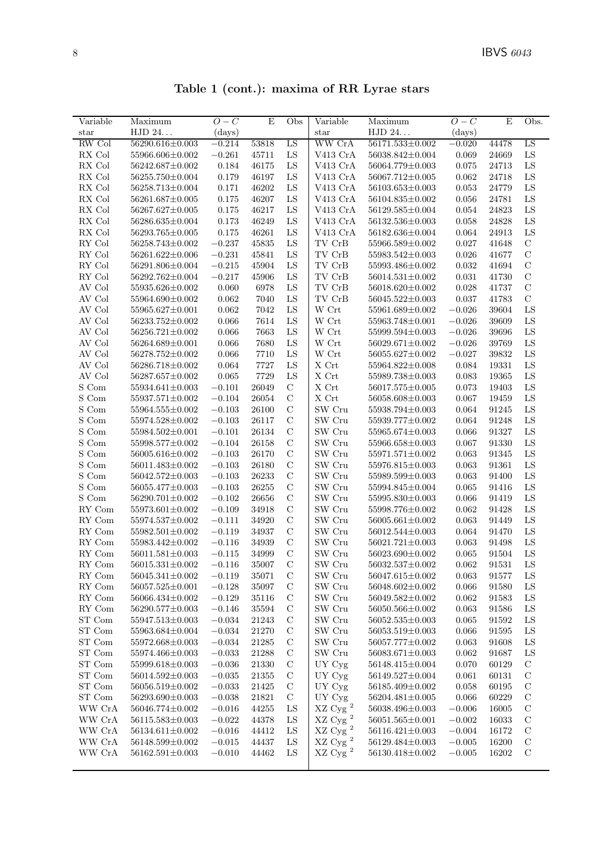| Table 1 (cont.): maxima of RR Lyrae stars |  |  |  |  |  |
|-------------------------------------------|--|--|--|--|--|
|-------------------------------------------|--|--|--|--|--|

| Variable                       | Maximum               | $O-C$    | E                    | Obs           | Variable                                 | Maximum               | $O-C$       | E     | Obs.          |
|--------------------------------|-----------------------|----------|----------------------|---------------|------------------------------------------|-----------------------|-------------|-------|---------------|
| star                           | HJD 24                | (days)   |                      |               | $_{\rm star}$                            | HJD 24                | (days)      |       |               |
| RW Col                         | 56290.616±0.003       | $-0.214$ | 53818                | LS            | WW CrA                                   | 56171.533±0.002       | $-0.020$    | 44478 | LS            |
| RX Col                         | 55966.606±0.002       | $-0.261$ | 45711                | LS            | V413 CrA                                 | 56038.842±0.004       | 0.069       | 24669 | ${\rm LS}$    |
| RX Col                         | 56242.687±0.002       | 0.184    | 46175                | ${\rm LS}$    | V413 CrA                                 | 56064.779±0.003       | 0.075       | 24713 | LS            |
| RX Col                         | 56255.750±0.004       | 0.179    | 46197                | LS            | V413 CrA                                 | 56067.712±0.005       | 0.062       | 24718 | LS            |
| RX Col                         | 56258.713±0.004       | 0.171    | 46202                | LS            | V413 CrA                                 | $56103.653 \pm 0.003$ | 0.053       | 24779 | LS            |
| RX Col                         | $56261.687 \pm 0.005$ | 0.175    | 46207                | LS            | V413 CrA                                 | 56104.835±0.002       | 0.056       | 24781 | LS            |
| RX Col                         | 56267.627±0.005       | 0.175    | 46217                | LS            | V413 CrA                                 | 56129.585±0.004       | 0.054       | 24823 | LS            |
| RX Col                         | 56286.635±0.004       | 0.173    | 46249                | LS            | V413 CrA                                 | 56132.536±0.003       | 0.058       | 24828 | LS            |
| RX Col                         | 56293.765±0.005       | 0.175    | 46261                | ${\rm LS}$    | V413 CrA                                 | 56182.636±0.004       | $\,0.064\,$ | 24913 | LS            |
| RY Col                         | 56258.743±0.002       | $-0.237$ | 45835                | LS            | TV CrB                                   | 55966.589±0.002       | 0.027       | 41648 | $\mathcal{C}$ |
| RY Col                         | 56261.622±0.006       | $-0.231$ | 45841                | LS            | $\operatorname{TV}$ $\operatorname{CrB}$ | 55983.542±0.003       | 0.026       | 41677 | $\mathbf C$   |
| RY Col                         | 56291.806±0.004       | $-0.215$ | 45904                | LS            | TV CrB                                   | 55993.486±0.002       | 0.032       | 41694 | $\mathcal{C}$ |
| RY Col                         | 56292.762±0.004       | $-0.217$ | 45906                | LS            | TV CrB                                   | $56014.531 \pm 0.002$ | 0.031       | 41730 | $\mathcal{C}$ |
| AV Col                         | 55935.626±0.002       | 0.060    | 6978                 | LS            | $\operatorname{TV}$ $\operatorname{CrB}$ | 56018.620±0.002       | 0.028       | 41737 | $\mathcal{C}$ |
| AV Col                         | 55964.690±0.002       | 0.062    | 7040                 | LS            | TV CrB                                   | 56045.522±0.003       | 0.037       | 41783 | $\mathcal{C}$ |
| AV Col                         | 55965.627±0.001       | 0.062    | 7042                 | LS            | W Crt                                    | 55961.689±0.002       | $-0.026$    | 39604 | LS            |
| AV Col                         | 56233.752±0.002       | 0.066    | 7614                 | LS            | W Crt                                    | 55963.748±0.001       | $-0.026$    | 39609 | LS            |
| AV Col                         | 56256.721±0.002       | 0.066    | 7663                 | LS            | W Crt                                    | 55999.594±0.003       | $-0.026$    | 39696 | LS            |
| AV Col                         | 56264.689±0.001       | 0.066    | 7680                 | LS            | W Crt                                    | 56029.671±0.002       | $-0.026$    | 39769 | LS            |
| AV Col                         | 56278.752±0.002       | 0.066    | 7710                 | LS            | W Crt                                    | 56055.627±0.002       | $-0.027$    | 39832 | LS            |
| AV Col                         | 56286.718±0.002       | 0.064    | 7727                 | LS            | $\mathbf X$ Crt                          | 55964.822±0.008       | 0.084       | 19331 | LS            |
| AV Col                         | 56287.657±0.002       | 0.065    | 7729                 | LS            | $\mathbf X$ Crt                          | 55989.738±0.003       | $\,0.083\,$ | 19365 | LS            |
| S Com                          | 55934.641±0.003       | $-0.101$ | 26049                | $\mathcal{C}$ | X Crt                                    | 56017.575±0.005       | 0.073       | 19403 | LS            |
| S Com                          | 55937.571±0.002       | $-0.104$ | 26054                | $\mathcal{C}$ | $\mathbf X$ Crt                          | 56058.608±0.003       | 0.067       | 19459 | ${\rm LS}$    |
| S Com                          | 55964.555±0.002       | $-0.103$ | 26100                | $\mathcal{C}$ | SW Cru                                   | 55938.794±0.003       | 0.064       | 91245 | LS            |
| S Com                          | 55974.528±0.002       | $-0.103$ | 26117                | $\mathbf C$   | SW Cru                                   | 55939.777±0.002       | 0.064       | 91248 | LS            |
| S Com                          | 55984.502±0.001       | $-0.101$ | 26134                | $\mathbf C$   | SW Cru                                   | 55965.674±0.003       | 0.066       | 91327 | LS            |
| S Com                          | 55998.577±0.002       | $-0.104$ | 26158                | $\mathbf C$   | SW Cru                                   | 55966.658±0.003       | 0.067       | 91330 | LS            |
| S Com                          | 56005.616±0.002       | $-0.103$ | 26170                | $\mathcal{C}$ | SW Cru                                   | 55971.571±0.002       | 0.063       | 91345 | LS            |
| $\mathcal S$ Com               | 56011.483±0.002       | $-0.103$ | 26180                | $\mathbf C$   | SW Cru                                   | 55976.815±0.003       | 0.063       | 91361 | LS            |
| S Com                          | 56042.572±0.003       | $-0.103$ | 26233                | $\mathcal{C}$ | SW Cru                                   | 55989.599±0.003       | 0.063       | 91400 | LS            |
| S Com                          | 56055.477±0.003       | $-0.103$ | 26255                | $\mathbf C$   | SW Cru                                   | 55994.845±0.004       | 0.065       | 91416 | LS            |
| S Com                          | $56290.701 \pm 0.002$ | $-0.102$ | 26656                | $\mathbf C$   | SW Cru                                   | 55995.830±0.003       | 0.066       | 91419 | LS            |
| RY Com                         | $55973.601 \pm 0.002$ | $-0.109$ | 34918                | $\mathbf C$   | SW Cru                                   | 55998.776±0.002       | 0.062       | 91428 | LS            |
| RY Com                         | $55974.537 \pm 0.002$ | $-0.111$ | 34920                | $\mathcal{C}$ | SW Cru                                   | 56005.661±0.002       | 0.063       | 91449 | LS            |
| RY Com                         | $55982.501 \pm 0.002$ | $-0.119$ | 34937                | $\mathcal{C}$ | SW Cru                                   | 56012.544±0.003       | 0.064       | 91470 | LS            |
| RY Com                         | 55983.442±0.002       | $-0.116$ | 34939                | $\mathbf C$   | SW Cru                                   | $56021.721 \pm 0.003$ | 0.063       | 91498 | ${\rm LS}$    |
| RY Com                         | $56011.581 \pm 0.003$ | $-0.115$ | 34999                | $\mathbf C$   | SW Cru                                   | 56023.690±0.002       | 0.065       | 91504 | LS            |
| $\mathop{\rm RY}\nolimits$ Com | $56015.331\pm0.002$   | $-0.116$ | $35007\,$            | $\mathbf C$   | SW Cru                                   | $56032.537{\pm}0.002$ | $\,0.062\,$ | 91531 | LS            |
| RY Com                         | 56045.341±0.002       | $-0.119$ | 35071                | $\mathcal{C}$ | SW Cru                                   | 56047.615±0.002       | 0.063       | 91577 | LS            |
| RY Com                         | $56057.525 \pm 0.001$ | $-0.128$ | 35097                | $\mathcal{C}$ | SW Cru                                   | 56048.602±0.002       | 0.066       | 91580 | LS            |
| RY Com                         | 56066.434±0.002       | $-0.129$ | 35116                | $\mathbf C$   | SW Cru                                   | 56049.582±0.002       | 0.062       | 91583 | LS            |
| $\mathop{\rm RY}\nolimits$ Com | 56290.577±0.003       | $-0.146$ | $35594\,$            | $\mathcal{C}$ | SW Cru                                   | 56050.566±0.002       | 0.063       | 91586 | LS            |
| ${\rm ST}$ Com                 | 55947.513±0.003       | $-0.034$ | 21243                | $\mathbf C$   | SW Cru                                   | $56052.535 \pm 0.003$ | 0.065       | 91592 | LS            |
| ST Com                         | 55963.684±0.004       | $-0.034$ | 21270                | $\mathbf C$   | $\rm SW$ $\rm Cru$                       | 56053.519±0.003       | 0.066       | 91595 | LS            |
| ST Com                         | 55972.668±0.003       | $-0.034$ | $\boldsymbol{21285}$ | $\mathcal{C}$ | SW Cru                                   | 56057.777±0.002       | 0.063       | 91608 | LS            |
| ST Com                         | 55974.466±0.003       | $-0.033$ | 21288                | $\mathcal{C}$ | SW Cru                                   | 56083.671±0.003       | 0.062       | 91687 | LS            |
| ST Com                         | 55999.618±0.003       | $-0.036$ | 21330                | $\mathcal{C}$ | UY Cyg                                   | 56148.415±0.004       | 0.070       | 60129 | $\mathbf C$   |
| ST Com                         | 56014.592±0.003       | $-0.035$ | 21355                | $\mathbf C$   | UY Cyg                                   | 56149.527±0.004       | 0.061       | 60131 | $\mathbf C$   |
| ST Com                         | 56056.519±0.002       | $-0.033$ | $21425\,$            | $\mathbf C$   | UY Cyg                                   | 56185.409±0.002       | 0.058       | 60195 | $\mathbf C$   |
| ST Com                         | 56293.690±0.003       | $-0.038$ | 21821                | $\mathbf C$   | UY Cyg                                   | 56204.481±0.005       | 0.066       | 60229 | $\mathbf C$   |
| WW CrA                         | 56046.774±0.002       | $-0.016$ | 44255                | $_{\rm LS}$   | $\rm XZ$ Cyg $^2$                        | 56038.496±0.003       | $-0.006$    | 16005 | $\mathbf C$   |
| WW CrA                         | 56115.583±0.003       | $-0.022$ | 44378                | LS            | $XZ$ Cyg <sup>2</sup>                    | $56051.565 \pm 0.001$ | $-0.002$    | 16033 | $\mathbf C$   |
| WW CrA                         | 56134.611±0.002       | $-0.016$ | 44412                | $_{\rm LS}$   | $\rm XZ$ Cyg $^2$                        | $56116.421 \pm 0.003$ | $-0.004$    | 16172 | $\mathbf C$   |
| WW CrA                         | 56148.599±0.002       | $-0.015$ | 44437                | $_{\rm LS}$   | $\rm XZ$ Cyg $^2$                        | 56129.484±0.003       | $-0.005$    | 16200 | $\mathcal{C}$ |
| WW CrA                         | $56162.591 \pm 0.003$ | $-0.010$ | 44462                | LS            | $XZ$ Cyg <sup>2</sup>                    | 56130.418±0.002       | $-0.005$    | 16202 | $\mathcal{C}$ |
|                                |                       |          |                      |               |                                          |                       |             |       |               |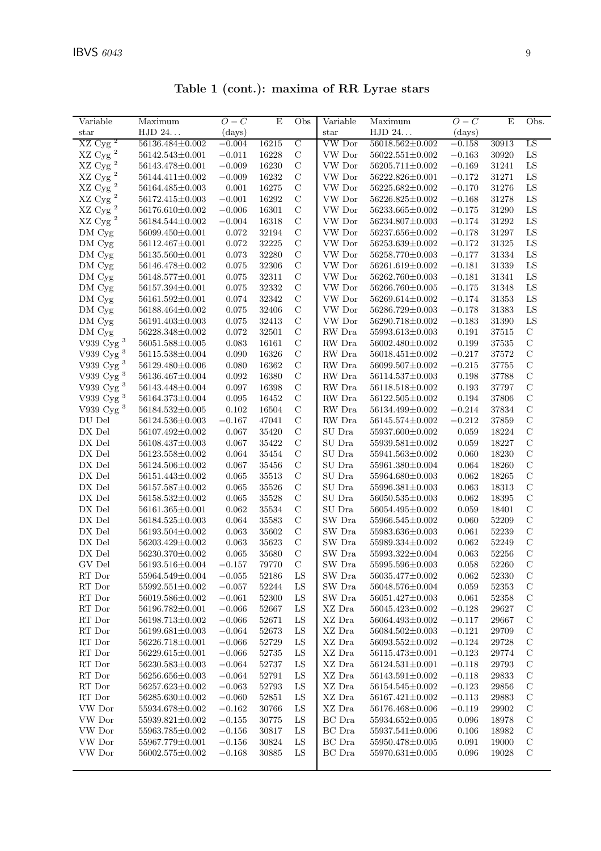| Variable                 | Maximum               | $O-C$    | E     | Obs            | Variable       | Maximum               | $O-C$        | $\mathbf E$ | Obs.          |
|--------------------------|-----------------------|----------|-------|----------------|----------------|-----------------------|--------------|-------------|---------------|
| star                     | HJD 24                | (days)   |       |                | $_{\rm star}$  | HJD 24                | $\rm (days)$ |             |               |
| $\overline{z}$<br>XZ Cyg | 56136.484±0.002       | $-0.004$ | 16215 | $\overline{C}$ | <b>VW</b> Dor  | 56018.562±0.002       | $-0.158$     | 30913       | LS            |
| $\rm XZ$ Cy<br>g $^2$    | $56142.543{\pm}0.001$ | $-0.011$ | 16228 | $\mathbf C$    | VW Dor         | $56022.551 \pm 0.002$ | $-0.163$     | 30920       | ${\rm LS}$    |
| $\rm XZ$ Cyg $^2$        | 56143.478±0.001       | $-0.009$ | 16230 | $\mathbf C$    | VW Dor         | 56205.711±0.002       | $-0.169$     | 31241       | ${\rm LS}$    |
| $\rm XZ$ Cyg $^2$        | 56144.411±0.002       | $-0.009$ | 16232 | $\mathbf C$    | VW Dor         | 56222.826±0.001       | $-0.172$     | 31271       | ${\rm LS}$    |
| $\rm XZ$ Cyg $^2$        | 56164.485±0.003       | 0.001    | 16275 | $\mathbf C$    | VW Dor         | 56225.682±0.002       | $-0.170$     | 31276       | LS            |
| $\rm XZ$ Cyg $^2$        | 56172.415±0.003       | $-0.001$ | 16292 | $\mathbf C$    | VW Dor         | $56226.825 \pm 0.002$ | $-0.168$     | 31278       | ${\rm LS}$    |
| $\rm XZ$ Cyg $^2$        | 56176.610±0.002       | $-0.006$ | 16301 | $\mathcal{C}$  | VW Dor         | 56233.665±0.002       | $-0.175$     | 31290       | ${\rm LS}$    |
| $XZ$ Cyg <sup>2</sup>    | 56184.544±0.002       | $-0.004$ | 16318 | $\mathbf C$    | VW Dor         | 56234.807±0.003       | $-0.174$     | 31292       | ${\rm LS}$    |
| DM Cyg                   | 56099.450±0.001       | 0.072    | 32194 | $\mathbf C$    | VW Dor         | 56237.656±0.002       | $-0.178$     | 31297       | ${\rm LS}$    |
| DM Cyg                   | 56112.467±0.001       | 0.072    | 32225 | $\mathcal{C}$  | VW Dor         | $56253.639 \pm 0.002$ | $-0.172$     | 31325       | ${\rm LS}$    |
| DM Cyg                   | 56135.560±0.001       | 0.073    | 32280 | $\mathcal{C}$  | VW Dor         | 56258.770±0.003       | $-0.177$     | 31334       | LS            |
| DM Cyg                   | 56146.478±0.002       | 0.075    | 32306 | $\mathbf C$    | VW Dor         | 56261.619±0.002       | $-0.181$     | 31339       | ${\rm LS}$    |
| DM Cyg                   | 56148.577±0.001       | 0.075    | 32311 | $\mathbf C$    | VW Dor         | 56262.760±0.003       | $-0.181$     | 31341       | ${\rm LS}$    |
| $DM\,$ Cyg               | 56157.394±0.001       | 0.075    | 32332 | $\mathcal{C}$  | VW Dor         | 56266.760±0.005       | $-0.175$     | 31348       | ${\rm LS}$    |
| DM Cyg                   | 56161.592±0.001       | 0.074    | 32342 | $\mathbf C$    | VW Dor         | 56269.614±0.002       | $-0.174$     | 31353       | ${\rm LS}$    |
| DM Cyg                   | 56188.464±0.002       | 0.075    | 32406 | $\mathbf C$    | VW Dor         | 56286.729±0.003       | $-0.178$     | 31383       | ${\rm LS}$    |
| DM Cyg                   | 56191.403±0.003       | 0.075    | 32413 | $\mathbf C$    | VW Dor         | 56290.718±0.002       | $-0.183$     | 31390       | ${\rm LS}$    |
| DM Cyg                   | 56228.348±0.002       | 0.072    | 32501 | $\mathbf C$    | RW Dra         | 55993.613±0.003       | 0.191        | 37515       | $\mathbf C$   |
| V939 Cyg $^3$            | $56051.588 \pm 0.005$ | 0.083    | 16161 | $\mathbf C$    | RW Dra         | 56002.480±0.002       | 0.199        | 37535       | $\mathbf C$   |
| V939 Cyg $^3$            | 56115.538±0.004       | 0.090    | 16326 | $\mathbf C$    | RW Dra         | $56018.451 \pm 0.002$ | $-0.217$     | 37572       | $\mathbf C$   |
| V939 Cyg $^3$            | 56129.480±0.006       | 0.080    | 16362 | $\mathbf C$    | ${\rm RW}$ Dra | 56099.507±0.002       | $-0.215$     | 37755       | $\mathcal{C}$ |
| V939 $\mathrm{Cyg}$ $^3$ | 56136.467±0.004       | 0.092    | 16380 | $\mathcal{C}$  | RW Dra         | $56114.537 \pm 0.003$ | 0.198        | 37788       | $\mathcal{C}$ |
| V939 Cyg $^3$            | 56143.448±0.004       | 0.097    | 16398 | $\mathbf C$    | RW Dra         | 56118.518±0.002       | 0.193        | 37797       | $\mathbf C$   |
| V939 Cyg $^3$            | 56164.373±0.004       | 0.095    | 16452 | $\mathbf C$    | RW Dra         | 56122.505±0.002       | 0.194        | 37806       | $\mathcal{C}$ |
| V939 Cyg <sup>3</sup>    | 56184.532±0.005       | 0.102    | 16504 | $\mathcal{C}$  | RW Dra         | 56134.499±0.002       | $-0.214$     | $37834\,$   | $\mathcal{C}$ |
| DU Del                   | 56124.536±0.003       | $-0.167$ | 47041 | $\mathbf C$    | RW Dra         | 56145.574±0.002       | $-0.212$     | $37859\,$   | $\mathcal{C}$ |
| DX Del                   | 56107.492±0.002       | 0.067    | 35420 | $\mathbf C$    | SU Dra         | 55937.600±0.002       | 0.059        | 18224       | $\mathcal{C}$ |
| DX Del                   | 56108.437±0.003       | 0.067    | 35422 | $\mathbf C$    | SU Dra         | 55939.581±0.002       | 0.059        | 18227       | $\mathcal{C}$ |
| ${\rm D}X$ Del           | 56123.558±0.002       | 0.064    | 35454 | $\mathbf C$    | SU Dra         | 55941.563±0.002       | 0.060        | 18230       | $\mathcal{C}$ |
| DX Del                   | 56124.506±0.002       | 0.067    | 35456 | $\mathbf C$    | SU Dra         | 55961.380±0.004       | 0.064        | 18260       | $\mathcal{C}$ |
| DX Del                   | 56151.443±0.002       | 0.065    | 35513 | $\mathbf C$    | SU Dra         | 55964.680±0.003       | 0.062        | 18265       | $\mathcal{C}$ |
| DX Del                   | 56157.587±0.002       | 0.065    | 35526 | $\mathbf C$    | SU Dra         | 55996.381±0.003       | 0.063        | 18313       | $\mathcal{C}$ |
| ${\rm D}X$ Del           | 56158.532±0.002       | 0.065    | 35528 | $\mathbf C$    | ${\rm SU~Dra}$ | $56050.535 \pm 0.003$ | 0.062        | 18395       | $\mathcal{C}$ |
| DX Del                   | 56161.365±0.001       | 0.062    | 35534 | $\mathbf C$    | SU Dra         | 56054.495±0.002       | 0.059        | 18401       | $\mathcal{C}$ |
| DX Del                   | 56184.525±0.003       | 0.064    | 35583 | $\mathbf C$    | SW Dra         | 55966.545±0.002       | 0.060        | 52209       | $\mathcal{C}$ |
| DX Del                   | 56193.504±0.002       | 0.063    | 35602 | $\mathcal{C}$  | SW Dra         | 55983.636±0.003       | 0.061        | 52239       | $\mathcal{C}$ |
| DX Del                   | 56203.429±0.002       | 0.063    | 35623 | $\mathbf C$    | SW Dra         | 55989.334±0.002       | 0.062        | 52249       | $\mathcal{C}$ |
| DX Del                   | 56230.370±0.002       | 0.065    | 35680 | $\mathcal{C}$  | SW Dra         | 55993.322±0.004       | 0.063        | 52256       | $\mathcal{C}$ |
| GV Del                   | $56193.516 \pm 0.004$ | $-0.157$ | 79770 | $\mathcal{C}$  | SW Dra         | $55995.596 \pm 0.003$ | 0.058        | 52260       | $\mathcal{C}$ |
| RT Dor                   | 55964.549±0.004       | $-0.055$ | 52186 | ${\rm LS}$     | SW Dra         | $56035.477 \pm 0.002$ | 0.062        | 52330       | $\mathcal{C}$ |
| RT Dor                   | $55992.551 \pm 0.002$ | $-0.057$ | 52244 | LS             | SW Dra         | 56048.576±0.004       | 0.059        | 52353       | $\mathcal{C}$ |
| $\mathop{\rm RT}$ Dor    | 56019.586±0.002       | $-0.061$ | 52300 | LS             | SW Dra         | 56051.427±0.003       | 0.061        | 52358       | $\mathcal{C}$ |
| RT Dor                   | 56196.782±0.001       | $-0.066$ | 52667 | LS             | XZ Dra         | 56045.423±0.002       | $-0.128$     | 29627       | $\mathbf C$   |
| RT Dor                   | 56198.713±0.002       | $-0.066$ | 52671 | LS             | XZ Dra         | 56064.493±0.002       | $-0.117$     | 29667       | $\mathcal{C}$ |
| RT Dor                   | 56199.681±0.003       | $-0.064$ | 52673 | LS             | XZ Dra         | 56084.502±0.003       | $-0.121$     | 29709       | $\mathcal{C}$ |
| RT Dor                   | 56226.718±0.001       | $-0.066$ | 52729 | LS             | XZ Dra         | $56093.552 \pm 0.002$ | $-0.124$     | 29728       | $\mathcal{C}$ |
| RT Dor                   | 56229.615±0.001       | $-0.066$ | 52735 | LS             | XZ Dra         | $56115.473 \pm 0.001$ | $-0.123$     | 29774       | $\mathcal{C}$ |
| $\operatorname{RT}$ Dor  | 56230.583±0.003       | $-0.064$ | 52737 | LS             | $\rm XZ$ Dra   | $56124.531 \pm 0.001$ | $-0.118$     | 29793       | $\mathcal{C}$ |
| RT Dor                   | 56256.656±0.003       | $-0.064$ | 52791 | LS             | XZ Dra         | $56143.591 \pm 0.002$ | $-0.118$     | 29833       | $\mathbf C$   |
| RT Dor                   | 56257.623±0.002       | $-0.063$ | 52793 | LS             | XZ Dra         | 56154.545±0.002       | $-0.123$     | 29856       | $\mathcal{C}$ |
| $\mathop{\rm RT}$ Dor    | 56285.630±0.002       | $-0.060$ | 52851 | LS             | XZ Dra         | $56167.421 \pm 0.002$ | $-0.113$     | 29883       | $\mathcal{C}$ |
| VW Dor                   | 55934.678±0.002       | $-0.162$ | 30766 | LS             | XZ Dra         | 56176.468±0.006       | $-0.119$     | 29902       | $\mathcal{C}$ |
| VW Dor                   | 55939.821±0.002       | $-0.155$ | 30775 | LS             | BC Dra         | 55934.652±0.005       | 0.096        | 18978       | $\mathcal{C}$ |
| VW Dor                   | 55963.785±0.002       | $-0.156$ | 30817 | LS             | BC Dra         | 55937.541±0.006       | 0.106        | 18982       | $\mathcal{C}$ |
| VW Dor                   | 55967.779±0.001       | $-0.156$ | 30824 | LS             | BC Dra         | 55950.478±0.005       | 0.091        | 19000       | $\mathbf C$   |
| VW Dor                   | 56002.575±0.002       | $-0.168$ | 30885 | LS             | BC Dra         | $55970.631 \pm 0.005$ | 0.096        | 19028       | $\mathcal{C}$ |
|                          |                       |          |       |                |                |                       |              |             |               |

Table 1 (cont.): maxima of RR Lyrae stars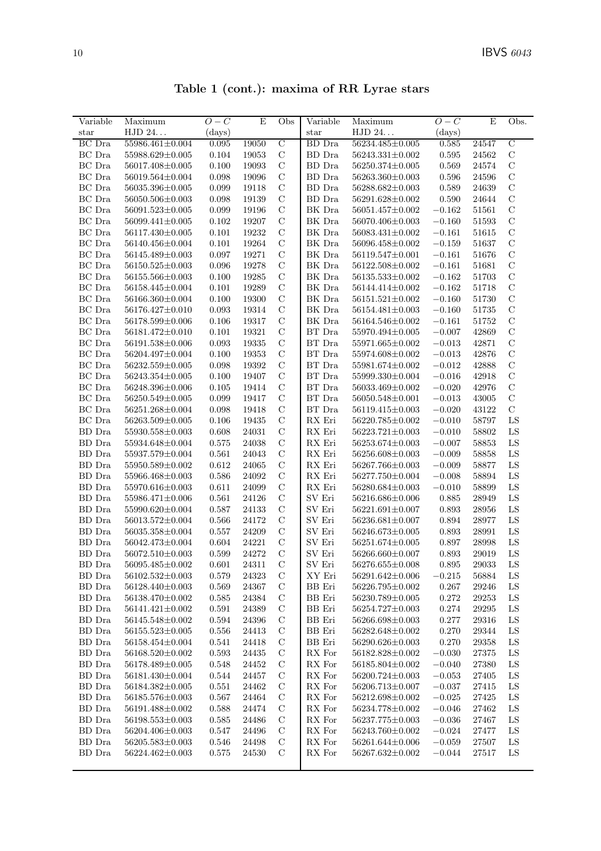| Table 1 (cont.): maxima of RR Lyrae stars |  |  |  |  |  |
|-------------------------------------------|--|--|--|--|--|
|-------------------------------------------|--|--|--|--|--|

| Variable       | Maximum                 | $O-C$        | E     | Obs            | Variable                    | Maximum                 | $O-C$       | E                                    | Obs.           |
|----------------|-------------------------|--------------|-------|----------------|-----------------------------|-------------------------|-------------|--------------------------------------|----------------|
| $_{\rm star}$  | HJD 24                  | $\rm (days)$ |       |                | $_{\rm star}$               | HJD 24                  | (days)      |                                      |                |
| <b>BC</b> Dra  | 55986.461±0.004         | 0.095        | 19050 | $\overline{C}$ | <b>BD</b> Dra               | 56234.485±0.005         | 0.585       | 24547                                | $\overline{C}$ |
| BC Dra         | 55988.629±0.005         | 0.104        | 19053 | $\mathbf C$    | <b>BD</b> Dra               | $56243.331 \pm 0.002$   | 0.595       | 24562                                | $\mathbf C$    |
| BC Dra         | 56017.408±0.005         | 0.100        | 19093 | $\mathcal{C}$  | BD Dra                      | 56250.374±0.005         | 0.569       | 24574                                | $\mathcal{C}$  |
| BC Dra         | 56019.564±0.004         | 0.098        | 19096 | $\mathcal{C}$  | BD Dra                      | 56263.360±0.003         | 0.596       | 24596                                | $\mathbf C$    |
| BC Dra         | 56035.396±0.005         | 0.099        | 19118 | $\mathcal{C}$  | BD Dra                      | 56288.682±0.003         | 0.589       | 24639                                | $\mathcal{C}$  |
| BC Dra         | 56050.506±0.003         | 0.098        | 19139 | $\mathcal{C}$  | BD Dra                      | 56291.628±0.002         | 0.590       | 24644                                | $\mathcal{C}$  |
| BC Dra         | $56091.523 \pm 0.005$   | 0.099        | 19196 | $\mathcal{C}$  | BK Dra                      | 56051.457±0.002         | $-0.162$    | 51561                                | $\mathbf C$    |
| BC Dra         | 56099.441±0.005         | 0.102        | 19207 | $\mathcal{C}$  | BK Dra                      | 56070.406±0.003         | $-0.160$    | 51593                                | $\mathcal{C}$  |
| BC Dra         | 56117.430±0.005         | 0.101        | 19232 | $\mathbf C$    | BK Dra                      | $56083.431 \pm 0.002$   | $-0.161$    | 51615                                | $\mathcal{C}$  |
| BC Dra         | 56140.456±0.004         | 0.101        | 19264 | $\mathbf C$    | BK Dra                      | 56096.458±0.002         | $-0.159$    | 51637                                | $\mathbf C$    |
| BC Dra         | 56145.489±0.003         | 0.097        | 19271 | $\mathcal{C}$  | BK Dra                      | 56119.547±0.001         | $-0.161$    | 51676                                | $\mathcal C$   |
| BC Dra         | 56150.525±0.003         | 0.096        | 19278 | $\mathcal{C}$  | BK Dra                      | 56122.508±0.002         | $-0.161$    | 51681                                | $\mathcal C$   |
| BC Dra         | 56155.566±0.003         | 0.100        | 19285 | $\mathbf C$    | BK Dra                      | $56135.533 \pm 0.002$   | $-0.162$    | 51703                                | $\mathcal{C}$  |
| $BC$ Dra       | 56158.445±0.004         | 0.101        | 19289 | $\mathcal{C}$  | $\rm BK$ Dra                | 56144.414±0.002         | $-0.162$    | 51718                                | $\mathcal{C}$  |
| BC Dra         | 56166.360±0.004         | 0.100        | 19300 | $\mathcal{C}$  | BK Dra                      | $56151.521 \pm 0.002$   | $-0.160$    | 51730                                | $\mathcal{C}$  |
| BC Dra         | 56176.427±0.010         | 0.093        | 19314 | $\mathbf C$    | BK Dra                      | 56154.481±0.003         | $-0.160$    | 51735                                | $\mathcal{C}$  |
| BC Dra         | 56178.599±0.006         | 0.106        | 19317 | $\mathcal{C}$  | BK Dra                      | 56164.546±0.002         | $-0.161$    | 51752                                | $\mathcal{C}$  |
| BC Dra         | 56181.472±0.010         | 0.101        | 19321 | $\mathcal{C}$  | BT Dra                      | 55970.494±0.005         | $-0.007$    | 42869                                | $\mathcal{C}$  |
| BC Dra         | 56191.538±0.006         | 0.093        | 19335 | $\mathbf C$    | BT Dra                      | 55971.665±0.002         | $-0.013$    | 42871                                | $\mathcal{C}$  |
| BC Dra         | 56204.497±0.004         | 0.100        | 19353 | $\mathcal{C}$  | BT Dra                      | 55974.608±0.002         | $-0.013$    | 42876                                | $\mathcal{C}$  |
| BC Dra         | 56232.559±0.005         | 0.098        | 19392 | $\mathbf C$    | BT Dra                      | 55981.674±0.002         | $-0.012$    | 42888                                | $\mathbf C$    |
| BC Dra         | $56243.354 \pm 0.005$   | 0.100        | 19407 | $\mathcal{C}$  | BT Dra                      | $55999.330 \pm 0.004$   | $-0.016$    | 42918                                | $\mathbf C$    |
| BC Dra         | 56248.396±0.006         | 0.105        | 19414 | $\mathcal{C}$  | BT Dra                      | 56033.469±0.002         | $-0.020$    | 42976                                | $\mathcal{C}$  |
| BC Dra         | 56250.549±0.005         | 0.099        | 19417 | $\mathcal{C}$  | BT Dra                      | 56050.548±0.001         | $-0.013$    | 43005                                | $\mathbf C$    |
| BC Dra         | 56251.268±0.004         | 0.098        | 19418 | $\mathcal{C}$  | BT Dra                      | 56119.415±0.003         | $-0.020$    | 43122                                | $\mathbf C$    |
| BC Dra         | $56263.509 \pm 0.005$   | 0.106        | 19435 | $\mathbf C$    | ${\rm RX}$ Eri              | $56220.785\!\pm\!0.002$ | $-0.010$    | 58797                                | ${\rm LS}$     |
| BD Dra         | 55930.558±0.003         | 0.608        | 24031 | $\mathbf C$    | ${\rm RX}$ Eri              | $56223.721 \pm 0.003$   | $-0.010$    | 58802                                | LS             |
| BD Dra         | 55934.648±0.004         | 0.575        | 24038 | $\mathcal{C}$  | RX Eri                      | 56253.674±0.003         | $-0.007$    | 58853                                | ${\rm LS}$     |
| BD Dra         | 55937.579±0.004         | 0.561        | 24043 | $\mathcal{C}$  | RX Eri                      | 56256.608±0.003         | $-0.009$    | 58858                                | LS             |
| BD Dra         | 55950.589±0.002         | 0.612        | 24065 | $\mathbf C$    | ${\rm RX}$ Eri              | 56267.766±0.003         | $-0.009$    | 58877                                | ${\rm LS}$     |
| BD Dra         | 55966.468±0.003         | 0.586        | 24092 | $\mathcal{C}$  | RX Eri                      | 56277.750±0.004         | $-0.008$    | 58894                                | LS             |
| $BD$ $Dra$     | 55970.616±0.003         | 0.611        | 24099 | $\mathbf C$    | RX Eri                      | $56280.684 \pm 0.003$   | $-0.010$    | 58899                                | ${\rm LS}$     |
| BD Dra         | 55986.471±0.006         | 0.561        | 24126 | $\mathcal{C}$  | SV Eri                      | 56216.686±0.006         | 0.885       | 28949                                | LS             |
| ${\rm BD~Dra}$ | 55990.620±0.004         | 0.587        | 24133 | $\mathcal{C}$  | SV Eri                      | 56221.691±0.007         | 0.893       | 28956                                | LS             |
| $BD$ $Dra$     | 56013.572±0.004         | 0.566        | 24172 | $\mathcal{C}$  | SV Eri                      | 56236.681±0.007         | 0.894       | 28977                                | LS             |
| BD Dra         | 56035.358±0.004         | 0.557        | 24209 | $\mathcal{C}$  | SV Eri                      | $56246.673 \pm 0.005$   | 0.893       | 28991                                | LS             |
| ${\rm BD~Dra}$ | 56042.473±0.004         | 0.604        | 24221 | $\mathcal{C}$  | $\mathrm{SV}\ \mathrm{Eri}$ | $56251.674 \pm 0.005$   | 0.897       | 28998                                | LS             |
| BD Dra         | 56072.510±0.003         | 0.599        | 24272 | $\mathbf C$    | SV Eri                      | 56266.660±0.007         | 0.893       | 29019                                | LS             |
| ${\rm BD~Dra}$ | $56095.485\!\pm\!0.002$ | 0.601        | 24311 | $\mathbf C$    | SV Eri                      | $56276.655 \pm 0.008$   | $\,0.895\,$ | $\boldsymbol{29033}$                 | ${\rm LS}$     |
| BD Dra         | 56102.532±0.003         | 0.579        | 24323 | $\mathcal{C}$  | XY Eri                      | 56291.642±0.006         | $-0.215$    | 56884                                | LS             |
| BD Dra         | 56128.440±0.003         | 0.569        | 24367 | $\mathcal{C}$  | BB Eri                      | 56226.795±0.002         | 0.267       | 29246                                | LS             |
| BD Dra         | 56138.470±0.002         | 0.585        | 24384 | $\mathbf C$    | <b>BB</b> Eri               | 56230.789±0.005         | 0.272       | 29253                                | LS             |
| BD Dra         | $56141.421 \pm 0.002$   | 0.591        | 24389 | $\mathcal{C}$  | <b>BB</b> Eri               | 56254.727±0.003         | $0.274\,$   | 29295                                | LS             |
| <b>BD</b> Dra  | 56145.548±0.002         | 0.594        | 24396 | $\mathbf C$    | BB Eri                      | 56266.698±0.003         | 0.277       | 29316                                | LS             |
| BD Dra         | $56155.523 \pm 0.005$   | $0.556\,$    | 24413 | $\mathcal{C}$  | ${\rm BB}$ Eri              | 56282.648±0.002         | 0.270       | 29344                                | LS             |
| BD Dra         | 56158.454±0.004         | 0.541        | 24418 | $\mathcal{C}$  | ${\rm BB}$ Eri              | 56290.626±0.003         | 0.270       | 29358                                | LS             |
| BD Dra         | $56168.520 \pm 0.002$   | 0.593        | 24435 | $\mathcal{C}$  | ${\rm RX}$ For              | 56182.828±0.002         | $-0.030$    | 27375                                | LS             |
| BD Dra         | 56178.489±0.005         | 0.548        | 24452 | $\mathbf C$    | RX For                      | 56185.804±0.002         | $-0.040$    | 27380                                | LS             |
| BD Dra         | 56181.430±0.004         | 0.544        | 24457 | $\mathcal{C}$  | RX For                      | 56200.724±0.003         | $-0.053$    | 27405                                | LS             |
| BD Dra         | 56184.382±0.005         | 0.551        | 24462 | $\mathbf C$    | ${\sf RX}$ For              | 56206.713±0.007         | $-0.037$    | $\begin{array}{c} 27415 \end{array}$ | LS             |
| BD Dra         | 56185.576±0.003         | 0.567        | 24464 | $\mathcal{C}$  | RX For                      | 56212.698±0.002         | $-0.025$    | 27425                                | LS             |
| BD Dra         | 56191.488±0.002         | 0.588        | 24474 | $\mathcal{C}$  | RX For                      | 56234.778±0.002         | $-0.046$    | 27462                                | LS             |
| BD Dra         | $56198.553\pm0.003$     | 0.585        | 24486 | $\mathbf C$    | RX For                      | 56237.775±0.003         | $-0.036$    | 27467                                | LS             |
| BD Dra         | 56204.406±0.003         | 0.547        | 24496 | $\mathcal{C}$  | RX For                      | 56243.760±0.002         | $-0.024$    | 27477                                | LS             |
| BD Dra         | $56205.583{\pm}0.003$   | 0.546        | 24498 | $\mathcal{C}$  | RX For                      | 56261.644±0.006         | $-0.059$    | 27507                                | LS             |
| BD Dra         | 56224.462±0.003         | 0.575        | 24530 | $\mathcal{C}$  | RX For                      | $56267.632{\pm}0.002$   | $-0.044$    | 27517                                | LS             |
|                |                         |              |       |                |                             |                         |             |                                      |                |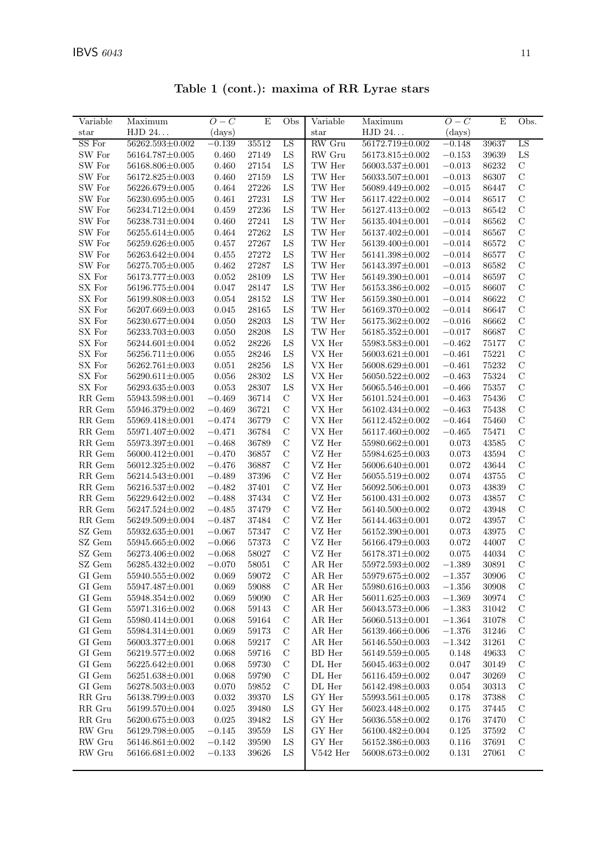| Variable                       | Maximum                 | $O-C$    | $\mathbf E$ | Obs           | Variable                | Maximum               | $O-C$     | E         | Obs.          |
|--------------------------------|-------------------------|----------|-------------|---------------|-------------------------|-----------------------|-----------|-----------|---------------|
| star                           | HJD 24                  | (days)   |             |               | $_{\rm star}$           | HJD 24                | (days)    |           |               |
| SS For                         | $56262.593 \pm 0.002$   | $-0.139$ | 35512       | LS            | RW Gru                  | 56172.719±0.002       | $-0.148$  | 39637     | LS            |
| SW For                         | 56164.787±0.005         | 0.460    | 27149       | ${\rm LS}$    | RW Gru                  | 56173.815±0.002       | $-0.153$  | 39639     | ${\rm LS}$    |
| SW For                         | 56168.806±0.005         | 0.460    | 27154       | LS            | TW Her                  | $56003.537 \pm 0.001$ | $-0.013$  | 86232     | $\mathbf C$   |
| SW For                         | $56172.825 \pm 0.003$   | 0.460    | 27159       | LS            | TW Her                  | 56033.507±0.001       | $-0.013$  | 86307     | $\mathbf C$   |
| SW For                         | 56226.679±0.005         | 0.464    | 27226       | LS            | TW Her                  | 56089.449±0.002       | $-0.015$  | 86447     | $\mathbf C$   |
| SW For                         | $56230.695 \pm 0.005$   | 0.461    | $27231\,$   | ${\rm LS}$    | $\operatorname{TW}$ Her | 56117.422±0.002       | $-0.014$  | 86517     | $\mathbf C$   |
| SW For                         | 56234.712±0.004         | 0.459    | 27236       | LS            | TW Her                  | 56127.413±0.002       | $-0.013$  | 86542     | $\mathbf C$   |
| SW For                         | $56238.731 \pm 0.004$   | 0.460    | 27241       | LS            | TW Her                  | 56135.404±0.001       | $-0.014$  | 86562     | $\mathcal{C}$ |
| SW For                         | 56255.614±0.005         | 0.464    | 27262       | LS            | TW Her                  | 56137.402±0.001       | $-0.014$  | 86567     | $\mathcal{C}$ |
| SW For                         | $56259.626 \pm 0.005$   | 0.457    | 27267       | LS            | TW Her                  | 56139.400±0.001       | $-0.014$  | 86572     | $\mathbf C$   |
| SW For                         | 56263.642±0.004         | 0.455    | 27272       | LS            | TW Her                  | 56141.398±0.002       | $-0.014$  | 86577     | $\mathcal{C}$ |
| SW For                         | 56275.705±0.005         | 0.462    | 27287       | ${\rm LS}$    | TW Her                  | 56143.397±0.001       | $-0.013$  | 86582     | $\mathbf C$   |
| SX For                         | $56173.777 \pm 0.003$   | 0.052    | 28109       | LS            | TW Her                  | $56149.390 \pm 0.001$ | $-0.014$  | 86597     | $\mathcal{C}$ |
| SX For                         | 56196.775±0.004         | 0.047    | 28147       | LS            | TW Her                  | 56153.386±0.002       | $-0.015$  | 86607     | $\mathcal{C}$ |
| ${\rm SX}$ For                 | 56199.808±0.003         | 0.054    | 28152       | LS            | TW Her                  | 56159.380±0.001       | $-0.014$  | 86622     | $\mathbf C$   |
| SX For                         | $56207.669 \pm 0.003$   | 0.045    | 28165       | LS            | $\operatorname{TW}$ Her | 56169.370±0.002       | $-0.014$  | 86647     | $\mathcal{C}$ |
| SX For                         | 56230.677±0.004         | 0.050    | 28203       | LS            | TW Her                  | $56175.362 \pm 0.002$ | $-0.016$  | 86662     | $\mathcal{C}$ |
| ${\rm SX\ For}$                | 56233.703±0.003         | 0.050    | 28208       | ${\rm LS}$    | $\operatorname{TW}$ Her | $56185.352 \pm 0.001$ | $-0.017$  | 86687     | $\mathbf C$   |
| ${\rm SX\ For}$                | 56244.601±0.004         | 0.052    | 28226       | LS            | VX Her                  | $55983.583 \pm 0.001$ | $-0.462$  | 75177     | $\mathbf C$   |
| SX For                         | $56256.711 \pm 0.006$   | 0.055    | 28246       | LS            | VX Her                  | $56003.621 \pm 0.001$ | $-0.461$  | 75221     | $\mathbf C$   |
| SX For                         | $56262.761 \pm 0.003$   | 0.051    | 28256       | LS            | VX Her                  | $56008.629 \pm 0.001$ | $-0.461$  | $75232\,$ | $\mathbf C$   |
| SX For                         | $56290.611 \pm 0.005$   | 0.056    | 28302       | ${\rm LS}$    | VX Her                  | $56050.522 \pm 0.002$ | $-0.463$  | 75324     | $\mathcal{C}$ |
| SX For                         | $56293.635 \pm 0.003$   | 0.053    | 28307       | LS            | VX Her                  | 56065.546±0.001       | $-0.466$  | $75357\,$ | $\mathbf C$   |
|                                | 55943.598±0.001         | $-0.469$ | 36714       | $\mathbf C$   | VX Her                  | $56101.524 \pm 0.001$ | $-0.463$  | 75436     | $\mathbf C$   |
| RR Gem                         |                         |          |             | $\mathbf C$   |                         |                       |           | 75438     | $\mathcal{C}$ |
| RR Gem                         | 55946.379±0.002         | $-0.469$ | 36721       |               | VX Her                  | 56102.434±0.002       | $-0.463$  |           | $\mathcal{C}$ |
| RR Gem                         | 55969.418±0.001         | $-0.474$ | 36779       | $\mathbf C$   | VX Her                  | 56112.452±0.002       | $-0.464$  | 75460     | $\mathcal{C}$ |
| RR Gem                         | 55971.407±0.002         | $-0.471$ | 36784       | $\mathbf C$   | ${\rm VX}$ Her          | 56117.460±0.002       | $-0.465$  | 75471     |               |
| $\ensuremath{\mathsf{RR}}$ Gem | 55973.397±0.001         | $-0.468$ | 36789       | $\mathbf C$   | VZ Her                  | 55980.662±0.001       | 0.073     | 43585     | $\mathbf C$   |
| $\ensuremath{\mathsf{RR}}$ Gem | 56000.412±0.001         | $-0.470$ | 36857       | $\mathbf C$   | VZ Her                  | 55984.625±0.003       | 0.073     | 43594     | $\mathbf C$   |
| $\ensuremath{\mathsf{RR}}$ Gem | $56012.325 \pm 0.002$   | $-0.476$ | 36887       | $\mathbf C$   | VZ Her                  | 56006.640±0.001       | 0.072     | 43644     | $\mathbf C$   |
| $\ensuremath{\mathsf{RR}}$ Gem | $56214.543\pm0.001$     | $-0.489$ | 37396       | $\mathbf C$   | VZ Her                  | 56055.519±0.002       | 0.074     | 43755     | $\mathcal{C}$ |
| RR Gem                         | 56216.537±0.002         | $-0.482$ | 37401       | $\mathbf C$   | VZ Her                  | 56092.506±0.001       | 0.073     | 43839     | $\mathcal{C}$ |
| $\ensuremath{\mathsf{RR}}$ Gem | $56229.642 \pm 0.002$   | $-0.488$ | 37434       | $\mathbf C$   | VZ Her                  | $56100.431 \pm 0.002$ | 0.073     | 43857     | $\mathbf C$   |
| $\ensuremath{\mathsf{RR}}$ Gem | $56247.524 \pm 0.002$   | $-0.485$ | 37479       | $\mathbf C$   | VZ Her                  | 56140.500±0.002       | 0.072     | 43948     | $\mathcal{C}$ |
| $\ensuremath{\mathsf{RR}}$ Gem | 56249.509±0.004         | $-0.487$ | 37484       | $\mathbf C$   | ${\rm VZ}$ Her          | 56144.463±0.001       | 0.072     | 43957     | $\mathbf C$   |
| SZ Gem                         | 55932.635±0.001         | $-0.067$ | 57347       | $\mathbf C$   | VZ Her                  | 56152.390±0.001       | 0.073     | 43975     | $\mathbf C$   |
| SZ Gem                         | 55945.665±0.002         | $-0.066$ | 57373       | $\mathbf C$   | VZ Her                  | 56166.479±0.003       | $0.072\,$ | 44007     | $\mathbf C$   |
| SZ Gem                         | 56273.406±0.002         | $-0.068$ | 58027       | $\mathbf C$   | VZ Her                  | 56178.371±0.002       | 0.075     | 44034     | $\mathbf C$   |
| SZ Gem                         | 56285.432±0.002         | $-0.070$ | 58051       | $\mathcal{C}$ | AR Her                  | 55972.593±0.002       | $-1.389$  | 30891     | $\mathcal{C}$ |
| GI Gem                         | $55940.555\!\pm\!0.002$ | 0.069    | 59072       | $\mathcal{C}$ | AR Her                  | 55979.675±0.002       | $-1.357$  | 30906     | $\mathcal{C}$ |
| GI Gem                         | 55947.487±0.001         | 0.069    | 59088       | $\mathbf C$   | AR Her                  | 55980.616±0.003       | $-1.356$  | 30908     | $\mathcal{C}$ |
| GI Gem                         | 55948.354±0.002         | 0.069    | 59090       | $\mathcal{C}$ | AR Her                  | 56011.625±0.003       | $-1.369$  | 30974     | $\mathcal{C}$ |
| GI Gem                         | 55971.316±0.002         | 0.068    | 59143       | $\mathcal{C}$ | AR Her                  | 56043.573±0.006       | $-1.383$  | 31042     | $\mathcal{C}$ |
| GI Gem                         | 55980.414±0.001         | 0.068    | 59164       | $\mathcal{C}$ | AR Her                  | 56060.513±0.001       | $-1.364$  | 31078     | $\mathcal{C}$ |
| $\rm GI$ $\rm Gen$             | 55984.314±0.001         | 0.069    | $59173\,$   | $\mathcal{C}$ | ${\rm AR\ Her}$         | 56139.466±0.006       | $-1.376$  | 31246     | $\mathcal{C}$ |
| GI Gem                         | 56003.377±0.001         | 0.068    | 59217       | $\mathcal{C}$ | AR Her                  | $56146.550 \pm 0.003$ | $-1.342$  | 31261     | $\mathcal{C}$ |
| GI Gem                         | $56219.577 \pm 0.002$   | 0.068    | 59716       | $\mathcal{C}$ | BD Her                  | $56149.559 \pm 0.005$ | 0.148     | 49633     | $\mathbf C$   |
| GI Gem                         | $56225.642 \pm 0.001$   | 0.068    | 59730       | $\mathcal{C}$ | DL Her                  | 56045.463±0.002       | 0.047     | 30149     | $\mathcal{C}$ |
| GI Gem                         | $56251.638 \pm 0.001$   | 0.068    | 59790       | $\mathcal{C}$ | DL Her                  | 56116.459±0.002       | 0.047     | 30269     | $\mathcal{C}$ |
| $\rm GI$ $\rm Gen$             | $56278.503 \pm 0.003$   | 0.070    | $59852\,$   | $\mathbf C$   | DL Her                  | 56142.498±0.003       | 0.054     | $30313\,$ | $\mathcal{C}$ |
| $RR$ Gru                       | 56138.799±0.003         | 0.032    | 39370       | LS            | GY Her                  | $55993.561 \pm 0.005$ | 0.178     | 37388     | $\mathcal{C}$ |
| $RR$ Gru                       | 56199.570±0.004         | 0.025    | 39480       | ${\rm LS}$    | GY Her                  | 56023.448±0.002       | 0.175     | 37445     | $\mathcal{C}$ |
| RR Gru                         | 56200.675±0.003         | 0.025    | 39482       | LS            | GY Her                  | 56036.558±0.002       | 0.176     | 37470     | $\mathbf C$   |
| RW Gru                         | 56129.798±0.005         | $-0.145$ | 39559       | LS            | GY Her                  | 56100.482±0.004       | 0.125     | 37592     | $\mathcal{C}$ |
| RW Gru                         | $56146.861 \pm 0.002$   | $-0.142$ | 39590       | LS            | GY Her                  | 56152.386±0.003       | 0.116     | 37691     | $\mathcal{C}$ |
| RW Gru                         | $56166.681 \pm 0.002$   | $-0.133$ | $39626\,$   | ${\rm LS}$    | $V542$ Her              | $56008.673 \pm 0.002$ | 0.131     | 27061     | $\mathbf C$   |

Table 1 (cont.): maxima of RR Lyrae stars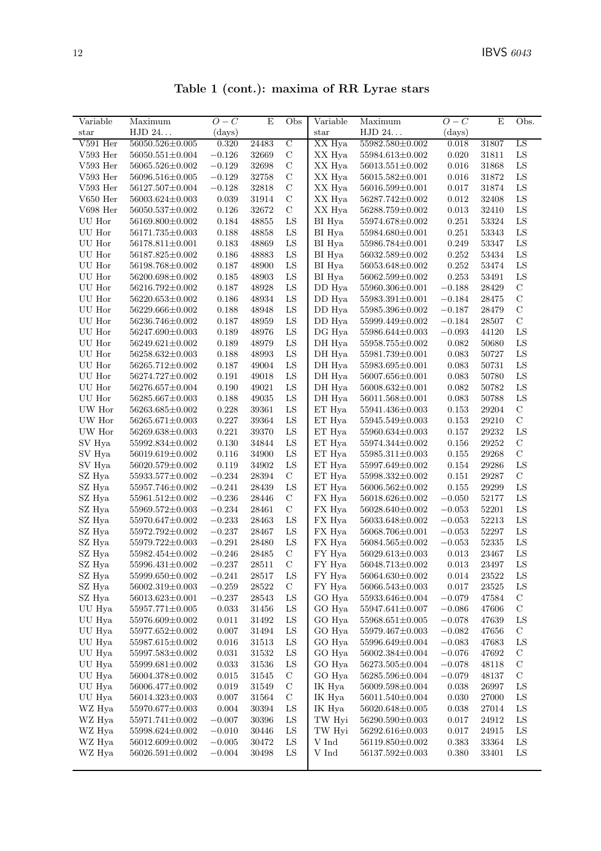| Table 1 (cont.): maxima of RR Lyrae stars |  |  |  |  |  |
|-------------------------------------------|--|--|--|--|--|
|-------------------------------------------|--|--|--|--|--|

| Variable      | Maximum               | $O-C$       | $\mathbf E$ | Obs            | $\overline{\text{Variable}}$ | Maximum               | $O-C$       | E     | Obs.          |
|---------------|-----------------------|-------------|-------------|----------------|------------------------------|-----------------------|-------------|-------|---------------|
| $_{\rm star}$ | HJD 24                | (days)      |             |                | $_{\rm star}$                | HJD 24                | (days)      |       |               |
| $V591$ Her    | $56050.526 \pm 0.005$ | 0.320       | 24483       | $\overline{C}$ | XX Hya                       | 55982.580±0.002       | 0.018       | 31807 | LS            |
| $V593$ Her    | $56050.551 \pm 0.004$ | $-0.126$    | 32669       | $\mathbf C$    | XX Hya                       | $55984.613{\pm}0.002$ | 0.020       | 31811 | LS            |
| $V593$ Her    | 56065.526±0.002       | $-0.129$    | 32698       | $\mathbf C$    | XX Hya                       | $56013.551 \pm 0.002$ | 0.016       | 31868 | ${\rm LS}$    |
| $V593$ Her    | 56096.516±0.005       | $-0.129$    | 32758       | $\mathcal{C}$  | XX Hya                       | $56015.582 \pm 0.001$ | 0.016       | 31872 | LS            |
| $V593$ Her    | 56127.507±0.004       | $-0.128$    | 32818       | $\mathbf C$    | XX Hya                       | 56016.599±0.001       | 0.017       | 31874 | LS            |
| $V650$ Her    | $56003.624 \pm 0.003$ | 0.039       | 31914       | $\mathcal{C}$  | XX Hya                       | 56287.742±0.002       | 0.012       | 32408 | LS            |
| $V698$ Her    | 56050.537±0.002       | $0.126\,$   | 32672       | $\mathbf C$    | XX Hya                       | 56288.759±0.002       | 0.013       | 32410 | ${\rm LS}$    |
| UU Hor        | 56169.800±0.002       | 0.184       | 48855       | ${\rm LS}$     | BI Hya                       | 55974.678±0.002       | 0.251       | 53324 | ${\rm LS}$    |
| UU Hor        | 56171.735±0.003       | 0.188       | 48858       | ${\rm LS}$     | BI Hya                       | 55984.680±0.001       | 0.251       | 53343 | LS            |
| UU Hor        | 56178.811±0.001       | 0.183       | 48869       | LS             | BI Hya                       | 55986.784±0.001       | 0.249       | 53347 | LS            |
| UU Hor        | 56187.825±0.002       | 0.186       | 48883       | LS             | BI Hya                       | 56032.589±0.002       | 0.252       | 53434 | LS            |
| UU Hor        | $56198.768{\pm}0.002$ | 0.187       | 48900       | ${\rm LS}$     | BI Hya                       | 56053.648±0.002       | 0.252       | 53474 | LS            |
| UU Hor        | 56200.698±0.002       | 0.185       | 48903       | ${\rm LS}$     | BI Hya                       | 56062.599±0.002       | 0.253       | 53491 | ${\rm LS}$    |
| UU Hor        | 56216.792±0.002       | 0.187       | 48928       | ${\rm LS}$     | DD Hya                       | 55960.306±0.001       | $-0.188$    | 28429 | $\mathbf C$   |
| UU Hor        | $56220.653 \pm 0.002$ | 0.186       | 48934       | ${\rm LS}$     | DD Hya                       | 55983.391±0.001       | $-0.184$    | 28475 | $\mathcal{C}$ |
| UU Hor        | 56229.666±0.002       | 0.188       | 48948       | ${\rm LS}$     | DD Hya                       | 55985.396±0.002       | $-0.187$    | 28479 | $\mathcal{C}$ |
| UU Hor        | 56236.746±0.002       | 0.187       | 48959       | LS             | DD Hya                       | 55999.449±0.002       | $-0.184$    | 28507 | $\mathbf C$   |
| UU Hor        | 56247.690±0.003       | 0.189       | 48976       | ${\rm LS}$     | DG Hya                       | 55986.644±0.003       | $-0.093$    | 44120 | LS            |
| UU Hor        | $56249.621 \pm 0.002$ | 0.189       | 48979       | ${\rm LS}$     | DH Hya                       | 55958.755±0.002       | 0.082       | 50680 | ${\rm LS}$    |
| UU Hor        | $56258.632 \pm 0.003$ | 0.188       | 48993       | ${\rm LS}$     | DH Hya                       | 55981.739±0.001       | 0.083       | 50727 | ${\rm LS}$    |
| UU Hor        | 56265.712±0.002       | 0.187       | 49004       | LS             | DH Hya                       | 55983.695±0.001       | 0.083       | 50731 | LS            |
| UU Hor        | 56274.727±0.002       | 0.191       | 49018       | ${\rm LS}$     | DH Hya                       | 56007.656±0.001       | 0.083       | 50780 | ${\rm LS}$    |
| UU Hor        | 56276.657±0.004       | 0.190       | 49021       | LS             | DH Hya                       | 56008.632±0.001       | 0.082       | 50782 | LS            |
| UU Hor        | 56285.667±0.003       | 0.188       | 49035       | ${\rm LS}$     | DH Hya                       | 56011.568±0.001       | $\,0.083\,$ | 50788 | LS            |
| UW Hor        | 56263.685±0.002       | 0.228       | 39361       | ${\rm LS}$     | ET Hya                       | 55941.436±0.003       | 0.153       | 29204 | $\mathbf C$   |
| UW Hor        | $56265.671 \pm 0.003$ | 0.227       | 39364       | LS             | ET Hya                       | 55945.549±0.003       | 0.153       | 29210 | $\mathbf C$   |
| UW Hor        | 56269.638±0.003       | 0.221       | 39370       | LS             | ET Hya                       | 55960.634±0.003       | 0.157       | 29232 | LS            |
| SV Hya        | 55992.834±0.002       | 0.130       | 34844       | ${\rm LS}$     | ET Hya                       | 55974.344±0.002       | 0.156       | 29252 | $\mathbf C$   |
| SV Hya        | 56019.619±0.002       | 0.116       | 34900       | LS             | ET Hya                       | 55985.311±0.003       | 0.155       | 29268 | $\mathbf C$   |
| SV Hya        | 56020.579±0.002       | 0.119       | 34902       | LS             | ET Hya                       | 55997.649±0.002       | 0.154       | 29286 | ${\rm LS}$    |
| SZ Hya        | 55933.577±0.002       | $-0.234$    | 28394       | $\mathbf C$    | ET Hya                       | 55998.332±0.002       | 0.151       | 29287 | $\mathcal{C}$ |
| SZ Hya        | 55957.746±0.002       | $-0.241$    | 28439       | LS             | ET Hya                       | 56006.562±0.002       | 0.155       | 29299 | ${\rm LS}$    |
| SZ Hya        | $55961.512 \pm 0.002$ | $-0.236$    | 28446       | $\mathbf C$    | FX Hya                       | 56018.626±0.002       | $-0.050$    | 52177 | LS            |
| SZ Hya        | 55969.572±0.003       | $-0.234$    | 28461       | $\mathbf C$    | FX Hya                       | 56028.640±0.002       | $-0.053$    | 52201 | LS            |
| SZ Hya        | 55970.647±0.002       | $-0.233$    | 28463       | LS             | FX Hya                       | 56033.648±0.002       | $-0.053$    | 52213 | LS            |
| SZ Hya        | 55972.792 $\pm$ 0.002 | $-0.237$    | 28467       | ${\rm LS}$     | FX Hya                       | 56068.706±0.001       | $-0.053$    | 52297 | ${\rm LS}$    |
| SZ Hya        | 55979.722±0.003       | $-0.291$    | 28480       | LS             | FX Hya                       | 56084.565±0.002       | $-0.053$    | 52335 | ${\rm LS}$    |
| SZ Hya        | 55982.454±0.002       | $-0.246$    | 28485       | $\mathbf C$    | FY Hya                       | $56029.613 \pm 0.003$ | 0.013       | 23467 | ${\rm LS}$    |
| $\rm SZ$ Hya  | 55996.431±0.002       | $-0.237$    | 28511       | $\mathcal{C}$  | FY Hya                       | 56048.713±0.002       | $\,0.013\,$ | 23497 | LS            |
| SZ Hya        | $55999.650 \pm 0.002$ | $-0.241$    | 28517       | LS             | FY Hya                       | 56064.630±0.002       | 0.014       | 23522 | LS            |
| SZ Hya        | 56002.319±0.003       | $-0.259$    | 28522       | C              | FY Hya                       | $56066.543 \pm 0.003$ | 0.017       | 23525 | LS            |
| $\rm SZ\ Hya$ | $56013.623 \pm 0.001$ | $-0.237$    | 28543       | $_{LS}$        | GO Hya                       | 55933.646±0.004       | $-0.079$    | 47584 | $\mathcal{C}$ |
| UU Hya        | 55957.771±0.005       | $\,0.033\,$ | 31456       | $_{LS}$        | GO Hya                       | 55947.641±0.007       | $-0.086$    | 47606 | $\mathbf C$   |
| UU Hya        | 55976.609±0.002       | 0.011       | 31492       | LS             | GO Hya                       | $55968.651 \pm 0.005$ | $-0.078$    | 47639 | LS            |
| UU Hya        | 55977.652±0.002       | $0.007\,$   | 31494       | $_{LS}$        | GO Hya                       | 55979.467±0.003       | $-0.082$    | 47656 | $\mathcal{C}$ |
| UU Hya        | 55987.615±0.002       | 0.016       | 31513       | $_{LS}$        | GO Hya                       | 55996.649±0.004       | $-0.083$    | 47683 | LS            |
| UU Hya        | 55997.583±0.002       | 0.031       | 31532       | $_{LS}$        | GO Hya                       | $56002.384 \pm 0.004$ | $-0.076$    | 47692 | $\mathcal{C}$ |
| UU Hya        | 55999.681±0.002       | $\,0.033\,$ | 31536       | LS             | GO Hya                       | $56273.505 \pm 0.004$ | $-0.078$    | 48118 | $\mathbf C$   |
| UU Hya        | 56004.378±0.002       | 0.015       | 31545       | $\mathbf C$    | GO Hya                       | 56285.596±0.004       | $-0.079$    | 48137 | $\mathcal{C}$ |
| UU Hya        | 56006.477±0.002       | 0.019       | 31549       | $\mathbf C$    | IK Hya                       | 56009.598±0.004       | 0.038       | 26997 | LS            |
| UU Hya        | $56014.323 \pm 0.003$ | 0.007       | 31564       | $\mathbf C$    | IK Hya                       | $56011.540{\pm}0.004$ | 0.030       | 27000 | LS            |
| WZ Hya        | 55970.677±0.003       | $\,0.004\,$ | 30394       | LS             | IK Hya                       | 56020.648±0.005       | 0.038       | 27014 | LS            |
| WZ Hya        | 55971.741±0.002       | $-0.007$    | 30396       | LS             | TW Hyi                       | 56290.590±0.003       | 0.017       | 24912 | LS            |
| WZ Hya        | 55998.624±0.002       | $-0.010$    | 30446       | $_{LS}$        | TW Hyi                       | $56292.616 \pm 0.003$ | 0.017       | 24915 | LS            |
| WZ Hya        | 56012.609±0.002       | $-0.005\,$  | 30472       | ${\rm LS}$     | V Ind                        | 56119.850±0.002       | 0.383       | 33364 | LS            |
| WZ Hya        | $56026.591 \pm 0.002$ | $-0.004$    | 30498       | LS             | $\rm V$ Ind                  | 56137.592±0.003       | 0.380       | 33401 | LS            |
|               |                       |             |             |                |                              |                       |             |       |               |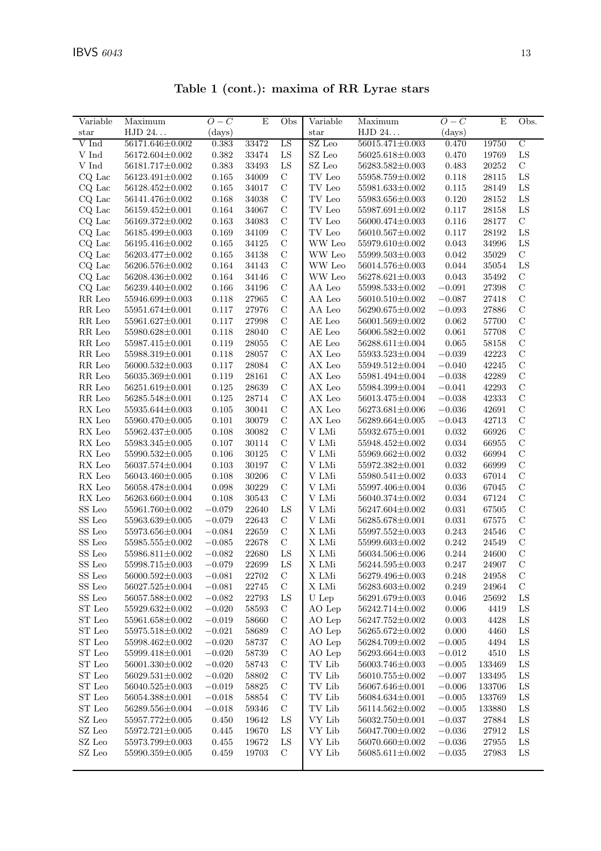| Variable                              | Maximum               | $O-C$       | E     | Obs           | Variable                | Maximum                   | $\overline{O}-\overline{C}$ | E         | Obs.           |
|---------------------------------------|-----------------------|-------------|-------|---------------|-------------------------|---------------------------|-----------------------------|-----------|----------------|
| $_{\rm star}$                         | HJD 24                | (days)      |       |               | star                    | HJD 24                    | (days)                      |           |                |
| V Ind                                 | 56171.646±0.002       | 0.383       | 33472 | LS            | SZ Leo                  | 56015.471±0.003           | 0.470                       | 19750     | $\overline{C}$ |
| V Ind                                 | $56172.604 \pm 0.002$ | $\!.382$    | 33474 | LS            | $\operatorname{SZ}$ Leo | 56025.618±0.003           | 0.470                       | 19769     | ${\rm LS}$     |
| V Ind                                 | 56181.717±0.002       | 0.383       | 33493 | LS            | $\operatorname{SZ}$ Leo | 56283.582±0.003           | 0.483                       | 20252     | $\mathbf C$    |
| CQ Lac                                | 56123.491±0.002       | 0.165       | 34009 | $\mathbf C$   | $\operatorname{TV}$ Leo | 55958.759±0.002           | 0.118                       | 28115     | ${\rm LS}$     |
| CQ Lac                                | 56128.452±0.002       | $0.165\,$   | 34017 | $\mathcal{C}$ | TV Leo                  | $55981.633{\pm}0.002$     | 0.115                       | 28149     | ${\rm LS}$     |
| CQ Lac                                | 56141.476±0.002       | 0.168       | 34038 | $\mathcal{C}$ | TV Leo                  | 55983.656±0.003           | 0.120                       | 28152     | ${\rm LS}$     |
| $\rm CQ\,\,Lac$                       | 56159.452±0.001       | 0.164       | 34067 | $\mathcal{C}$ | TV Leo                  | 55987.691±0.002           | 0.117                       | 28158     | LS             |
| $CQ$ Lac                              | 56169.372±0.002       | $\,0.163\,$ | 34083 | $\mathcal{C}$ | TV Leo                  | 56000.474±0.003           | $0.116\,$                   | 28177     | $\mathbf C$    |
| CQ Lac                                | 56185.499±0.003       | 0.169       | 34109 | $\mathcal{C}$ | $\operatorname{TV}$ Leo | $56010.567 \pm 0.002$     | 0.117                       | 28192     | ${\rm LS}$     |
| CQ Lac                                | 56195.416±0.002       | 0.165       | 34125 | $\mathbf C$   | WW Leo                  | 55979.610±0.002           | 0.043                       | 34996     | ${\rm LS}$     |
| $CQ$ Lac                              | 56203.477±0.002       | 0.165       | 34138 | $\mathcal{C}$ | WW Leo                  | 55999.503±0.003           | 0.042                       | 35029     | $\mathbf C$    |
| $CQ$ Lac                              | 56206.576±0.002       | 0.164       | 34143 | $\mathcal{C}$ | WW Leo                  | 56014.576±0.003           | 0.044                       | $35054\,$ | ${\rm LS}$     |
| CQ Lac                                | 56208.436±0.002       | 0.164       | 34146 | $\mathcal{C}$ | WW Leo                  | $56278.621 \pm 0.003$     | 0.043                       | 35492     | $\mathcal{C}$  |
| CQ Lac                                | 56239.440±0.002       | $0.166\,$   | 34196 | $\mathcal{C}$ | AA Leo                  | $55998.533 \pm 0.002$     | $-0.091$                    | 27398     | $\mathbf C$    |
| RR Leo                                | 55946.699±0.003       | 0.118       | 27965 | $\mathcal{C}$ | AA Leo                  | 56010.510±0.002           | $-0.087$                    | 27418     | $\mathcal{C}$  |
| RR Leo                                | 55951.674±0.001       | 0.117       | 27976 | $\mathbf C$   | AA Leo                  | 56290.675±0.002           | $-0.093$                    | 27886     | $\mathbf C$    |
|                                       | 55961.627±0.001       | $0.117\,$   | 27998 | $\mathcal{C}$ | $AE$ Leo                | 56001.569±0.002           | 0.062                       | 57700     | $\mathcal{C}$  |
| RR Leo                                | 55980.628±0.001       |             |       | $\mathcal{C}$ |                         |                           |                             |           | $\mathcal{C}$  |
| RR Leo                                |                       | 0.118       | 28040 |               | AE Leo                  | $56006.582 \pm 0.002$     | 0.061                       | 57708     |                |
| RR Leo                                | 55987.415±0.001       | 0.119       | 28055 | $\mathcal{C}$ | $\mathrm{AE}$ Leo       | 56288.611±0.004           | 0.065                       | 58158     | $\mathbf C$    |
| $\ensuremath{\mathsf{RR}}\xspace$ Leo | 55988.319±0.001       | 0.118       | 28057 | $\mathcal{C}$ | $AX$ Leo                | $55933.523 \pm 0.004$     | $-0.039$                    | 42223     | $\mathcal{C}$  |
| RR Leo                                | $56000.532{\pm}0.003$ | 0.117       | 28084 | $\mathcal{C}$ | $AX$ Leo                | 55949.512±0.004           | $-0.040$                    | $42245\,$ | $\mathbf C$    |
| RR Leo                                | 56035.369±0.001       | 0.119       | 28161 | $\mathbf C$   | AX Leo                  | 55981.494±0.004           | $-0.038$                    | 42289     | $\mathcal{C}$  |
| $\ensuremath{\mathsf{RR}}\xspace$ Leo | 56251.619±0.001       | $0.125\,$   | 28639 | $\mathcal{C}$ | AX Leo                  | 55984.399±0.004           | $-0.041$                    | 42293     | $\mathcal{C}$  |
| RR Leo                                | 56285.548±0.001       | $0.125\,$   | 28714 | $\mathcal{C}$ | AX Leo                  | 56013.475±0.004           | $-0.038$                    | 42333     | $\mathbf C$    |
| $RX$ Leo                              | 55935.644±0.003       | $0.105\,$   | 30041 | $\mathcal{C}$ | AX Leo                  | $56273.681 \pm 0.006$     | $-0.036$                    | 42691     | $\mathbf C$    |
| RX Leo                                | 55960.470±0.005       | 0.101       | 30079 | $\mathcal{C}$ | $AX$ Leo                | $56289.664 \pm 0.005$     | $-0.043$                    | 42713     | $\mathcal{C}$  |
| RX Leo                                | 55962.437±0.005       | 0.108       | 30082 | $\mathcal{C}$ | $\rm V$ LMi             | 55932.675±0.001           | 0.032                       | 66926     | $\mathcal{C}$  |
| $RX$ Leo                              | $55983.345{\pm}0.005$ | 0.107       | 30114 | $\mathcal{C}$ | $\rm V$ LMi             | 55948.452±0.002           | 0.034                       | 66955     | $\mathbf C$    |
| $RX$ Leo                              | $55990.532 \pm 0.005$ | $0.106\,$   | 30125 | $\mathcal{C}$ | V LMi                   | 55969.662±0.002           | 0.032                       | 66994     | $\mathcal{C}$  |
| $RX$ Leo                              | 56037.574±0.004       | 0.103       | 30197 | $\mathcal{C}$ | V LMi                   | 55972.382±0.001           | 0.032                       | 66999     | $\mathbf C$    |
| $RX$ Leo                              | 56043.460±0.005       | 0.108       | 30206 | $\mathcal{C}$ | V LMi                   | 55980.541±0.002           | 0.033                       | 67014     | $\mathbf C$    |
| $RX$ Leo                              | 56058.478±0.004       | 0.098       | 30229 | $\mathcal{C}$ | $\rm V$ LMi             | 55997.406±0.004           | 0.036                       | 67045     | $\mathcal{C}$  |
| ${\rm RX}$ Leo                        | 56263.660±0.004       | 0.108       | 30543 | $\mathbf C$   | V LMi                   | 56040.374±0.002           | 0.034                       | 67124     | $\mathbf C$    |
| ${\rm SS}$ Leo                        | 55961.760 $\pm$ 0.002 | $-0.079$    | 22640 | LS            | V LMi                   | 56247.604±0.002           | 0.031                       | 67505     | $\mathbf C$    |
| SS Leo                                | 55963.639±0.005       | $-0.079$    | 22643 | $\mathbf C$   | V LMi                   | 56285.678±0.001           | $\,0.031\,$                 | 67575     | $\mathcal{C}$  |
| ${\rm SS}$ Leo                        | 55973.656±0.004       | $-0.084$    | 22659 | $\mathbf C$   | X LMi                   | $55997.552 \pm 0.003$     | $0.243\,$                   | 24546     | $\mathbf C$    |
| $SS$ Leo $\,$                         | $55985.555 \pm 0.002$ | $-0.085\,$  | 22678 | $\mathbf C$   | $\mathbf X$ L<br>Mi     | 55999.603±0.002           | 0.242                       | 24549     | $\mathbf C$    |
| SS Leo                                | 55986.811±0.002       | $-0.082$    | 22680 | LS            | $\mathbf X$ L<br>Mi     | 56034.506±0.006           | 0.244                       | 24600     | $\mathcal{C}$  |
| ${\rm SS}$ Leo                        | $55998.715 \pm 0.003$ | $-0.079$    | 22699 | LS            | X LMi                   | $56244.595 \!\pm\! 0.003$ | 0.247                       | 24907     | $\mathbf C$    |
| SS Leo                                | 56000.592±0.003       | $-0.081$    | 22702 | $\mathbf C$   | X LMi                   | 56279.496±0.003           | 0.248                       | 24958     | $\mathcal{C}$  |
| SS Leo                                | 56027.525±0.004       | $-0.081$    | 22745 | $\mathbf C$   | X LMi                   | 56283.603±0.002           | 0.249                       | 24964     | $\mathcal{C}$  |
| SS Leo                                | 56057.588±0.002       | $-0.082$    | 22793 | LS            | U Lep                   | 56291.679±0.003           | 0.046                       | 25692     | LS             |
| ${\rm ST}$ Leo                        | 55929.632±0.002       | $-0.020$    | 58593 | С             | AO Lep                  | $56242.714\!\pm\!0.002$   | $0.006\,$                   | 4419      | LS             |
| ST Leo                                | 55961.658±0.002       | $-0.019$    | 58660 | $\mathbf C$   | AO Lep                  | 56247.752±0.002           | 0.003                       | 4428      | LS             |
| ST Leo                                | 55975.518±0.002       | $-0.021$    | 58689 | $\mathbf C$   | AO Lep                  | 56265.672±0.002           | 0.000                       | 4460      | LS             |
| ${\rm ST}$ Leo                        | 55998.462±0.002       | $-0.020$    | 58737 | $\mathbf C$   | AO Lep                  | 56284.709±0.002           | $-0.005$                    | 4494      | LS             |
| ST Leo                                | 55999.418±0.001       | $-0.020$    | 58739 | $\mathcal{C}$ | AO Lep                  | 56293.664±0.003           | $-0.012$                    | 4510      | LS             |
| ${\rm ST}$ Leo                        | 56001.330±0.002       | $-0.020$    | 58743 | $\mathbf C$   | TV Lib                  | 56003.746±0.003           | $-0.005$                    | 133469    | $_{\rm LS}$    |
| ST Leo                                | $56029.531 \pm 0.002$ | $-0.020$    | 58802 | $\mathcal{C}$ | TV Lib                  | 56010.755±0.002           | $-0.007$                    | 133495    | LS             |
| ST Leo                                | $56040.525 \pm 0.003$ | $-0.019$    | 58825 | $\mathbf C$   | TV Lib                  | 56067.646±0.001           | $-0.006$                    | 133706    | ${\rm LS}$     |
| ${\rm ST}$ Leo                        | 56054.388±0.001       | $-0.018$    | 58854 | $\mathbf C$   | TV Lib                  | 56084.634±0.001           | $-0.005$                    | 133769    | ${\rm LS}$     |
| ST Leo                                | 56289.556±0.004       | $-0.018$    | 59346 | С             | TV Lib                  | $56114.562 \pm 0.002$     | $-0.005$                    | 133880    | LS             |
| SZ Leo                                | 55957.772±0.005       | 0.450       | 19642 | LS            | VY Lib                  | 56032.750 $\pm$ 0.001     | $-0.037$                    | 27884     | LS             |
| SZ Leo                                | 55972.721±0.005       | 0.445       | 19670 | LS            | VY Lib                  | 56047.700±0.002           | $-0.036$                    | 27912     | LS             |
| $\operatorname{SZ}$ Leo               | 55973.799±0.003       | 0.455       | 19672 | LS            | VY Lib                  | 56070.660±0.002           | $-0.036$                    | 27955     | ${\rm LS}$     |
| SZ Leo                                | 55990.359±0.005       | 0.459       | 19703 | $\mathcal{C}$ | VY Lib                  | $56085.611{\pm}0.002$     | $-0.035\,$                  | 27983     | LS             |

Table 1 (cont.): maxima of RR Lyrae stars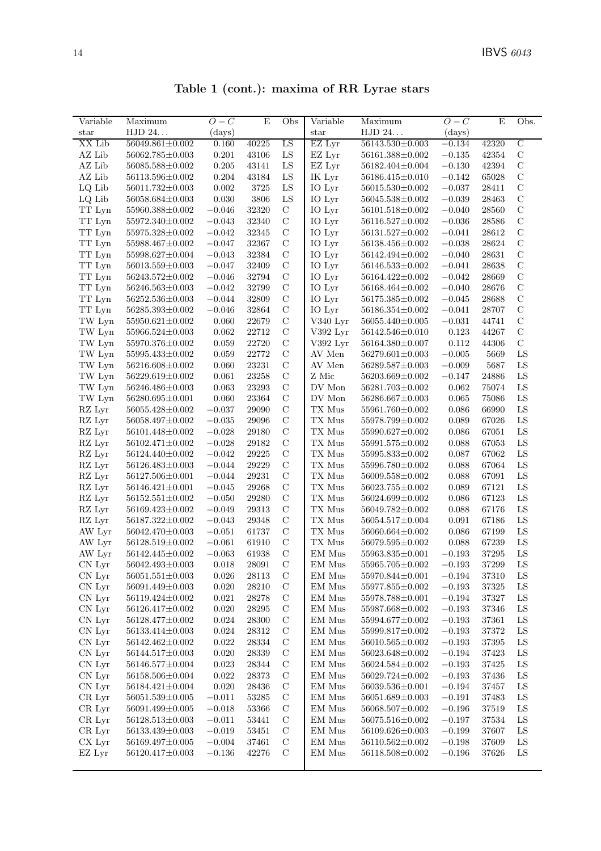| Table 1 (cont.): maxima of RR Lyrae stars |  |  |  |  |  |
|-------------------------------------------|--|--|--|--|--|
|-------------------------------------------|--|--|--|--|--|

| Variable                | Maximum                 | $O-C$    | $\mathbf E$          | Obs                          | Variable                                 | Maximum               | $O-C$    | E         | Obs.          |
|-------------------------|-------------------------|----------|----------------------|------------------------------|------------------------------------------|-----------------------|----------|-----------|---------------|
| $_{\rm star}$           | HJD 24                  | (days)   |                      |                              | star                                     | HJD 24                | (days)   |           |               |
| XX Lib                  | $56049.861 \pm 0.002$   | 0.160    | 40225                | LS                           | EZ Lyr                                   | $56143.530 \pm 0.003$ | $-0.134$ | 42320     | $\mathcal{C}$ |
| AZ Lib                  | $56062.785 \pm 0.003$   | 0.201    | 43106                | ${\rm LS}$                   | EZ Lyr                                   | 56161.388±0.002       | $-0.135$ | 42354     | $\mathcal{C}$ |
| AZ Lib                  | 56085.588±0.002         | 0.205    | 43141                | ${\rm LS}$                   | EZ Lyr                                   | 56182.404±0.004       | $-0.130$ | 42394     | $\mathbf C$   |
| AZ Lib                  | 56113.596±0.002         | 0.204    | 43184                | ${\rm LS}$                   | IK Lyr                                   | 56186.415±0.010       | $-0.142$ | 65028     | $\mathbf C$   |
| LQ Lib                  | $56011.732 \pm 0.003$   | 0.002    | 3725                 | ${\rm LS}$                   | IO Lyr                                   | $56015.530 \pm 0.002$ | $-0.037$ | 28411     | $\mathbf C$   |
| LQ Lib                  | 56058.684±0.003         | 0.030    | 3806                 | LS                           | IO Lyr                                   | 56045.538±0.002       | $-0.039$ | 28463     | $\mathcal{C}$ |
| TT Lyn                  | 55960.388±0.002         | $-0.046$ | 32320                | $\mathcal{C}$                | IO Lyr                                   | $56101.518 \pm 0.002$ | $-0.040$ | 28560     | $\mathbf C$   |
| $\operatorname{TT}$ Lyn | 55972.340±0.002         | $-0.043$ | 32340                | $\mathcal{C}$                | IO Lyr                                   | $56116.527 \pm 0.002$ | $-0.036$ | 28586     | $\mathbf C$   |
| TT Lyn                  | 55975.328±0.002         | $-0.042$ | 32345                | $\mathbf C$                  | IO Lyr                                   | $56131.527 \pm 0.002$ | $-0.041$ | 28612     | $\mathcal{C}$ |
| TT Lyn                  | 55988.467±0.002         | $-0.047$ | 32367                | $\mathbf C$                  | IO Lyr                                   | 56138.456±0.002       | $-0.038$ | 28624     | $\mathbf C$   |
| TT Lyn                  | 55998.627±0.004         | $-0.043$ | 32384                | $\mathcal{C}$                | IO Lyr                                   | 56142.494±0.002       | $-0.040$ | 28631     | $\mathbf C$   |
| TT Lyn                  | $56013.559{\pm}0.003$   | $-0.047$ | 32409                | $\mathcal{C}$                | IO Lyr                                   | $56146.533\pm0.002$   | $-0.041$ | 28638     | $\mathbf C$   |
| TT Lyn                  | $56243.572 \pm 0.002$   | $-0.046$ | 32794                | $\mathcal{C}$                | IO Lyr                                   | $56164.422 \pm 0.002$ | $-0.042$ | 28669     | $\mathbf C$   |
| TT Lyn                  | $56246.563 \pm 0.003$   | $-0.042$ | 32799                | $\mathcal{C}$                | IO Lyr                                   | 56168.464±0.002       | $-0.040$ | 28676     | $\mathbf C$   |
| TT Lyn                  | $56252.536 \pm 0.003$   | $-0.044$ | 32809                | $\mathcal{C}$                | IO Lyr                                   | 56175.385±0.002       | $-0.045$ | 28688     | $\mathbf C$   |
| TT Lyn                  | 56285.393±0.002         | $-0.046$ | 32864                | $\mathbf C$                  | IO Lyr                                   | $56186.354\pm0.002$   | $-0.041$ | 28707     | $\mathbf C$   |
| TW Lyn                  | $55950.621 \pm 0.002$   | 0.060    | 22679                | $\mathcal{C}$                | V340 Lyr                                 | 56055.440±0.005       | $-0.031$ | 44741     | $\mathbf C$   |
| TW Lyn                  | 55966.524±0.003         | 0.062    | 22712                | $\mathbf C$                  | V392 Lyr                                 | $56142.546 \pm 0.010$ | 0.123    | 44267     | $\mathbf C$   |
| TW Lyn                  | 55970.376±0.002         | 0.059    | 22720                | $\mathbf C$                  | V392 Lyr                                 | 56164.380±0.007       | 0.112    | 44306     | $\mathcal{C}$ |
| TW Lyn                  | 55995.433±0.002         | 0.059    | 22772                | $\mathbf C$                  | AV Men                                   | $56279.601 \pm 0.003$ | $-0.005$ | 5669      | LS            |
| TW Lyn                  | 56216.608±0.002         | 0.060    | 23231                | $\mathbf C$                  | AV Men                                   | 56289.587±0.003       | $-0.009$ | 5687      | LS            |
| TW Lyn                  | 56229.619±0.002         | 0.061    | 23258                | $\mathbf C$                  | Z Mic                                    | 56203.669±0.002       | $-0.147$ | 24886     | ${\rm LS}$    |
| TW Lyn                  | 56246.486±0.003         | 0.063    | 23293                | $\mathcal{C}$                | $\operatorname{DV}$ Mon                  | 56281.703±0.002       | 0.062    | 75074     | ${\rm LS}$    |
| TW Lyn                  | 56280.695±0.001         | 0.060    | 23364                | $\mathcal{C}$                | $\operatorname{DV}$ Mon                  | 56286.667±0.003       | 0.065    | 75086     | LS            |
| RZ Lyr                  | $56055.428 {\pm} 0.002$ | $-0.037$ | 29090                | $\mathcal{C}$                | TX Mus                                   | 55961.760±0.002       | 0.086    | 66990     | ${\rm LS}$    |
| RZ Lyr                  | 56058.497±0.002         | $-0.035$ | 29096                | $\mathbf C$                  | TX Mus                                   | 55978.799±0.002       | 0.089    | 67026     | ${\rm LS}$    |
| RZ Lyr                  | 56101.448±0.002         | $-0.028$ | 29180                | $\mathbf C$                  | TX Mus                                   | 55990.627±0.002       | 0.086    | 67051     | ${\rm LS}$    |
| RZ Lyr                  | $56102.471 \pm 0.002$   | $-0.028$ | 29182                | $\mathbf C$                  | TX Mus                                   | 55991.575±0.002       | 0.088    | 67053     | ${\rm LS}$    |
| RZ Lyr                  | $56124.440 \pm 0.002$   | $-0.042$ | 29225                | $\mathcal{C}$                | TX Mus                                   | 55995.833±0.002       | 0.087    | 67062     | LS            |
| RZ Lyr                  | $56126.483\pm0.003$     | $-0.044$ | 29229                | $\mathbf C$                  | TX Mus                                   | 55996.780±0.002       | 0.088    | 67064     | LS            |
| RZ Lyr                  | 56127.506±0.001         | $-0.044$ | 29231                | $\mathcal{C}$                | TX Mus                                   | 56009.558±0.002       | 0.088    | 67091     | ${\rm LS}$    |
| RZ Lyr                  | $56146.421 \pm 0.001$   | $-0.045$ | 29268                | $\mathcal C$                 | TX Mus                                   | 56023.755±0.002       | 0.089    | 67121     | ${\rm LS}$    |
| RZ Lyr                  | $56152.551 \pm 0.002$   | $-0.050$ | 29280                | $\mathbf C$                  | $\mathcal{T}\mathcal{X}$ Mus             | 56024.699±0.002       | 0.086    | 67123     | ${\rm LS}$    |
| RZ Lyr                  | 56169.423±0.002         | $-0.049$ | 29313                | $\mathcal{C}$                | TX Mus                                   | 56049.782±0.002       | 0.088    | 67176     | LS            |
| RZ Lyr                  | 56187.322±0.002         | $-0.043$ | 29348                | $\mathcal{C}$                | TX Mus                                   | 56054.517±0.004       | 0.091    | 67186     | LS            |
| AW Lyr                  | 56042.470±0.003         | $-0.051$ | 61737                | $\mathcal{C}$                | $\mathcal{T}\mathcal{X}$ Mus             | 56060.664±0.002       | 0.086    | 67199     | LS            |
| AW Lyr                  | 56128.519±0.002         | $-0.061$ | 61910                | $\mathcal{C}$                | TX Mus                                   | 56079.595±0.002       | 0.088    | 67239     | ${\rm LS}$    |
| AW Lyr                  | 56142.445±0.002         | $-0.063$ | 61938                | $\mathbf C$                  | EM Mus                                   | 55963.835±0.001       | $-0.193$ | 37295     | LS            |
| ${\rm CN\ Lyr}$         | 56042.493±0.003         | 0.018    | $\boldsymbol{28091}$ | $\mathcal{C}$                | EM Mus                                   | $55965.705{\pm}0.002$ | $-0.193$ | $37299\,$ | $_{\rm LS}$   |
| CN Lyr                  | $56051.551 \pm 0.003$   | 0.026    | 28113                | $\mathcal{C}$                | EM Mus                                   | 55970.844±0.001       | $-0.194$ | 37310     | LS            |
| CN Lyr                  | 56091.449±0.003         | 0.020    | 28210                | $\mathcal{C}$                | EM Mus                                   | 55977.855±0.002       | $-0.193$ | 37325     | LS            |
| CN Lyr                  | $56119.424{\pm}0.002$   | 0.021    | 28278                | $\mathcal{C}$                | EM Mus                                   | $55978.788 \pm 0.001$ | $-0.194$ | 37327     | $_{\rm LS}$   |
| CN Lyr                  | $56126.417 \pm 0.002$   | 0.020    | 28295                | $\mathcal{C}$                | EM Mus                                   | 55987.668±0.002       | $-0.193$ | 37346     | $_{\rm LS}$   |
| CN Lyr                  | $56128.477 \pm 0.002$   | 0.024    | $28300\,$            | $\mathcal{C}$                | EM Mus                                   | 55994.677±0.002       | $-0.193$ | 37361     | $_{\rm LS}$   |
| CN Lyr                  | 56133.414±0.003         | 0.024    | 28312                | $\mathcal{C}$                | EM Mus                                   | 55999.817±0.002       | $-0.193$ | 37372     | $_{\rm LS}$   |
| CN Lyr                  | 56142.462±0.002         | 0.022    | 28334                | $\mathcal{C}$                | EM Mus                                   | $56010.565 \pm 0.002$ | $-0.193$ | 37395     | $_{\rm LS}$   |
| CN Lyr                  | $56144.517 \pm 0.003$   | 0.020    | 28339                | $\mathcal{C}$                | EM Mus                                   | 56023.648±0.002       | $-0.194$ | 37423     | LS            |
| CN Lyr                  | $56146.577 \pm 0.004$   | 0.023    | 28344                | $\mathcal{C}$                | EM Mus                                   | $56024.584 \pm 0.002$ | $-0.193$ | 37425     | $_{\rm LS}$   |
| CN Lyr                  | 56158.506±0.004         | 0.022    | 28373                | $\mathbf C$                  | EM Mus                                   | 56029.724±0.002       | $-0.193$ | 37436     | LS            |
| CN Lyr                  | 56184.421±0.004         | 0.020    | 28436                | $\mathbf C$                  | EM Mus                                   | 56039.536±0.001       | $-0.194$ | 37457     | $_{\rm LS}$   |
| CR Lyr                  | $56051.539 \pm 0.005$   | $-0.011$ | 53285                | $\mathcal{C}$                | EM Mus                                   | $56051.689 \pm 0.003$ | $-0.191$ | 37483     | $_{\rm LS}$   |
|                         |                         |          |                      |                              |                                          |                       |          |           |               |
| CR Lyr                  | 56091.499±0.005         | $-0.018$ | 53366                | $\mathcal{C}$                | EM Mus<br>EM Mus                         | 56068.507±0.002       | $-0.196$ | 37519     | $_{\rm LS}$   |
| CR Lyr                  | $56128.513 \pm 0.003$   | $-0.011$ | 53441                | $\mathcal{C}$                |                                          | $56075.516 \pm 0.002$ | $-0.197$ | 37534     | LS            |
| CR Lyr                  | $56133.439 \pm 0.003$   | $-0.019$ | 53451                | $\mathcal{C}$<br>$\mathbf C$ | EM Mus<br>$\mathop{\rm EM}\nolimits$ Mus | $56109.626 \pm 0.003$ | $-0.199$ | 37607     | $_{\rm LS}$   |
| CX Lyr                  | 56169.497±0.005         | $-0.004$ | 37461                |                              |                                          | $56110.562 \pm 0.002$ | $-0.198$ | 37609     | $_{\rm LS}$   |
| $\mathop{\rm EZ}$ Lyr   | $56120.417 \pm 0.003$   | $-0.136$ | 42276                | $\mathcal{C}$                | EM Mus                                   | 56118.508±0.002       | $-0.196$ | 37626     | $_{\rm LS}$   |
|                         |                         |          |                      |                              |                                          |                       |          |           |               |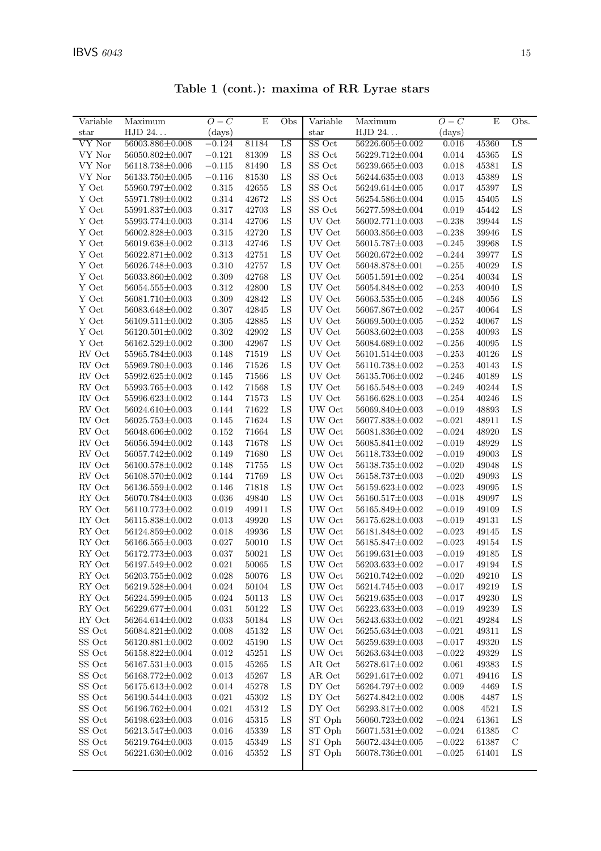|  |  | Table 1 (cont.): maxima of RR Lyrae stars |  |  |  |
|--|--|-------------------------------------------|--|--|--|
|--|--|-------------------------------------------|--|--|--|

| Variable                | Maximum                 | $O-C$        | E         | Obs        | Variable      | Maximum               | $O-C$    | Ε     | Obs.        |
|-------------------------|-------------------------|--------------|-----------|------------|---------------|-----------------------|----------|-------|-------------|
| $_{\rm star}$           | HJD 24                  | $\rm (days)$ |           |            | $_{\rm star}$ | HJD 24                | (days)   |       |             |
| VY Nor                  | 56003.886±0.008         | $-0.124$     | 81184     | LS         | SS Oct        | $56226.605 \pm 0.002$ | 0.016    | 45360 | LS          |
| VY Nor                  | 56050.802±0.007         | $-0.121$     | 81309     | ${\rm LS}$ | SS Oct        | 56229.712±0.004       | 0.014    | 45365 | ${\rm LS}$  |
| VY Nor                  | 56118.738±0.006         | $-0.115$     | 81490     | LS         | SS Oct        | 56239.665±0.003       | 0.018    | 45381 | ${\rm LS}$  |
| VY Nor                  | 56133.750 $\pm$ 0.005   | $-0.116$     | 81530     | LS         | SS Oct        | 56244.635±0.003       | 0.013    | 45389 | ${\rm LS}$  |
| Y Oct                   | 55960.797±0.002         | 0.315        | 42655     | LS         | SS Oct        | 56249.614±0.005       | 0.017    | 45397 | LS          |
| Y Oct                   | 55971.789±0.002         | 0.314        | 42672     | LS         | SS Oct        | 56254.586±0.004       | 0.015    | 45405 | ${\rm LS}$  |
| Y Oct                   | 55991.837±0.003         | 0.317        | 42703     | LS         | $SS$ Oct $\,$ | 56277.598±0.004       | 0.019    | 45442 | ${\rm LS}$  |
| Y Oct                   | 55993.774±0.003         | 0.314        | 42706     | LS         | UV Oct        | 56002.771±0.003       | $-0.238$ | 39944 | ${\rm LS}$  |
| Y Oct                   | 56002.828±0.003         | 0.315        | 42720     | LS         | UV Oct        | 56003.856±0.003       | $-0.238$ | 39946 | ${\rm LS}$  |
| Y Oct                   | 56019.638±0.002         | 0.313        | 42746     | LS         | UV Oct        | 56015.787±0.003       | $-0.245$ | 39968 | ${\rm LS}$  |
| Y Oct                   | 56022.871±0.002         | 0.313        | 42751     | LS         | UV Oct        | 56020.672±0.002       | $-0.244$ | 39977 | LS          |
| Y Oct                   | 56026.748±0.003         | 0.310        | 42757     | LS         | UV Oct        | 56048.878±0.001       | $-0.255$ | 40029 | ${\rm LS}$  |
| Y Oct                   | 56033.860±0.002         | 0.309        | 42768     | LS         | UV Oct        | 56051.591±0.002       | $-0.254$ | 40034 | ${\rm LS}$  |
| Y Oct                   | $56054.555 \pm 0.003$   | 0.312        | 42800     | LS         | UV Oct        | 56054.848±0.002       | $-0.253$ | 40040 | ${\rm LS}$  |
| Y Oct                   | 56081.710±0.003         | 0.309        | 42842     | LS         | UV Oct        | $56063.535 \pm 0.005$ | $-0.248$ | 40056 | ${\rm LS}$  |
| Y Oct                   | 56083.648±0.002         | 0.307        | 42845     | LS         | UV Oct        | 56067.867±0.002       | $-0.257$ | 40064 | LS          |
| Y Oct                   | 56109.511±0.002         | 0.305        | 42885     | LS         | UV Oct        | 56069.500±0.005       | $-0.252$ | 40067 | LS          |
| Y Oct                   | $56120.501 \pm 0.002$   | 0.302        | 42902     | LS         | UV Oct        | 56083.602±0.003       | $-0.258$ | 40093 | ${\rm LS}$  |
| Y Oct                   | 56162.529±0.002         | 0.300        | 42967     | LS         | UV Oct        | 56084.689±0.002       | $-0.256$ | 40095 | ${\rm LS}$  |
| RV Oct                  | 55965.784±0.003         | 0.148        | 71519     | LS         | UV Oct        | 56101.514±0.003       | $-0.253$ | 40126 | ${\rm LS}$  |
| RV Oct                  | 55969.780 $\pm$ 0.003   | 0.146        | 71526     | LS         | UV Oct        | 56110.738±0.002       | $-0.253$ | 40143 | ${\rm LS}$  |
| RV Oct                  | 55992.625±0.002         | 0.145        | 71566     | LS         | UV Oct        | 56135.706±0.002       | $-0.246$ | 40189 | ${\rm LS}$  |
| RV Oct                  | 55993.765±0.003         | 0.142        | 71568     | LS         | UV Oct        | 56165.548±0.003       | $-0.249$ | 40244 | ${\rm LS}$  |
| RV Oct                  | 55996.623±0.002         | 0.144        | 71573     | LS         | UV Oct        | 56166.628±0.003       | $-0.254$ | 40246 | ${\rm LS}$  |
| RV Oct                  | 56024.610±0.003         | 0.144        | 71622     | LS         | UW Oct        | 56069.840±0.003       | $-0.019$ | 48893 | ${\rm LS}$  |
| RV Oct                  | 56025.753±0.003         | 0.145        | 71624     | LS         | UW Oct        | 56077.838±0.002       | $-0.021$ | 48911 | ${\rm LS}$  |
| RV Oct                  | 56048.606±0.002         | 0.152        | 71664     | LS         | UW Oct        | 56081.836±0.002       | $-0.024$ | 48920 | ${\rm LS}$  |
| RV Oct                  | 56056.594±0.002         | 0.143        | 71678     | LS         | UW Oct        | 56085.841±0.002       | $-0.019$ | 48929 | LS          |
| RV Oct                  | 56057.742±0.002         | 0.149        | 71680     | LS         | UW Oct        | 56118.733±0.002       | $-0.019$ | 49003 | LS          |
| RV Oct                  | 56100.578±0.002         | 0.148        | 71755     | ${\rm LS}$ | UW Oct        | 56138.735±0.002       | $-0.020$ | 49048 | ${\rm LS}$  |
| RV Oct                  | 56108.570±0.002         | 0.144        | 71769     | LS         | UW Oct        | 56158.737±0.003       | $-0.020$ | 49093 | ${\rm LS}$  |
| RV Oct                  | 56136.559±0.002         | 0.146        | 71818     | LS         | UW Oct        | 56159.623±0.002       | $-0.023$ | 49095 | ${\rm LS}$  |
| RY Oct                  | 56070.784±0.003         | 0.036        | 49840     | LS         | UW Oct        | 56160.517±0.003       | $-0.018$ | 49097 | ${\rm LS}$  |
| RY Oct                  | 56110.773±0.002         | 0.019        | 49911     | LS         | UW Oct        | 56165.849±0.002       | $-0.019$ | 49109 | LS          |
| $\mathop{\rm {RY}}$ Oct | 56115.838±0.002         | 0.013        | 49920     | LS         | UW Oct        | 56175.628±0.003       | $-0.019$ | 49131 | ${\rm LS}$  |
| RY Oct                  | 56124.859±0.002         | 0.018        | 49936     | LS         | UW Oct        | 56181.848±0.002       | $-0.023$ | 49145 | ${\rm LS}$  |
| RY Oct                  | 56166.565±0.003         | 0.027        | 50010     | LS         | UW Oct        | 56185.847±0.002       | $-0.023$ | 49154 | ${\rm LS}$  |
| RY Oct                  | 56172.773±0.003         | 0.037        | 50021     | LS         | UW Oct        | 56199.631±0.003       | $-0.019$ | 49185 | LS          |
| RY Oct                  | $56197.549 \pm 0.002$   | 0.021        | 50065     | LS         | UW Oct        | 56203.633±0.002       | $-0.017$ | 49194 | LS          |
| RY Oct                  | $56203.755\!\pm\!0.002$ | 0.028        | 50076     | LS         | UW Oct        | 56210.742±0.002       | $-0.020$ | 49210 | ${\rm LS}$  |
| RY Oct                  | 56219.528±0.004         | 0.024        | 50104     | LS         | UW Oct        | 56214.745±0.003       | $-0.017$ | 49219 | $_{\rm LS}$ |
| RY Oct                  | 56224.599±0.005         | 0.024        | $50113\,$ | LS         | UW Oct        | 56219.635±0.003       | $-0.017$ | 49230 | LS          |
| RY Oct                  | 56229.677±0.004         | 0.031        | $50122\,$ | LS         | UW Oct        | $56223.633\pm0.003$   | $-0.019$ | 49239 | ${\rm LS}$  |
| RY Oct                  | 56264.614±0.002         | 0.033        | $50184\,$ | LS         | UW Oct        | $56243.633 \pm 0.002$ | $-0.021$ | 49284 | $_{\rm LS}$ |
| SS Oct                  | 56084.821±0.002         | 0.008        | 45132     | LS         | UW Oct        | 56255.634±0.003       | $-0.021$ | 49311 | $_{\rm LS}$ |
| SS Oct                  | $56120.881 \pm 0.002$   | 0.002        | 45190     | LS         | UW Oct        | 56259.639±0.003       | $-0.017$ | 49320 | $_{\rm LS}$ |
| ${\rm SS}$ Oct          | 56158.822±0.004         | 0.012        | $45251\,$ | LS         | UW Oct        | 56263.634±0.003       | $-0.022$ | 49329 | $_{\rm LS}$ |
| SS Oct                  | $56167.531{\pm}0.003$   | 0.015        | 45265     | LS         | AR Oct        | 56278.617±0.002       | 0.061    | 49383 | $_{\rm LS}$ |
| SS Oct                  | 56168.772±0.002         | 0.013        | 45267     | LS         | AR Oct        | 56291.617±0.002       | 0.071    | 49416 | $_{\rm LS}$ |
| SS Oct                  | $56175.613 \pm 0.002$   | 0.014        | 45278     | LS         | DY Oct        | 56264.797±0.002       | 0.009    | 4469  | $_{\rm LS}$ |
| SS Oct                  | $56190.544 \pm 0.003$   | 0.021        | 45302     | LS         | DY Oct        | 56274.842±0.002       | 0.008    | 4487  | LS          |
| SS Oct                  | 56196.762±0.004         | 0.021        | 45312     | LS         | DY Oct        | 56293.817±0.002       | 0.008    | 4521  | $_{\rm LS}$ |
| ${\rm SS}$ Oct          | 56198.623±0.003         | 0.016        | $45315\,$ | LS         | ST Oph        | 56060.723±0.002       | $-0.024$ | 61361 | $_{\rm LS}$ |
| SS Oct                  | 56213.547±0.003         | 0.016        | 45339     | LS         | ST Oph        | $56071.531 \pm 0.002$ | $-0.024$ | 61385 | $\mathbf C$ |
| SS Oct                  | 56219.764±0.003         | 0.015        | 45349     | LS         | ST Oph        | 56072.434±0.005       | $-0.022$ | 61387 | $\mathbf C$ |
| SS Oct                  | $56221.630{\pm}0.002$   | 0.016        | 45352     | LS         | ST Oph        | 56078.736±0.001       | $-0.025$ | 61401 | $_{\rm LS}$ |
|                         |                         |              |           |            |               |                       |          |       |             |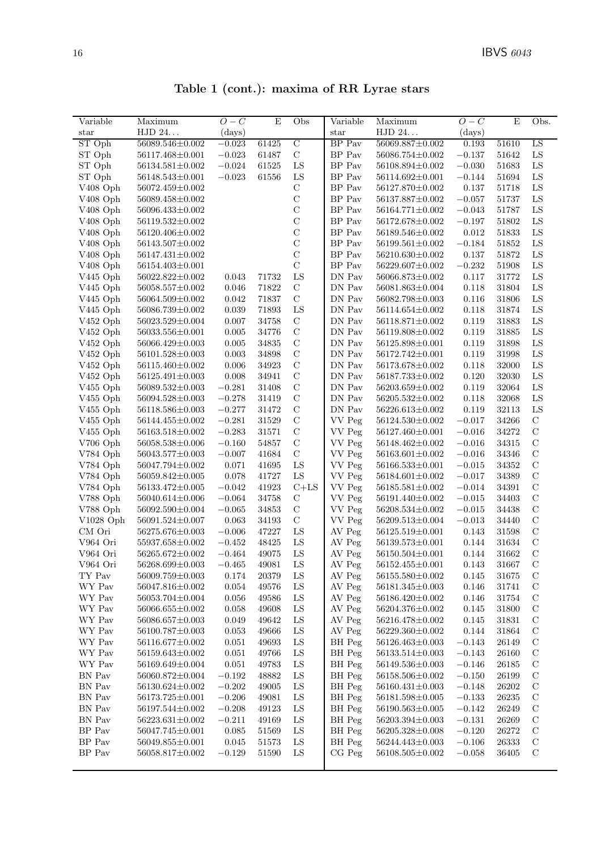| Table 1 (cont.): maxima of RR Lyrae stars |  |  |  |  |  |  |  |
|-------------------------------------------|--|--|--|--|--|--|--|
|-------------------------------------------|--|--|--|--|--|--|--|

| Variable               | Maximum                            | $O-C$        | E     | Obs            | Variable            | Maximum                                  | $O-C$    | E     | Obs.          |
|------------------------|------------------------------------|--------------|-------|----------------|---------------------|------------------------------------------|----------|-------|---------------|
| $_{\rm star}$          | HJD 24                             | $\rm (days)$ |       |                | $_{\rm star}$       | HJD 24                                   | (days)   |       |               |
| ST Oph                 | 56089.546±0.002                    | $-0.023$     | 61425 | $\overline{C}$ | BP Pav              | $56069.887 \pm 0.002$                    | 0.193    | 51610 | LS            |
| ST Oph                 | 56117.468±0.001                    | $-0.023$     | 61487 | $\mathbf C$    | BP Pav              | 56086.754±0.002                          | $-0.137$ | 51642 | ${\rm LS}$    |
| ST Oph                 | $56134.581 \pm 0.002$              | $-0.024$     | 61525 | ${\rm LS}$     | BP Pav              | 56108.894±0.002                          | $-0.030$ | 51683 | ${\rm LS}$    |
| ST Oph                 | 56148.543±0.001                    | $-0.023$     | 61556 | ${\rm LS}$     | BP Pav              | 56114.692±0.001                          | $-0.144$ | 51694 | ${\rm LS}$    |
| V <sub>408</sub> Oph   | 56072.459±0.002                    |              |       | $\mathbf C$    | BP Pav              | 56127.870±0.002                          | 0.137    | 51718 | ${\rm LS}$    |
| V408 Oph               | 56089.458±0.002                    |              |       | $\mathbf C$    | BP Pav              | 56137.887±0.002                          | $-0.057$ | 51737 | ${\rm LS}$    |
| V408 Oph               | 56096.433±0.002                    |              |       | $\mathcal{C}$  | BP Pav              | 56164.771±0.002                          | $-0.043$ | 51787 | ${\rm LS}$    |
| V408 Oph               | $56119.532 \pm 0.002$              |              |       | $\mathcal{C}$  | BP Pav              | 56172.678±0.002                          | $-0.197$ | 51802 | ${\rm LS}$    |
| V408 Oph               | 56120.406±0.002                    |              |       | $\mathcal{C}$  | BP Pav              | 56189.546±0.002                          | 0.012    | 51833 | ${\rm LS}$    |
| V408 Oph               | 56143.507±0.002                    |              |       | $\mathcal{C}$  | BP Pav              | $56199.561 \pm 0.002$                    | $-0.184$ | 51852 | ${\rm LS}$    |
| V <sub>408</sub> Oph   | 56147.431±0.002                    |              |       | $\mathcal{C}$  | BP Pav              | $56210.630 \pm 0.002$                    | 0.137    | 51872 | ${\rm LS}$    |
| $V408$ Oph             | 56154.403±0.001                    |              |       | $\mathcal{C}$  | BP Pav              | 56229.607±0.002                          | $-0.232$ | 51908 | ${\rm LS}$    |
|                        | 56022.822±0.002                    | 0.043        | 71732 | ${\rm LS}$     | DN Pav              | 56066.873±0.002                          | 0.117    | 31772 | LS            |
| $V445$ Oph             | 56058.557±0.002                    | 0.046        | 71822 | $\mathbf C$    | DN Pav              | 56081.863±0.004                          | 0.118    | 31804 | ${\rm LS}$    |
| $V445$ Oph<br>V445 Oph | 56064.509±0.002                    | 0.042        | 71837 | $\mathcal{C}$  | DN Pav              | 56082.798±0.003                          | 0.116    | 31806 | ${\rm LS}$    |
|                        |                                    |              | 71893 | ${\rm LS}$     | DN Pav              |                                          |          |       | ${\rm LS}$    |
| V445 Oph               | 56086.739±0.002<br>56023.529±0.004 | 0.039        |       | $\mathbf C$    | DN Pav              | $56114.654 \pm 0.002$<br>56118.871±0.002 | 0.118    | 31874 | ${\rm LS}$    |
| V452 Oph               |                                    | 0.007        | 34758 |                |                     |                                          | 0.119    | 31883 |               |
| V452 Oph               | 56033.556±0.001                    | 0.005        | 34776 | $\mathbf C$    | DN Pav              | 56119.808±0.002                          | 0.119    | 31885 | ${\rm LS}$    |
| V452 Oph               | 56066.429±0.003                    | 0.005        | 34835 | $\mathcal{C}$  | DN Pav              | 56125.898±0.001                          | 0.119    | 31898 | ${\rm LS}$    |
| V452 Oph               | 56101.528±0.003                    | 0.003        | 34898 | $\mathbf C$    | DN Pav              | $56172.742 \pm 0.001$                    | 0.119    | 31998 | ${\rm LS}$    |
| V452 Oph               | 56115.460±0.002                    | 0.006        | 34923 | $\mathbf C$    | DN Pav              | 56173.678±0.002                          | 0.118    | 32000 | LS            |
| V452 Oph               | $56125.491 \pm 0.003$              | 0.008        | 34941 | $\mathbf C$    | DN Pav              | 56187.733±0.002                          | 0.120    | 32030 | ${\rm LS}$    |
| V455 Oph               | 56089.532±0.003                    | $-0.281$     | 31408 | $\mathbf C$    | DN Pav              | 56203.659±0.002                          | 0.119    | 32064 | ${\rm LS}$    |
| V455 Oph               | 56094.528±0.003                    | $-0.278$     | 31419 | $\mathcal{C}$  | DN Pav              | 56205.532±0.002                          | 0.118    | 32068 | LS            |
| V455 Oph               | 56118.586±0.003                    | $-0.277$     | 31472 | $\mathbf C$    | DN Pav              | 56226.613±0.002                          | 0.119    | 32113 | LS            |
| V455 Oph               | 56144.455±0.002                    | $-0.281$     | 31529 | $\mathbf C$    | VV Peg              | $56124.530 \pm 0.002$                    | $-0.017$ | 34266 | $\mathbf C$   |
| V455 Oph               | 56163.518±0.002                    | $-0.283$     | 31571 | $\mathbf C$    | VV Peg              | 56127.460±0.001                          | $-0.016$ | 34272 | $\mathcal{C}$ |
| V706 Oph               | 56058.538±0.006                    | $-0.160$     | 54857 | $\mathbf C$    | VV Peg              | 56148.462±0.002                          | $-0.016$ | 34315 | $\mathbf C$   |
| V784 Oph               | 56043.577±0.003                    | $-0.007$     | 41684 | $\mathbf C$    | VV Peg              | $56163.601 \pm 0.002$                    | $-0.016$ | 34346 | $\mathbf C$   |
| V784 Oph               | 56047.794±0.002                    | 0.071        | 41695 | ${\rm LS}$     | VV Peg              | 56166.533±0.001                          | $-0.015$ | 34352 | $\mathbf C$   |
| V784 Oph               | 56059.842±0.005                    | 0.078        | 41727 | ${\rm LS}$     | VV Peg              | $56184.601 \pm 0.002$                    | $-0.017$ | 34389 | $\mathcal{C}$ |
| V784 Oph               | 56133.472±0.005                    | $-0.042$     | 41923 | $C+LS$         | VV Peg              | $56185.581 \pm 0.002$                    | $-0.014$ | 34391 | $\mathcal{C}$ |
| V788 Oph               | 56040.614±0.006                    | $-0.064$     | 34758 | $\mathbf C$    | VV Peg              | 56191.440±0.002                          | $-0.015$ | 34403 | $\mathcal{C}$ |
| V788 Oph               | 56092.590±0.004                    | $-0.065$     | 34853 | $\mathbf C$    | VV Peg              | 56208.534±0.002                          | $-0.015$ | 34438 | $\mathbf C$   |
| $V1028$ Oph            | 56091.524±0.007                    | 0.063        | 34193 | $\mathbf C$    | VV Peg              | 56209.513±0.004                          | $-0.013$ | 34440 | $\mathcal{C}$ |
| CM Ori                 | 56275.676±0.003                    | $-0.006$     | 47227 | ${\rm LS}$     | AV Peg              | 56125.519±0.001                          | 0.143    | 31598 | $\mathcal{C}$ |
| V964 Ori               | 55937.658±0.002                    | $-0.452$     | 48425 | ${\rm LS}$     | AV Peg              | 56139.573±0.001                          | 0.144    | 31634 | $\mathbf C$   |
| V964 Ori               | 56265.672±0.002                    | $-0.464$     | 49075 | ${\rm LS}$     | AV Peg              | 56150.504±0.001                          | 0.144    | 31662 | $\mathcal{C}$ |
| V964 Ori               | $56268.699{\pm}0.003$              | $-0.465\,$   | 49081 | ${\rm LS}$     | $\,\mathrm{AV}$ Peg | $56152.455\!\pm\!0.001$                  | 0.143    | 31667 | $\mathbf C$   |
| TY Pav                 | 56009.759±0.003                    | 0.174        | 20379 | LS             | AV Peg              | 56155.580±0.002                          | 0.145    | 31675 | $\mathcal{C}$ |
| WY Pav                 | 56047.816±0.002                    | 0.054        | 49576 | LS             | AV Peg              | $56181.345 \pm 0.003$                    | 0.146    | 31741 | $\mathcal{C}$ |
| WY Pav                 | 56053.704±0.004                    | 0.056        | 49586 | LS             | AV Peg              | 56186.420±0.002                          | 0.146    | 31754 | $\mathcal{C}$ |
| WY Pav                 | 56066.655±0.002                    | 0.058        | 49608 | LS             | AV Peg              | 56204.376±0.002                          | 0.145    | 31800 | $\mathcal{C}$ |
| WY Pav                 | 56086.657±0.003                    | 0.049        | 49642 | ${\rm LS}$     | AV Peg              | 56216.478±0.002                          | 0.145    | 31831 | $\mathbf C$   |
| WY Pav                 | 56100.787±0.003                    | 0.053        | 49666 | LS             | AV Peg              | 56229.360±0.002                          | 0.144    | 31864 | $\mathcal C$  |
| WY Pav                 | 56116.677±0.002                    | 0.051        | 49693 | LS             | BH Peg              | 56126.463±0.003                          | $-0.143$ | 26149 | $\mathbf C$   |
| WY Pav                 | 56159.643±0.002                    | 0.051        | 49766 | LS             | BH Peg              | $56133.514 \pm 0.003$                    | $-0.143$ | 26160 | $\mathcal{C}$ |
| WY Pav                 | 56169.649±0.004                    | 0.051        | 49783 | LS             | BH Peg              | $56149.536 \pm 0.003$                    | $-0.146$ | 26185 | $\mathcal{C}$ |
| BN Pav                 | 56060.872±0.004                    | $-0.192$     | 48882 | LS             | BH Peg              | 56158.506±0.002                          | $-0.150$ | 26199 | $\mathbf C$   |
| BN Pav                 | 56130.624±0.002                    | $-0.202$     | 49005 | LS             | BH Peg              | $56160.431 \pm 0.003$                    | $-0.148$ | 26202 | $\mathcal C$  |
| BN Pav                 | $56173.725\!\pm\!0.001$            | $-0.206$     | 49081 | ${\rm LS}$     | BH Peg              | 56181.598±0.005                          | $-0.133$ | 26235 | $\mathbf C$   |
| BN Pav                 | 56197.544±0.002                    | $-0.208$     | 49123 | LS             | BH Peg              | $56190.563 \pm 0.005$                    | $-0.142$ | 26249 | $\mathbf C$   |
| BN Pav                 | $56223.631 \pm 0.002$              | $-0.211$     | 49169 | LS             | BH Peg              | 56203.394±0.003                          | $-0.131$ | 26269 | $\mathcal{C}$ |
| BP Pav                 | 56047.745±0.001                    | 0.085        | 51569 | LS             | BH Peg              | 56205.328±0.008                          | $-0.120$ | 26272 | $\mathcal{C}$ |
| BP Pav                 | 56049.855±0.001                    | $\,0.045\,$  | 51573 | LS             | BH Peg              | 56244.443±0.003                          | $-0.106$ | 26333 | $\mathcal{C}$ |
| BP Pav                 | 56058.817±0.002                    | $-0.129$     | 51590 | LS             | $CG$ $Peg$          | $56108.505 \pm 0.002$                    | $-0.058$ | 36405 | $\mathcal{C}$ |
|                        |                                    |              |       |                |                     |                                          |          |       |               |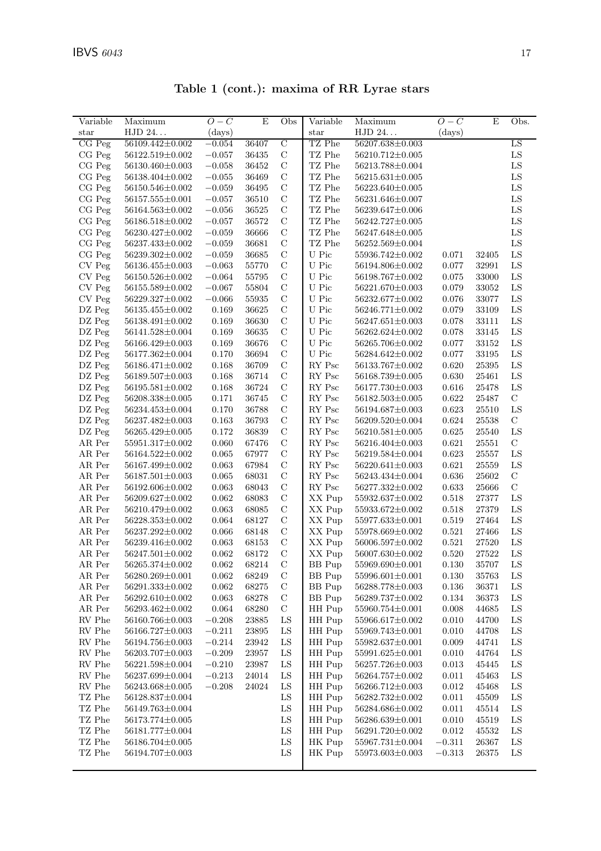| Variable       | Maximum               | $O-C$       | $\mathbf E$          | Obs            | Variable                       | Maximum               | $O-C$     | E         | Obs.        |
|----------------|-----------------------|-------------|----------------------|----------------|--------------------------------|-----------------------|-----------|-----------|-------------|
| $_{\rm star}$  | HJD 24                | (days)      |                      |                | star                           | HJD 24                | (days)    |           |             |
| CG Peg         | 56109.442±0.002       | $-0.054$    | 36407                | $\overline{C}$ | TZ Phe                         | 56207.638±0.003       |           |           | LS          |
| CG Peg         | 56122.519±0.002       | $-0.057$    | 36435                | $\mathbf C$    | TZ Phe                         | 56210.712±0.005       |           |           | ${\rm LS}$  |
| CG Peg         | 56130.460±0.003       | $-0.058$    | 36452                | $\mathbf C$    | $\operatorname{TZ}$ Phe        | 56213.788±0.004       |           |           | ${\rm LS}$  |
| CG Peg         | 56138.404±0.002       | $-0.055$    | 36469                | $\mathbf C$    | TZ Phe                         | $56215.631 \pm 0.005$ |           |           | ${\rm LS}$  |
| CG Peg         | 56150.546±0.002       | $-0.059$    | 36495                | $\mathbf C$    | $\operatorname{TZ}$ Phe        | 56223.640±0.005       |           |           | ${\rm LS}$  |
| CG Peg         | $56157.555 \pm 0.001$ | $-0.057$    | 36510                | $\mathbf C$    | TZ Phe                         | 56231.646±0.007       |           |           | ${\rm LS}$  |
| CG Peg         | 56164.563±0.002       | $-0.056$    | 36525                | $\mathbf C$    | TZ Phe                         | 56239.647±0.006       |           |           | ${\rm LS}$  |
| CG Peg         | 56186.518±0.002       | $-0.057$    | 36572                | $\mathbf C$    | TZ Phe                         | $56242.727 \pm 0.005$ |           |           | ${\rm LS}$  |
| CG Peg         | 56230.427±0.002       | $-0.059$    | 36666                | $\mathbf C$    | $\operatorname{TZ}$ Phe        | 56247.648±0.005       |           |           | ${\rm LS}$  |
| CG Peg         | 56237.433±0.002       | $-0.059\,$  | 36681                | $\mathbf C$    | TZ Phe                         | $56252.569{\pm}0.004$ |           |           | ${\rm LS}$  |
| CG Peg         | 56239.302±0.002       | $-0.059$    | 36685                | $\mathbf C$    | U Pic                          | 55936.742±0.002       | 0.071     | 32405     | ${\rm LS}$  |
| CV Peg         | 56136.455±0.003       | $-0.063$    | 55770                | $\mathcal{C}$  | U Pic                          | 56194.806±0.002       | 0.077     | 32991     | ${\rm LS}$  |
| CV Peg         | 56150.526±0.002       | $-0.064$    | 55795                | $\mathcal{C}$  | U Pic                          | 56198.767±0.002       | 0.075     | 33000     | ${\rm LS}$  |
| CV Peg         | 56155.589±0.002       | $-0.067$    | 55804                | $\mathbf C$    | U Pic                          | $56221.670 \pm 0.003$ | 0.079     | 33052     | ${\rm LS}$  |
| CV Peg         | $56229.327 \pm 0.002$ | $-0.066$    | 55935                | $\mathbf C$    | ${\cal U}$ Pic                 | $56232.677 \pm 0.002$ | 0.076     | 33077     | ${\rm LS}$  |
| DZ Peg         | 56135.455±0.002       | 0.169       | 36625                | $\mathbf C$    | ${\cal U}$ Pic                 | $56246.771 \pm 0.002$ | 0.079     | 33109     | ${\rm LS}$  |
| DZ Peg         | 56138.491±0.002       | 0.169       | 36630                | $\mathbf C$    | ${\cal U}$ Pic                 | $56247.651 \pm 0.003$ | 0.078     | 33111     | LS          |
| DZ Peg         | 56141.528±0.004       | 0.169       | 36635                | $\mathbf C$    | U Pic                          | $56262.624 \pm 0.002$ | 0.078     | 33145     | ${\rm LS}$  |
| DZ Peg         | 56166.429±0.003       | 0.169       | 36676                | $\mathcal C$   | U Pic                          | 56265.706±0.002       | 0.077     | 33152     | ${\rm LS}$  |
| DZ Peg         | 56177.362±0.004       | 0.170       | 36694                | $\mathbf C$    | U Pic                          | 56284.642±0.002       | 0.077     | 33195     | ${\rm LS}$  |
| DZ Peg         | $56186.471{\pm}0.002$ | 0.168       | 36709                | $\mathcal{C}$  | RY Psc                         | 56133.767±0.002       | 0.620     | 25395     | LS          |
| DZ Peg         | 56189.507±0.003       | 0.168       | 36714                | $\mathbf C$    | $\mathop{\rm RY}\nolimits$ Psc | $56168.739 \pm 0.005$ | 0.630     | 25461     | ${\rm LS}$  |
| DZ Peg         | 56195.581±0.002       | 0.168       | 36724                | $\mathbf C$    | RY Psc                         | 56177.730±0.003       | 0.616     | 25478     | LS          |
| DZ Peg         | 56208.338±0.005       | 0.171       | 36745                | $\mathbf C$    | RY Psc                         | $56182.503 \pm 0.005$ | 0.622     | 25487     | $\mathbf C$ |
| DZ Peg         | 56234.453±0.004       | 0.170       | 36788                | $\mathbf C$    | RY Psc                         | 56194.687±0.003       | 0.623     | 25510     | ${\rm LS}$  |
| DZ Peg         | 56237.482±0.003       | 0.163       | 36793                | $\mathcal{C}$  | RY Psc                         | 56209.520±0.004       | 0.624     | 25538     | $\mathbf C$ |
| DZ Peg         | 56265.429±0.005       | 0.172       | 36839                | $\mathbf C$    | RY Psc                         | $56210.581 \pm 0.005$ | 0.625     | 25540     | ${\rm LS}$  |
| AR Per         | 55951.317±0.002       | 0.060       | 67476                | $\mathbf C$    | $\mathop{\rm RY}\nolimits$ Psc | 56216.404±0.003       | 0.621     | 25551     | $\mathbf C$ |
| AR Per         | $56164.522{\pm}0.002$ | 0.065       | 67977                | $\mathcal{C}$  | RY Psc                         | 56219.584±0.004       | 0.623     | 25557     | ${\rm LS}$  |
| AR Per         | 56167.499±0.002       | 0.063       | 67984                | $\mathbf C$    | RY Psc                         | $56220.641 \pm 0.003$ | 0.621     | 25559     | ${\rm LS}$  |
| AR Per         | $56187.501 \pm 0.003$ | 0.065       | 68031                | $\mathbf C$    | RY Psc                         | 56243.434±0.004       | 0.636     | 25602     | $\mathbf C$ |
| AR Per         | 56192.606±0.002       | 0.063       | 68043                | $\mathbf C$    | RY Psc                         | 56277.332±0.002       | 0.633     | 25666     | $\mathbf C$ |
| AR Per         | 56209.627±0.002       | 0.062       | 68083                | $\mathbf C$    | XX Pup                         | 55932.637±0.002       | 0.518     | 27377     | ${\rm LS}$  |
| AR Per         | 56210.479±0.002       | 0.063       | 68085                | $\mathbf C$    | XX Pup                         | 55933.672±0.002       | 0.518     | 27379     | LS          |
| AR Per         | $56228.353\pm0.002$   | 0.064       | 68127                | $\mathcal{C}$  | XX Pup                         | 55977.633±0.001       | 0.519     | 27464     | ${\rm LS}$  |
| AR Per         | 56237.292±0.002       | 0.066       | 68148                | $\mathbf C$    | XX Pup                         | 55978.669±0.002       | 0.521     | 27466     | ${\rm LS}$  |
| AR Per         | 56239.416±0.002       | 0.063       | 68153                | $\mathbf C$    | XX Pup                         | 56006.597±0.002       | 0.521     | 27520     | ${\rm LS}$  |
| AR Per         | $56247.501 \pm 0.002$ | 0.062       | 68172                | $\mathcal{C}$  | XX Pup                         | 56007.630±0.002       | 0.520     | 27522     | LS          |
| AR Per         | $56265.374{\pm}0.002$ | $\,0.062\,$ | 68214                | $\mathcal C$   | BB Pup                         | $55969.690 \pm 0.001$ | $0.130\,$ | 35707     | ${\rm LS}$  |
| AR Per         | $56280.269{\pm}0.001$ | 0.062       | 68249                | $\mathbf C$    | <b>BB</b> Pup                  | $55996.601 \pm 0.001$ | 0.130     | 35763     | LS          |
| AR Per         | $56291.333\pm0.002$   | $\,0.062\,$ | 68275                | $\mathcal{C}$  | BB Pup                         | 56288.778±0.003       | 0.136     | 36371     | $_{\rm LS}$ |
| AR Per         | 56292.610±0.002       | 0.063       | 68278                | $\mathcal{C}$  | BB Pup                         | 56289.737±0.002       | 0.134     | 36373     | $_{\rm LS}$ |
| AR Per         | 56293.462±0.002       | 0.064       | 68280                | $\mathbf C$    | HH Pup                         | 55960.754±0.001       | 0.008     | 44685     | $_{\rm LS}$ |
| RV Phe         | 56160.766±0.003       | $-0.208$    | $\boldsymbol{23885}$ | LS             | HH Pup                         | 55966.617±0.002       | 0.010     | 44700     | ${\rm LS}$  |
| ${\rm RV}$ Phe | 56166.727±0.003       | $-0.211$    | 23895                | LS             | HH Pup                         | 55969.743±0.001       | 0.010     | 44708     | ${\rm LS}$  |
| RV Phe         | 56194.756±0.003       | $-0.214$    | 23942                | ${\rm LS}$     | HH Pup                         | 55982.637±0.001       | 0.009     | 44741     | $_{\rm LS}$ |
| RV Phe         | 56203.707±0.003       | $-0.209$    | 23957                | LS             | HH Pup                         | 55991.625±0.001       | 0.010     | 44764     | $_{\rm LS}$ |
| RV Phe         | 56221.598±0.004       | $-0.210$    | 23987                | LS             | HH Pup                         | 56257.726±0.003       | 0.013     | 45445     | $_{\rm LS}$ |
| RV Phe         | 56237.699±0.004       | $-0.213$    | 24014                | LS             | HH Pup                         | 56264.757±0.002       | 0.011     | 45463     | LS          |
| RV Phe         | 56243.668±0.005       | $-0.208$    | 24024                | LS             | HH Pup                         | $56266.712{\pm}0.003$ | 0.012     | 45468     | ${\rm LS}$  |
| TZ Phe         | 56128.837±0.004       |             |                      | ${\rm LS}$     | HH Pup                         | 56282.732±0.002       | 0.011     | 45509     | ${\rm LS}$  |
| TZ Phe         | 56149.763±0.004       |             |                      | LS             | HH Pup                         | 56284.686±0.002       | 0.011     | 45514     | LS          |
| TZ Phe         | 56173.774±0.005       |             |                      | ${\rm LS}$     | HH Pup                         | $56286.639 \pm 0.001$ | 0.010     | 45519     | $_{\rm LS}$ |
| TZ Phe         | 56181.777±0.004       |             |                      | LS             | HH Pup                         | $56291.720{\pm}0.002$ | 0.012     | 45532     | $_{\rm LS}$ |
| TZ Phe         | 56186.704±0.005       |             |                      | ${\rm LS}$     | HK Pup                         | 55967.731±0.004       | $-0.311$  | 26367     | $_{\rm LS}$ |
| TZ Phe         | 56194.707±0.003       |             |                      | ${\rm LS}$     | HK Pup                         | $55973.603 \pm 0.003$ | $-0.313$  | $26375\,$ | LS          |
|                |                       |             |                      |                |                                |                       |           |           |             |
|                |                       |             |                      |                |                                |                       |           |           |             |

Table 1 (cont.): maxima of RR Lyrae stars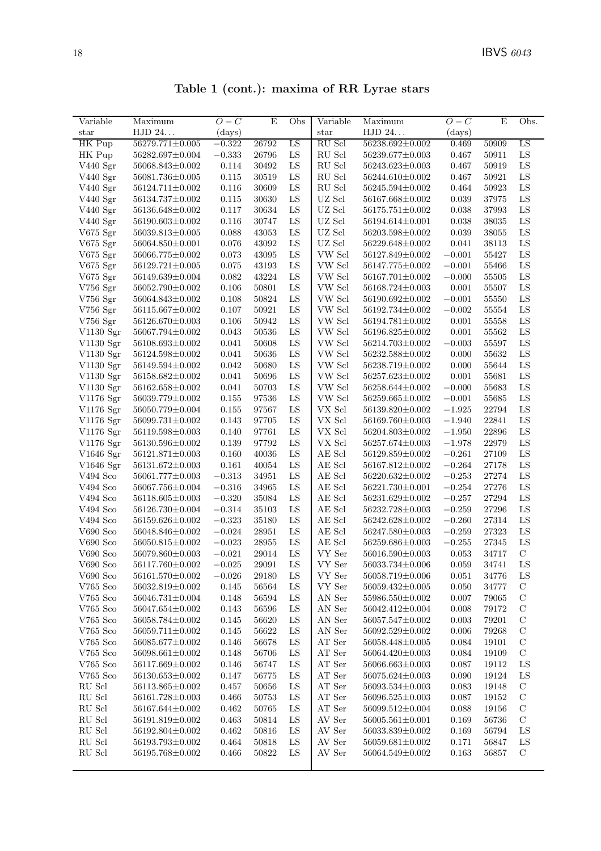| Table 1 (cont.): maxima of RR Lyrae stars |  |  |  |  |  |
|-------------------------------------------|--|--|--|--|--|
|-------------------------------------------|--|--|--|--|--|

| Variable         | Maximum               | $O-C$    | $\mathbf E$ | Obs         | Variable                            | Maximum               | $O-C$      | ${\bf E}$ | Obs.          |
|------------------|-----------------------|----------|-------------|-------------|-------------------------------------|-----------------------|------------|-----------|---------------|
| $_{\rm star}$    | HJD 24                | (days)   |             |             | star                                | HJD 24                | (days)     |           |               |
| HK Pup           | $56279.771 \pm 0.005$ | $-0.322$ | 26792       | LS          | RU Scl                              | 56238.692±0.002       | 0.469      | 50909     | LS            |
| HK Pup           | 56282.697±0.004       | $-0.333$ | 26796       | ${\rm LS}$  | $\mathop{\mathrm{RU}}\nolimits$ Scl | 56239.677±0.003       | 0.467      | 50911     | ${\rm LS}$    |
| V440 Sgr         | 56068.843±0.002       | 0.114    | 30492       | ${\rm LS}$  | $\mathop{\mathrm{RU}}\nolimits$ Scl | 56243.623±0.003       | 0.467      | 50919     | ${\rm LS}$    |
| V440 Sgr         | $56081.736 \pm 0.005$ | 0.115    | 30519       | LS          | $\mathop{\mathrm{RU}}\nolimits$ Scl | 56244.610±0.002       | 0.467      | 50921     | ${\rm LS}$    |
| V440 Sgr         | 56124.711±0.002       | 0.116    | 30609       | ${\rm LS}$  | $\mathop{\mathrm{RU}}\nolimits$ Scl | 56245.594±0.002       | 0.464      | 50923     | ${\rm LS}$    |
| V440 Sgr         | $56134.737 \pm 0.002$ | 0.115    | 30630       | ${\rm LS}$  | UZ Scl                              | 56167.668±0.002       | 0.039      | 37975     | LS            |
| V440 Sgr         | 56136.648±0.002       | 0.117    | 30634       | ${\rm LS}$  | UZ Scl                              | 56175.751±0.002       | 0.038      | 37993     | LS            |
| V440 Sgr         | $56190.603 \pm 0.002$ | 0.116    | 30747       | ${\rm LS}$  | UZ Scl                              | 56194.614±0.001       | 0.038      | 38035     | ${\rm LS}$    |
| V675 Sgr         | $56039.813 \pm 0.005$ | 0.088    | 43053       | ${\rm LS}$  | UZ Scl                              | $56203.598 \pm 0.002$ | 0.039      | 38055     | ${\rm LS}$    |
| V675 Sgr         | 56064.850±0.001       | 0.076    | 43092       | LS          | UZ Scl                              | 56229.648±0.002       | 0.041      | 38113     | ${\rm LS}$    |
| V675 Sgr         | 56066.775±0.002       | 0.073    | 43095       | ${\rm LS}$  | VW Scl                              | 56127.849±0.002       | $-0.001$   | 55427     | ${\rm LS}$    |
| $V675$ Sgr       | $56129.721 \pm 0.005$ | 0.075    | 43193       | ${\rm LS}$  | VW Scl                              | 56147.775±0.002       | $-0.001$   | 55466     | LS            |
| $V675$ Sgr       | 56149.639±0.004       | 0.082    | 43224       | ${\rm LS}$  | VW Scl                              | 56167.701±0.002       | $-0.000$   | 55505     | ${\rm LS}$    |
| $V756$ Sgr       | 56052.790±0.002       | 0.106    | 50801       | ${\rm LS}$  | VW Scl                              | 56168.724±0.003       | 0.001      | 55507     | ${\rm LS}$    |
| V756 Sgr         | 56064.843±0.002       | 0.108    | 50824       | LS          | VW Scl                              | 56190.692±0.002       | $-0.001$   | 55550     | ${\rm LS}$    |
| $V756$ Sgr       | $56115.667 \pm 0.002$ | 0.107    | 50921       | ${\rm LS}$  | VW Scl                              | 56192.734±0.002       | $-0.002$   | 55554     | ${\rm LS}$    |
| $V756$ Sgr       | 56126.670±0.003       | 0.106    | 50942       | LS          | VW Scl                              | 56194.781±0.002       | 0.001      | 55558     | LS            |
| V1130 Sgr        | 56067.794±0.002       | 0.043    | 50536       | ${\rm LS}$  | VW Scl                              | 56196.825±0.002       | 0.001      | 55562     | LS            |
| V1130 Sgr        | 56108.693±0.002       | 0.041    | 50608       | ${\rm LS}$  | VW Scl                              | 56214.703±0.002       | $-0.003$   | 55597     | ${\rm LS}$    |
| V1130 Sgr        | 56124.598±0.002       | 0.041    | 50636       | ${\rm LS}$  | VW Scl                              | 56232.588±0.002       | 0.000      | 55632     | ${\rm LS}$    |
| V1130 Sgr        | 56149.594±0.002       | 0.042    | 50680       | LS          | VW Scl                              | 56238.719±0.002       | 0.000      | 55644     | ${\rm LS}$    |
| V1130 Sgr        | 56158.682±0.002       | 0.041    | 50696       | ${\rm LS}$  | VW Scl                              | $56257.623 \pm 0.002$ | 0.001      | 55681     | ${\rm LS}$    |
| V1130 Sgr        | $56162.658 \pm 0.002$ | 0.041    | 50703       | ${\rm LS}$  | VW Scl                              | 56258.644±0.002       | $-0.000$   | 55683     | LS            |
| $V1176$ Sgr      | 56039.779±0.002       | 0.155    | 97536       | ${\rm LS}$  | VW Scl                              | 56259.665±0.002       | $-0.001$   | 55685     | LS            |
| V1176 Sgr        | 56050.779±0.004       | 0.155    | 97567       | ${\rm LS}$  | VX Scl                              | 56139.820±0.002       | $-1.925$   | 22794     | ${\rm LS}$    |
| V1176 Sgr        | $56099.731{\pm}0.002$ | 0.143    | 97705       | ${\rm LS}$  | VX Scl                              | 56169.760±0.003       | $-1.940$   | 22841     | ${\rm LS}$    |
| V1176 Sgr        | $56119.598 \pm 0.003$ | 0.140    | 97761       | LS          | VX Scl                              | 56204.803±0.002       | $-1.950\,$ | 22896     | LS            |
| V1176 Sgr        | $56130.596 \pm 0.002$ | 0.139    | 97792       | ${\rm LS}$  | VX Scl                              | 56257.674±0.003       | $-1.978$   | 22979     | ${\rm LS}$    |
| V1646 Sgr        | $56121.871 \pm 0.003$ | 0.160    | 40036       | LS          | $\mathbf{AE}$ Scl                   | 56129.859±0.002       | $-0.261$   | 27109     | LS            |
| V1646 Sgr        | $56131.672 \pm 0.003$ | 0.161    | 40054       | ${\rm LS}$  | AE Scl                              | 56167.812±0.002       | $-0.264$   | 27178     | LS            |
| $V494$ Sco       | $56061.777 \pm 0.003$ | $-0.313$ | 34951       | ${\rm LS}$  | AE Scl                              | 56220.632±0.002       | $-0.253$   | 27274     | ${\rm LS}$    |
| V494 Sco         | 56067.756±0.004       | $-0.316$ | 34965       | ${\rm LS}$  | AE Scl                              | $56221.730 \pm 0.001$ | $-0.254$   | 27276     | ${\rm LS}$    |
| V494 Sco         | $56118.605 \pm 0.003$ | $-0.320$ | 35084       | LS          | AE Scl                              | 56231.629±0.002       | $-0.257$   | 27294     | ${\rm LS}$    |
| $V494$ Sco       | $56126.730 \pm 0.004$ | $-0.314$ | 35103       | ${\rm LS}$  | AE Scl                              | 56232.728±0.003       | $-0.259$   | 27296     | ${\rm LS}$    |
| $V494$ Sco       | $56159.626 \pm 0.002$ | $-0.323$ | 35180       | LS          | AE Scl                              | 56242.628±0.002       | $-0.260$   | 27314     | LS            |
| $V690$ Sco       | 56048.846±0.002       | $-0.024$ | 28951       | ${\rm LS}$  | $\mathbf{AE}$ Scl                   | 56247.580±0.003       | $-0.259$   | 27323     | LS            |
| $V690$ Sco       | 56050.815±0.002       | $-0.023$ | 28955       | LS          | $\mathbf{AE}$ Scl                   | 56259.686±0.003       | $-0.255$   | 27345     | ${\rm LS}$    |
| $V690$ Sco       | 56079.860±0.003       | $-0.021$ | 29014       | LS          | VY Ser                              | 56016.590±0.003       | 0.053      | 34717     | $\mathbf C$   |
| ${\rm V690}$ Sco | $56117.760{\pm}0.002$ | $-0.025$ | 29091       | ${\rm LS}$  | VY Ser                              | $56033.734 \pm 0.006$ | $0.059\,$  | 34741     | LS            |
| $V690$ Sco       | $56161.570 \pm 0.002$ | $-0.026$ | 29180       | LS          | VY Ser                              | 56058.719±0.006       | 0.051      | 34776     | LS            |
| $V765$ Sco       | 56032.819±0.002       | 0.145    | 56564       | LS          | VY Ser                              | 56059.432±0.005       | 0.050      | 34777     | С             |
| $V765$ Sco       | $56046.731 \pm 0.004$ | 0.148    | 56594       | $_{\rm LS}$ | AN Ser                              | 55986.550±0.002       | 0.007      | 79065     | $\mathcal C$  |
| $V765$ Sco       | $56047.654 \pm 0.002$ | 0.143    | 56596       | LS          | $\mathbf{AN}\ \mathbf{Ser}$         | 56042.412±0.004       | 0.008      | 79172     | $\mathcal{C}$ |
| V765 Sco         | 56058.784±0.002       | 0.145    | 56620       | LS          | AN Ser                              | 56057.547±0.002       | 0.003      | 79201     | $\mathcal{C}$ |
| $V765$ Sco       | 56059.711±0.002       | 0.145    | 56622       | LS          | AN Ser                              | 56092.529±0.002       | 0.006      | 79268     | $\mathcal C$  |
| $V765$ Sco       | $56085.677 \pm 0.002$ | 0.146    | 56678       | LS          | $\operatorname{AT}$ Ser             | 56058.448±0.005       | 0.084      | 19101     | $\mathcal C$  |
| $V765$ Sco       | $56098.661 \pm 0.002$ | 0.148    | 56706       | $_{\rm LS}$ | AT Ser                              | 56064.420±0.003       | 0.084      | 19109     | $\mathcal C$  |
| $V765$ Sco       | 56117.669±0.002       | 0.146    | 56747       | LS          | AT Ser                              | 56066.663±0.003       | 0.087      | 19112     | LS            |
| $V765$ Sco       | $56130.653 \pm 0.002$ | 0.147    | 56775       | LS          | AT Ser                              | 56075.624±0.003       | 0.090      | 19124     | LS            |
| RU Scl           | $56113.865 \pm 0.002$ | 0.457    | 50656       | LS          | AT Ser                              | 56093.534±0.003       | 0.083      | 19148     | $\mathcal{C}$ |
| RU Scl           | $56161.728 \pm 0.003$ | 0.466    | 50753       | $_{\rm LS}$ | AT Ser                              | $56096.525 \pm 0.003$ | 0.087      | 19152     | $\mathcal C$  |
| RU Scl           | 56167.644±0.002       | 0.462    | 50765       | LS          | AT Ser                              | 56099.512±0.004       | 0.088      | 19156     | $\mathcal C$  |
| RU Scl           | 56191.819±0.002       | 0.463    | 50814       | $_{\rm LS}$ | AV Ser                              | $56005.561 \pm 0.001$ | 0.169      | 56736     | С             |
| RU Scl           | 56192.804±0.002       | 0.462    | 50816       | LS          | AV Ser                              | 56033.839±0.002       | 0.169      | 56794     | LS            |
| RU Scl           | 56193.793±0.002       | 0.464    | 50818       | LS          | AV Ser                              | 56059.681±0.002       | 0.171      | 56847     | LS            |
| RU Scl           | 56195.768±0.002       | 0.466    | 50822       | LS          | AV Ser                              | 56064.549±0.002       | 0.163      | 56857     | $\mathcal{C}$ |
|                  |                       |          |             |             |                                     |                       |            |           |               |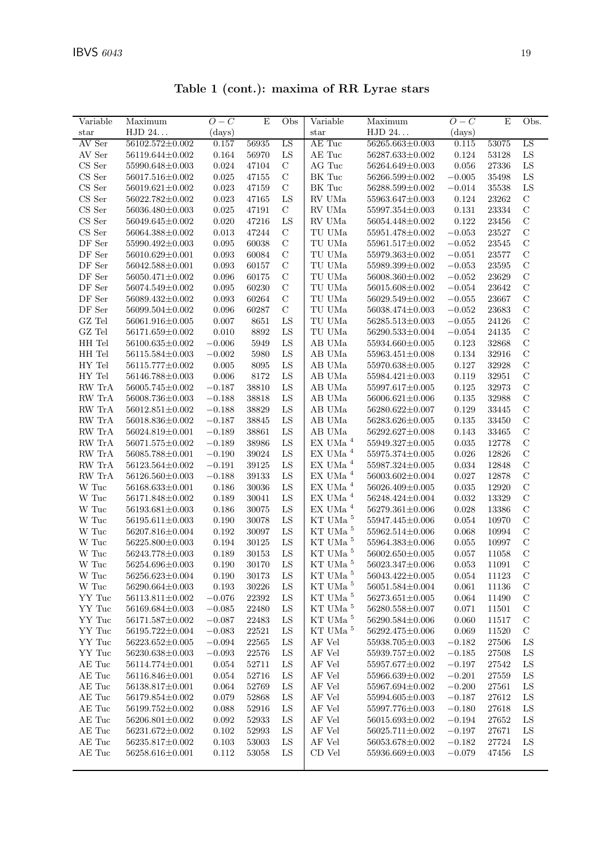| Variable                            | Maximum               | $O-C$        | E         | Obs           | Variable                   | Maximum               | $O-C$       | E     | Obs.          |
|-------------------------------------|-----------------------|--------------|-----------|---------------|----------------------------|-----------------------|-------------|-------|---------------|
| star                                | ${\rm HJD}$ 24.       | $\rm (days)$ |           |               | star                       | HJD 24                | (days)      |       |               |
| AV Ser                              | 56102.572±0.002       | 0.157        | 56935     | LS            | AE Tuc                     | 56265.663±0.003       | 0.115       | 53075 | LS            |
| AV Ser                              | 56119.644±0.002       | 0.164        | 56970     | LS            | AE Tuc                     | 56287.633±0.002       | 0.124       | 53128 | ${\rm LS}$    |
| $\mathop{\rm CS}$ Ser               | 55990.648±0.003       | 0.024        | 47104     | $\mathbf C$   | AG Tuc                     | 56264.649±0.003       | 0.056       | 27336 | ${\rm LS}$    |
| $CS$ Ser                            | 56017.516±0.002       | 0.025        | 47155     | $\mathbf C$   | BK Tuc                     | 56266.599±0.002       | $-0.005$    | 35498 | ${\rm LS}$    |
| CS Ser                              | $56019.621 \pm 0.002$ | 0.023        | 47159     | $\mathcal{C}$ | BK Tuc                     | 56288.599±0.002       | $-0.014$    | 35538 | ${\rm LS}$    |
| $\mathop{\rm CS}$ Ser               | 56022.782±0.002       | 0.023        | 47165     | LS            | RV UMa                     | 55963.647±0.003       | 0.124       | 23262 | $\mathbf C$   |
|                                     |                       |              |           | $\mathbf C$   |                            |                       |             |       | $\mathbf C$   |
| CS Ser                              | 56036.480±0.003       | 0.025        | 47191     |               | RV UMa                     | 55997.354±0.003       | 0.131       | 23334 |               |
| CS Ser                              | 56049.645±0.002       | 0.020        | 47216     | LS            | RV UMa                     | 56054.448±0.002       | 0.122       | 23456 | $\mathcal{C}$ |
| $\mathop{\rm CS}$ Ser               | 56064.388±0.002       | 0.013        | 47244     | $\mathbf C$   | $\operatorname{TU}$ UMa    | 55951.478±0.002       | $-0.053$    | 23527 | $\mathcal{C}$ |
| DF Ser                              | 55990.492±0.003       | 0.095        | 60038     | $\mathbf C$   | TU UMa                     | 55961.517±0.002       | $-0.052$    | 23545 | $\mathbf C$   |
| DF Ser                              | 56010.629±0.001       | 0.093        | 60084     | $\mathbf C$   | TU UMa                     | 55979.363±0.002       | $-0.051$    | 23577 | $\mathbf C$   |
| DF Ser                              | 56042.588±0.001       | 0.093        | 60157     | $\mathbf C$   | TU UMa                     | 55989.399±0.002       | $-0.053$    | 23595 | $\mathbf C$   |
| DF Ser                              | 56050.471±0.002       | 0.096        | 60175     | $\mathbf C$   | TU UMa                     | 56008.360±0.002       | $-0.052$    | 23629 | $\mathbf C$   |
| DF Ser                              | 56074.549±0.002       | 0.095        | 60230     | $\mathcal{C}$ | TU UMa                     | 56015.608±0.002       | $-0.054$    | 23642 | $\mathcal{C}$ |
| $\mathrm{DF}$ Ser                   | 56089.432±0.002       | 0.093        | 60264     | $\mathbf C$   | $\operatorname{TU}$ UMa    | 56029.549±0.002       | $-0.055$    | 23667 | $\mathbf C$   |
| $\mathrm{DF}$ Ser                   | 56099.504±0.002       | 0.096        | 60287     | $\mathbf C$   | TU UMa                     | 56038.474±0.003       | $-0.052$    | 23683 | $\mathbf C$   |
| GZ Tel                              | 56061.916±0.005       | 0.007        | 8651      | LS            | TU UMa                     | 56285.513±0.003       | $-0.055$    | 24126 | $\mathbf C$   |
| $\operatorname{GZ}$ Tel             | $56171.659 \pm 0.002$ | 0.010        | 8892      | ${\rm LS}$    | TU UMa                     | $56290.533 \pm 0.004$ | $-0.054$    | 24135 | $\mathbf C$   |
| HH Tel                              | $56100.635 \pm 0.002$ | $-0.006$     | 5949      | ${\rm LS}$    | AB UMa                     | 55934.660±0.005       | 0.123       | 32868 | $\mathbf C$   |
| HH Tel                              | $56115.584 \pm 0.003$ | $-0.002$     | 5980      | LS            | AB UMa                     | 55963.451±0.008       | 0.134       | 32916 | $\mathcal{C}$ |
| HY Tel                              | 56115.777±0.002       | 0.005        | 8095      | LS            | AB UMa                     | 55970.638±0.005       | 0.127       | 32928 | $\mathcal{C}$ |
| $\rm{HY}$ Tel                       | 56146.788±0.003       | 0.006        | 8172      | LS            | AB UMa                     | 55984.421±0.003       | 0.119       | 32951 | $\mathbf C$   |
| RW TrA                              | 56005.745±0.002       | $-0.187$     | 38810     | LS            | AB UMa                     | 55997.617±0.005       | 0.125       | 32973 | $\mathcal{C}$ |
| RW TrA                              | 56008.736±0.003       | $-0.188$     | 38818     | LS            | AB UMa                     | $56006.621 \pm 0.006$ | 0.135       | 32988 | $\mathbf C$   |
| RW TrA                              | 56012.851±0.002       | $-0.188$     | 38829     | LS            | AB UMa                     | 56280.622±0.007       | 0.129       | 33445 | $\mathbf C$   |
| ${\rm RW}\ {\rm Tr}{\rm A}$         | 56018.836±0.002       | $-0.187$     | 38845     | LS            | AB UMa                     | 56283.626±0.005       | 0.135       | 33450 | $\mathbf C$   |
| $\ensuremath{\text{RW}}\xspace$ TrA | 56024.819±0.001       | $-0.189$     | 38861     | LS            | ${\rm AB}$ UMa             | 56292.627±0.008       | $\,0.143\,$ | 33465 | $\mathbf C$   |
| $\ensuremath{\text{RW}}\xspace$ TrA | 56071.575±0.002       | $-0.189$     | 38986     | LS            | $\mathop{\rm EX}$ UMa $^4$ | 55949.327±0.005       | 0.035       | 12778 | $\mathbf C$   |
| RW TrA                              | 56085.788±0.001       | $-0.190$     | 39024     | LS            | $\mathop{\rm EX}$ UMa $^4$ | 55975.374±0.005       | 0.026       | 12826 | $\mathbf C$   |
| RW TrA                              | 56123.564±0.002       | $-0.191$     | 39125     | ${\rm LS}$    | $\mathop{\rm EX}$ UMa $^4$ | 55987.324±0.005       | 0.034       | 12848 | $\mathbf C$   |
| RW TrA                              | 56126.560±0.003       | $-0.188$     | 39133     | ${\rm LS}$    | $\mathop{\rm EX}$ UMa $^4$ | 56003.602±0.004       | 0.027       | 12878 | $\mathbf C$   |
| $\ensuremath{\text{W}}$ Tuc         | $56168.633\pm0.001$   | 0.186        | 30036     | LS            | $\mathop{\rm EX}$ UMa $^4$ | 56026.409±0.005       | 0.035       | 12920 | $\mathcal{C}$ |
| W Tuc                               | 56171.848±0.002       | 0.189        | 30041     | LS            | $\mathop{\rm EX}$ UMa $^4$ | 56248.424±0.004       | 0.032       | 13329 | $\mathbf C$   |
| W Tuc                               | 56193.681±0.003       | 0.186        | 30075     | LS            | $\mathop{\rm EX}$ UMa $^4$ | 56279.361±0.006       | 0.028       | 13386 | $\mathbf C$   |
| W Tuc                               | $56195.611 \pm 0.003$ | 0.190        | 30078     | LS            | $\rm KT$ UMa $^5$          | 55947.445±0.006       | 0.054       | 10970 | $\mathbf C$   |
| W Tuc                               | 56207.816±0.004       | 0.192        | 30097     | LS            | KT UMa <sup>5</sup>        | 55962.514±0.006       | 0.068       | 10994 | $\mathbf C$   |
| $\ensuremath{\text{W}}$ Tuc         | 56225.800±0.003       | 0.194        | 30125     | LS            | KT UMa <sup>5</sup>        | 55964.383±0.006       | 0.055       | 10997 | $\mathbf C$   |
| $\ensuremath{\text{W}}$ Tuc         | 56243.778±0.003       | 0.189        | 30153     | LS            | $\rm KT$ UMa $^5$          | $56002.650 \pm 0.005$ | 0.057       | 11058 | $\mathcal{C}$ |
| $\ensuremath{\text{W}}$ Tuc         | $56254.696{\pm}0.003$ | 0.190        | $30170\,$ | LS            | $\rm KT$ UMa $^5$          | $56023.347{\pm}0.006$ | $\,0.053\,$ | 11091 | $\mathcal C$  |
| $\ensuremath{\text{W}}$ Tuc         | $56256.623 \pm 0.004$ | 0.190        | 30173     | LS            | KT UMa <sup>5</sup>        | 56043.422±0.005       | 0.054       | 11123 | $\mathcal{C}$ |
| $\ensuremath{\text{W}}$ Tuc         | 56290.664±0.003       | 0.193        | 30226     | LS            | $\rm KT$ UMa $^5$          | 56051.584±0.004       | 0.061       | 11136 | $\mathcal{C}$ |
| YY Tuc                              | 56113.811±0.002       | $-0.076$     | 22392     | LS            | KT UMa <sup>5</sup>        | 56273.651±0.005       | 0.064       | 11490 | $\mathcal{C}$ |
| YY Tuc                              | 56169.684±0.003       | $-0.085$     | 22480     | $_{\rm LS}$   | KT UMa <sup>5</sup>        | 56280.558±0.007       | 0.071       | 11501 | $\mathcal{C}$ |
| YY Tuc                              | 56171.587±0.002       | $-0.087$     | 22483     | ${\rm LS}$    | KT UMa <sup>5</sup>        | 56290.584±0.006       | 0.060       | 11517 | $\mathbf C$   |
| YY Tuc                              | 56195.722±0.004       | $-0.083$     | 22521     | LS            | KT UMa <sup>5</sup>        | 56292.475±0.006       | 0.069       | 11520 | $\mathbf C$   |
| YY Tuc                              | $56223.652 \pm 0.005$ | $-0.094$     | 22565     | LS            | AF Vel                     | 55938.705±0.003       | $-0.182$    | 27506 | LS            |
| YY Tuc                              | 56230.638±0.003       | $-0.093$     | 22576     | LS            | AF Vel                     | 55939.757±0.002       | $-0.185$    | 27508 | LS            |
| AE Tuc                              | 56114.774±0.001       | 0.054        | 52711     | LS            | AF Vel                     | 55957.677±0.002       | $-0.197$    | 27542 | LS            |
| AE Tuc                              | 56116.846±0.001       |              | 52716     |               |                            |                       |             |       |               |
|                                     | 56138.817±0.001       | 0.054        |           | LS            | AF Vel                     | 55966.639±0.002       | $-0.201$    | 27559 | LS            |
| AE Tuc                              |                       | 0.064        | 52769     | LS            | AF Vel                     | 55967.694±0.002       | $-0.200$    | 27561 | LS            |
| AE Tuc                              | 56179.854±0.002       | 0.079        | 52868     | LS            | $\rm AF$ Vel               | 55994.605±0.003       | $-0.187$    | 27612 | LS            |
| AE Tuc                              | 56199.752±0.002       | 0.088        | 52916     | LS            | AF Vel                     | 55997.776±0.003       | $-0.180$    | 27618 | LS            |
| AE Tuc                              | 56206.801±0.002       | 0.092        | 52933     | LS            | AF Vel                     | 56015.693±0.002       | $-0.194$    | 27652 | LS            |
| AE Tuc                              | 56231.672±0.002       | 0.102        | 52993     | LS            | AF Vel                     | 56025.711±0.002       | $-0.197$    | 27671 | ${\rm LS}$    |
| AE Tuc                              | 56235.817±0.002       | $0.103\,$    | 53003     | LS            | AF Vel                     | 56053.678±0.002       | $-0.182$    | 27724 | ${\rm LS}$    |
| AE Tuc                              | $56258.616{\pm}0.001$ | $0.112\,$    | 53058     | LS            | CD Vel                     | $55936.669 \pm 0.003$ | $-0.079$    | 47456 | LS            |

Table 1 (cont.): maxima of RR Lyrae stars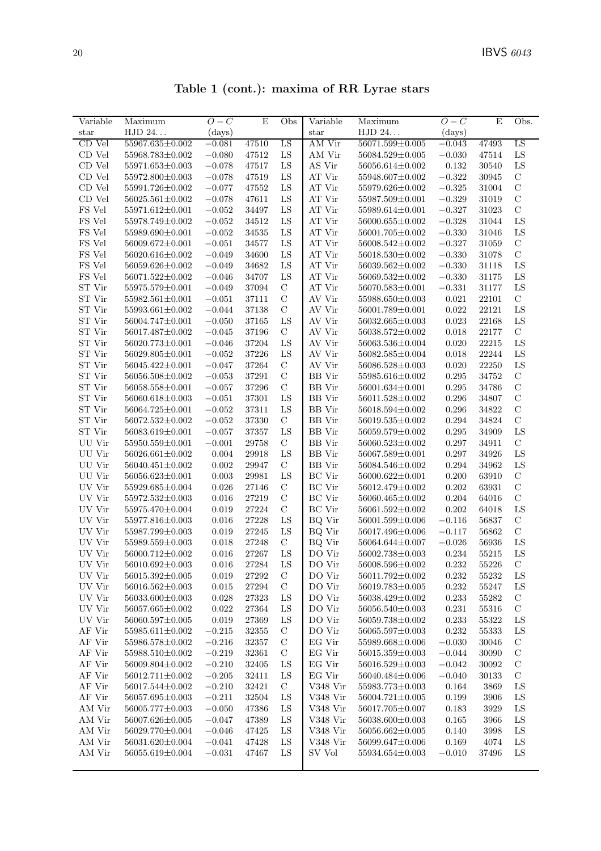| Table 1 (cont.): maxima of RR Lyrae stars |  |  |  |  |  |
|-------------------------------------------|--|--|--|--|--|
|-------------------------------------------|--|--|--|--|--|

| Variable                | Maximum                            | $O-C$          | E                    | Obs               | Variable         | Maximum                            | $O-C$             | E              | Obs.                         |
|-------------------------|------------------------------------|----------------|----------------------|-------------------|------------------|------------------------------------|-------------------|----------------|------------------------------|
| $_{\rm star}$           | HJD 24                             | $\rm (days)$   |                      |                   | star             | HJD 24                             | (days)            |                |                              |
| CD Vel                  | 55967.635±0.002                    | $-0.081$       | 47510                | LS                | AM Vir           | $56071.599 \pm 0.005$              | $-0.043$          | 47493          | LS                           |
| $\mathop{\rm CD}$ Vel   | 55968.783±0.002                    | $-0.080$       | 47512                | LS                | AM Vir           | 56084.529±0.005                    | $-0.030$          | 47514          | LS                           |
| CD Vel                  | 55971.653±0.003                    | $-0.078$       | 47517                | ${\rm LS}$        | AS Vir           | 56056.614±0.002                    | 0.132             | 30540          | LS                           |
| CD Vel                  | 55972.800±0.003                    | $-0.078$       | 47519                | LS                | AT Vir           | 55948.607±0.002                    | $-0.322$          | 30945          | $\mathbf C$                  |
| CD Vel                  | 55991.726±0.002                    | $-0.077$       | 47552                | LS                | AT Vir           | 55979.626±0.002                    | $-0.325$          | 31004          | $\mathbf C$                  |
| CD Vel                  | $56025.561 \pm 0.002$              | $-0.078$       | 47611                | LS                | AT Vir           | 55987.509±0.001                    | $-0.329$          | 31019          | $\mathcal{C}$                |
| FS Vel                  | 55971.612±0.001                    | $-0.052$       | 34497                | LS                | AT Vir           | 55989.614±0.001                    | $-0.327$          | 31023          | $\mathcal{C}$                |
| FS Vel                  | 55978.749±0.002                    | $-0.052$       | 34512                | LS                | AT Vir           | 56000.655±0.002                    | $-0.328$          | 31044          | LS                           |
| FS Vel                  | 55989.690±0.001                    | $-0.052$       | 34535                | ${\rm LS}$        | AT Vir           | 56001.705±0.002                    | $-0.330$          | 31046          | LS                           |
| $\operatorname{FS}$ Vel | 56009.672±0.001                    | $-0.051$       | 34577                | LS                | ${\rm AT}$ Vir   | 56008.542±0.002                    | $-0.327$          | 31059          | $\mathcal{C}$                |
| FS Vel                  | 56020.616±0.002                    | $-0.049$       | 34600                | LS                | AT Vir           | 56018.530±0.002                    | $-0.330$          | 31078          | $\mathbf C$                  |
| FS Vel                  | 56059.626±0.002                    | $-0.049$       | 34682                | LS                | AT Vir           | 56039.562±0.002                    | $-0.330$          | 31118          | LS                           |
| FS Vel                  | 56071.522±0.002                    | $-0.046$       | 34707                | LS                | AT Vir           | 56069.532±0.002                    | $-0.330$          | 31175          | ${\rm LS}$                   |
| ST Vir                  | 55975.579±0.001                    | $-0.049$       | 37094                | $\mathbf C$       | AT Vir           | 56070.583±0.001                    | $-0.331$          | 31177          | LS                           |
| ST Vir                  | $55982.561 \pm 0.001$              | $-0.051$       | 37111                | $\mathbf C$       | AV Vir           | 55988.650±0.003                    | 0.021             | 22101          | $\mathbf C$                  |
| ST Vir                  | 55993.661±0.002                    | $-0.044$       | 37138                | $\mathbf C$       | AV Vir           | 56001.789±0.001                    | 0.022             | 22121          | ${\rm LS}$                   |
| ST Vir                  | 56004.747±0.001                    | $-0.050$       | 37165                | LS                | AV Vir           | 56032.665±0.003                    | 0.023             | 22168          | LS                           |
| ST Vir                  | 56017.487±0.002                    | $-0.045$       | 37196                | $\mathbf C$       | AV Vir           | 56038.572±0.002                    | 0.018             | 22177          | $\mathcal{C}$                |
| ST Vir                  | 56020.773±0.001                    | $-0.046$       | 37204                | ${\rm LS}$        | AV Vir           | $56063.536 \pm 0.004$              | 0.020             | 22215          | ${\rm LS}$                   |
| ST Vir                  | 56029.805±0.001                    | $-0.052$       | 37226                | LS                | AV Vir           | 56082.585±0.004                    | 0.018             | 22244          | LS                           |
| ST Vir                  | 56045.422±0.001                    | $-0.047$       | 37264                | $\mathcal{C}$     | AV Vir           | 56086.528±0.003                    | 0.020             | 22250          | LS                           |
| ${\rm ST}$ Vir          | 56056.508±0.002                    | $-0.053$       | 37291                | $\mathcal{C}$     | <b>BB</b> Vir    | 55985.616±0.002                    | 0.295             | 34752          | $\mathbf C$                  |
| ST Vir                  | 56058.558±0.001                    | $-0.057$       | 37296                | $\mathbf C$       | <b>BB</b> Vir    | 56001.634±0.001                    | 0.295             | 34786          | $\mathbf C$                  |
| ST Vir                  | 56060.618±0.003                    | $-0.051$       | 37301                | LS                | <b>BB</b> Vir    | 56011.528±0.002                    | 0.296             | 34807          | $\mathcal{C}$                |
| ${\rm ST}$ Vir          | 56064.725±0.001                    | $-0.052$       | 37311                | LS                | <b>BB</b> Vir    | 56018.594±0.002                    | 0.296             | 34822          | $\mathbf C$                  |
| ST Vir                  | 56072.532±0.002                    | $-0.052$       | 37330                | $\mathbf C$       | <b>BB</b> Vir    | 56019.535±0.002                    | 0.294             | 34824          | $\mathbf C$                  |
| ST Vir                  | 56083.619±0.001                    | $-0.057$       | 37357                | ${\rm LS}$        | <b>BB</b> Vir    | 56059.579±0.002                    | 0.295             | 34909          | LS                           |
| UU Vir                  | 55950.559±0.001                    | $-0.001$       | 29758                | $\mathbf C$       | <b>BB</b> Vir    | $56060.523 \pm 0.002$              | 0.297             | 34911          | $\mathcal{C}$                |
| UU Vir                  | $56026.661 \pm 0.002$              | 0.004          | 29918                | LS                | <b>BB</b> Vir    | 56067.589±0.001                    | 0.297             | 34926          | LS                           |
| UU Vir                  | $56040.451 \pm 0.002$              | 0.002          | 29947                | $\mathbf C$       | <b>BB</b> Vir    | 56084.546±0.002                    | 0.294             | 34962          | LS                           |
| $\rm UU$ Vir            | 56056.623±0.001                    | 0.003          | 29981                | LS                | <b>BC</b> Vir    | 56000.622±0.001                    | 0.200             | 63910          | $\mathcal{C}$                |
| UV Vir                  | $55929.685 \pm 0.004$              | 0.026          | 27146                | $\mathbf C$       | <b>BC</b> Vir    | 56012.479±0.002                    | 0.202             | 63931          | $\mathbf C$                  |
| UV Vir                  | $55972.532 \pm 0.003$              | 0.016          | 27219                | $\mathcal{C}$     | <b>BC</b> Vir    | 56060.465±0.002                    | 0.204             | 64016          | $\mathcal{C}$                |
| UV Vir                  | 55975.470±0.004                    | 0.019          | 27224                | $\mathbf C$       | $\rm BC~Vir$     | 56061.592±0.002                    | 0.202             | 64018          | LS                           |
| UV Vir                  | 55977.816±0.003                    | 0.016          | 27228                | LS                | BQ Vir           | 56001.599±0.006                    | $-0.116$          | 56837          | $\mathbf C$<br>$\mathcal{C}$ |
| UV Vir<br>UV Vir        | 55987.799±0.003<br>55989.559±0.003 | 0.019          | 27245                | LS<br>$\mathbf C$ | BQ Vir<br>BQ Vir | 56017.496±0.006                    | $-0.117$          | 56862          | LS                           |
| UV Vir                  | 56000.712±0.002                    | 0.018<br>0.016 | 27248<br>27267       | ${\rm LS}$        | DO Vir           | 56064.644±0.007<br>56002.738±0.003 | $-0.026$<br>0.234 | 56936<br>55215 | LS                           |
| UV Vir                  | $56010.692 \pm 0.003$              | 0.016          | 27284                | ${\rm LS}$        | DO Vir           | $56008.596\!\pm\!0.002$            | 0.232             | $55226\,$      | $\mathcal{C}$                |
| UV Vir                  | 56015.392±0.005                    | 0.019          | 27292                | $\mathcal{C}$     | DO Vir           | 56011.792±0.002                    | 0.232             | 55232          | LS                           |
| UV Vir                  | $56016.562 \pm 0.003$              | 0.015          | 27294                | $\mathbf C$       | DO Vir           | 56019.783±0.005                    | 0.232             | 55247          | LS                           |
| UV Vir                  | 56033.600±0.003                    | 0.028          | $27323\,$            | LS                | DO Vir           | 56038.429±0.002                    | 0.233             | 55282          | $\mathbf C$                  |
| UV Vir                  | 56057.665±0.002                    | 0.022          | $\boldsymbol{27364}$ | LS                | DO Vir           | 56056.540±0.003                    | 0.231             | 55316          | $\mathbf C$                  |
| UV Vir                  | 56060.597±0.005                    | 0.019          | 27369                | LS                | DO Vir           | 56059.738±0.002                    | 0.233             | 55322          | LS                           |
| AF Vir                  | 55985.611±0.002                    | $-0.215$       | 32355                | $\mathbf C$       | DO Vir           | 56065.597±0.003                    | 0.232             | 55333          | LS                           |
| AF Vir                  | 55986.578±0.002                    | $-0.216$       | 32357                | $\mathbf C$       | EG Vir           | 55989.668±0.006                    | $-0.030$          | 30046          | $\mathbf C$                  |
| AF Vir                  | 55988.510±0.002                    | $-0.219$       | 32361                | $\mathbf C$       | EG Vir           | 56015.359±0.003                    | $-0.044$          | 30090          | $\mathbf C$                  |
| AF Vir                  | 56009.804±0.002                    | $-0.210$       | 32405                | ${\rm LS}$        | EG Vir           | $56016.529 \pm 0.003$              | $-0.042$          | 30092          | $\mathcal{C}$                |
| AF Vir                  | 56012.711±0.002                    | $-0.205$       | 32411                | LS                | $\rm EG$ Vir     | 56040.484±0.006                    | $-0.040$          | 30133          | $\mathbf C$                  |
| AF Vir                  | 56017.544±0.002                    | $-0.210$       | 32421                | $\mathbf C$       | V348 Vir         | 55983.773±0.003                    | 0.164             | 3869           | LS                           |
| AF Vir                  | 56057.695±0.003                    | $-0.211$       | 32504                | LS                | V348 Vir         | $56004.721 \pm 0.005$              | 0.199             | 3906           | LS                           |
| AM Vir                  | 56005.777±0.003                    | $-0.050$       | 47386                | LS                | V348 Vir         | 56017.705±0.007                    | 0.183             | 3929           | LS                           |
| AM Vir                  | $56007.626 \pm 0.005$              | $-0.047$       | 47389                | LS                | V348 Vir         | 56038.600±0.003                    | 0.165             | 3966           | LS                           |
| AM Vir                  | 56029.770±0.004                    | $-0.046$       | 47425                | LS                | V348 Vir         | $56056.662 \pm 0.005$              | 0.140             | 3998           | LS                           |
| AM Vir                  | 56031.620±0.004                    | $-0.041$       | 47428                | LS                | V348 Vir         | 56099.647±0.006                    | 0.169             | 4074           | LS                           |
| AM Vir                  | 56055.619±0.004                    | $-0.031$       | 47467                | LS                | SV Vol           | 55934.654±0.003                    | $-0.010$          | 37496          | LS                           |
|                         |                                    |                |                      |                   |                  |                                    |                   |                |                              |